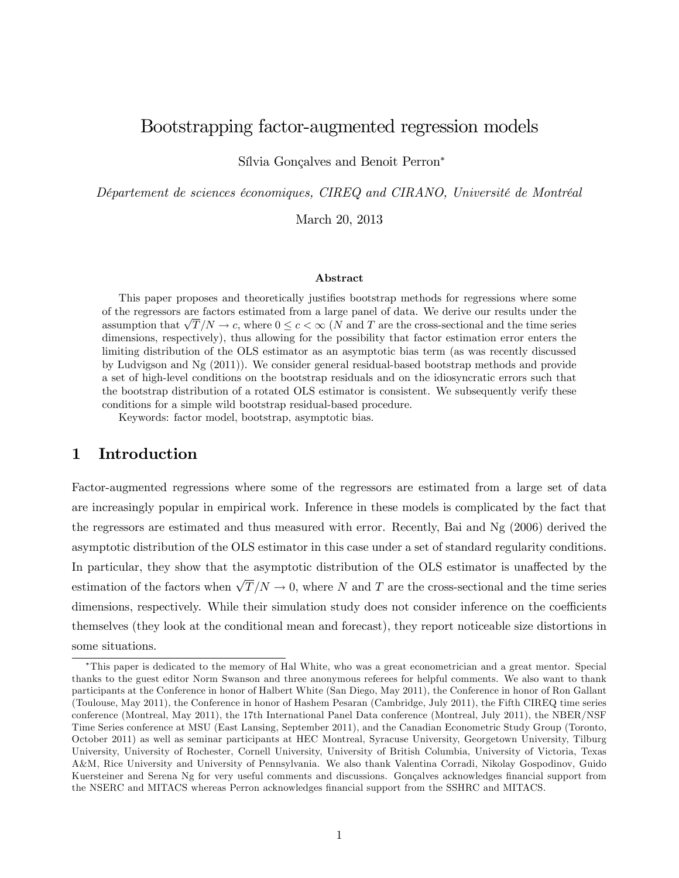# Bootstrapping factor-augmented regression models

Sílvia Gonçalves and Benoit Perron\*

Département de sciences économiques, CIREQ and CIRANO, Université de Montréal

March 20, 2013

#### Abstract

This paper proposes and theoretically justifies bootstrap methods for regressions where some of the regressors are factors estimated from a large panel of data. We derive our results under the assumption that  $\sqrt{T}/N \to c$ , where  $0 \leq c < \infty$  (N and T are the cross-sectional and the time series dimensions, respectively), thus allowing for the possibility that factor estimation error enters the limiting distribution of the OLS estimator as an asymptotic bias term (as was recently discussed by Ludvigson and Ng (2011)). We consider general residual-based bootstrap methods and provide a set of high-level conditions on the bootstrap residuals and on the idiosyncratic errors such that the bootstrap distribution of a rotated OLS estimator is consistent. We subsequently verify these conditions for a simple wild bootstrap residual-based procedure.

Keywords: factor model, bootstrap, asymptotic bias.

## 1 Introduction

Factor-augmented regressions where some of the regressors are estimated from a large set of data are increasingly popular in empirical work. Inference in these models is complicated by the fact that the regressors are estimated and thus measured with error. Recently, Bai and Ng (2006) derived the asymptotic distribution of the OLS estimator in this case under a set of standard regularity conditions. In particular, they show that the asymptotic distribution of the OLS estimator is unaffected by the estimation of the factors when  $\sqrt{T}/N \to 0$ , where N and T are the cross-sectional and the time series dimensions, respectively. While their simulation study does not consider inference on the coefficients themselves (they look at the conditional mean and forecast), they report noticeable size distortions in some situations.

This paper is dedicated to the memory of Hal White, who was a great econometrician and a great mentor. Special thanks to the guest editor Norm Swanson and three anonymous referees for helpful comments. We also want to thank participants at the Conference in honor of Halbert White (San Diego, May 2011), the Conference in honor of Ron Gallant (Toulouse, May 2011), the Conference in honor of Hashem Pesaran (Cambridge, July 2011), the Fifth CIREQ time series conference (Montreal, May 2011), the 17th International Panel Data conference (Montreal, July 2011), the NBER/NSF Time Series conference at MSU (East Lansing, September 2011), and the Canadian Econometric Study Group (Toronto, October 2011) as well as seminar participants at HEC Montreal, Syracuse University, Georgetown University, Tilburg University, University of Rochester, Cornell University, University of British Columbia, University of Victoria, Texas A&M, Rice University and University of Pennsylvania. We also thank Valentina Corradi, Nikolay Gospodinov, Guido Kuersteiner and Serena Ng for very useful comments and discussions. Gonçalves acknowledges financial support from the NSERC and MITACS whereas Perron acknowledges financial support from the SSHRC and MITACS.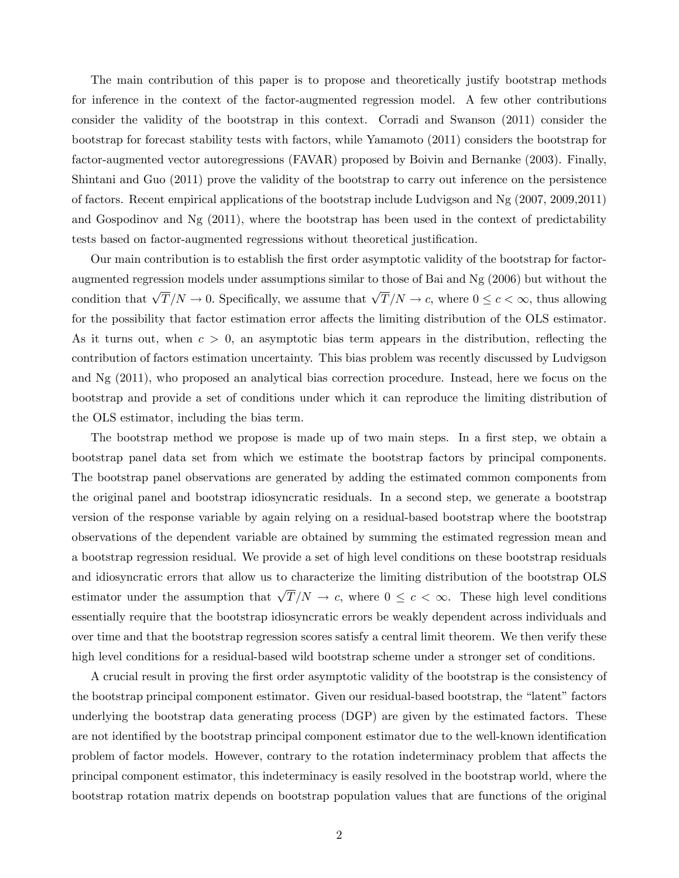The main contribution of this paper is to propose and theoretically justify bootstrap methods for inference in the context of the factor-augmented regression model. A few other contributions consider the validity of the bootstrap in this context. Corradi and Swanson (2011) consider the bootstrap for forecast stability tests with factors, while Yamamoto (2011) considers the bootstrap for factor-augmented vector autoregressions (FAVAR) proposed by Boivin and Bernanke (2003). Finally, Shintani and Guo (2011) prove the validity of the bootstrap to carry out inference on the persistence of factors. Recent empirical applications of the bootstrap include Ludvigson and Ng (2007, 2009,2011) and Gospodinov and Ng (2011), where the bootstrap has been used in the context of predictability tests based on factor-augmented regressions without theoretical justification.

Our main contribution is to establish the first order asymptotic validity of the bootstrap for factoraugmented regression models under assumptions similar to those of Bai and Ng (2006) but without the condition that  $\sqrt{T}/N \to 0$ . Specifically, we assume that  $\sqrt{T}/N \to c$ , where  $0 \le c < \infty$ , thus allowing for the possibility that factor estimation error affects the limiting distribution of the OLS estimator. As it turns out, when  $c > 0$ , an asymptotic bias term appears in the distribution, reflecting the contribution of factors estimation uncertainty. This bias problem was recently discussed by Ludvigson and Ng (2011), who proposed an analytical bias correction procedure. Instead, here we focus on the bootstrap and provide a set of conditions under which it can reproduce the limiting distribution of the OLS estimator, including the bias term.

The bootstrap method we propose is made up of two main steps. In a first step, we obtain a bootstrap panel data set from which we estimate the bootstrap factors by principal components. The bootstrap panel observations are generated by adding the estimated common components from the original panel and bootstrap idiosyncratic residuals. In a second step, we generate a bootstrap version of the response variable by again relying on a residual-based bootstrap where the bootstrap observations of the dependent variable are obtained by summing the estimated regression mean and a bootstrap regression residual. We provide a set of high level conditions on these bootstrap residuals and idiosyncratic errors that allow us to characterize the limiting distribution of the bootstrap OLS estimator under the assumption that  $\sqrt{T}/N \to c$ , where  $0 \leq c < \infty$ . These high level conditions essentially require that the bootstrap idiosyncratic errors be weakly dependent across individuals and over time and that the bootstrap regression scores satisfy a central limit theorem. We then verify these high level conditions for a residual-based wild bootstrap scheme under a stronger set of conditions.

A crucial result in proving the Örst order asymptotic validity of the bootstrap is the consistency of the bootstrap principal component estimator. Given our residual-based bootstrap, the "latent" factors underlying the bootstrap data generating process (DGP) are given by the estimated factors. These are not identified by the bootstrap principal component estimator due to the well-known identification problem of factor models. However, contrary to the rotation indeterminacy problem that affects the principal component estimator, this indeterminacy is easily resolved in the bootstrap world, where the bootstrap rotation matrix depends on bootstrap population values that are functions of the original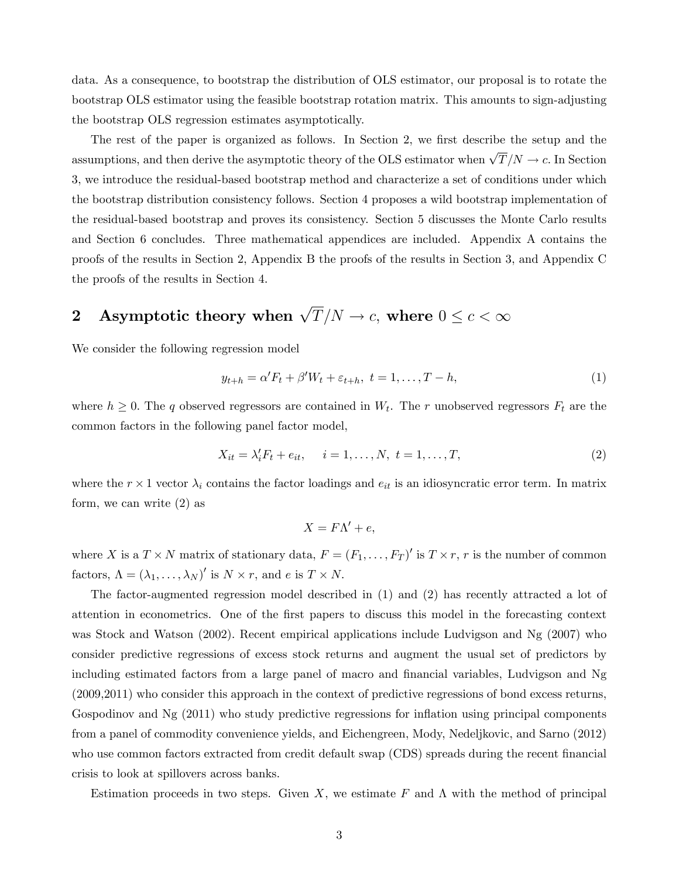data. As a consequence, to bootstrap the distribution of OLS estimator, our proposal is to rotate the bootstrap OLS estimator using the feasible bootstrap rotation matrix. This amounts to sign-adjusting the bootstrap OLS regression estimates asymptotically.

The rest of the paper is organized as follows. In Section 2, we first describe the setup and the assumptions, and then derive the asymptotic theory of the OLS estimator when  $\sqrt{T}/N \to c$ . In Section 3, we introduce the residual-based bootstrap method and characterize a set of conditions under which the bootstrap distribution consistency follows. Section 4 proposes a wild bootstrap implementation of the residual-based bootstrap and proves its consistency. Section 5 discusses the Monte Carlo results and Section 6 concludes. Three mathematical appendices are included. Appendix A contains the proofs of the results in Section 2, Appendix B the proofs of the results in Section 3, and Appendix C the proofs of the results in Section 4.

# 2 Asymptotic theory when  $\sqrt{T}/N \to c$ , where  $0 \le c < \infty$

We consider the following regression model

$$
y_{t+h} = \alpha' F_t + \beta' W_t + \varepsilon_{t+h}, \ t = 1, \dots, T-h,
$$
\n<sup>(1)</sup>

where  $h \geq 0$ . The q observed regressors are contained in  $W_t$ . The r unobserved regressors  $F_t$  are the common factors in the following panel factor model,

$$
X_{it} = \lambda'_i F_t + e_{it}, \quad i = 1, ..., N, \ t = 1, ..., T,
$$
 (2)

where the  $r \times 1$  vector  $\lambda_i$  contains the factor loadings and  $e_{it}$  is an idiosyncratic error term. In matrix form, we can write (2) as

$$
X = F\Lambda' + e,
$$

where X is a  $T \times N$  matrix of stationary data,  $F = (F_1, \ldots, F_T)'$  is  $T \times r$ , r is the number of common factors,  $\Lambda = (\lambda_1, \ldots, \lambda_N)'$  is  $N \times r$ , and e is  $T \times N$ .

The factor-augmented regression model described in (1) and (2) has recently attracted a lot of attention in econometrics. One of the first papers to discuss this model in the forecasting context was Stock and Watson (2002). Recent empirical applications include Ludvigson and Ng (2007) who consider predictive regressions of excess stock returns and augment the usual set of predictors by including estimated factors from a large panel of macro and Önancial variables, Ludvigson and Ng (2009,2011) who consider this approach in the context of predictive regressions of bond excess returns, Gospodinov and  $Ng(2011)$  who study predictive regressions for inflation using principal components from a panel of commodity convenience yields, and Eichengreen, Mody, Nedeljkovic, and Sarno (2012) who use common factors extracted from credit default swap (CDS) spreads during the recent financial crisis to look at spillovers across banks.

Estimation proceeds in two steps. Given X, we estimate F and  $\Lambda$  with the method of principal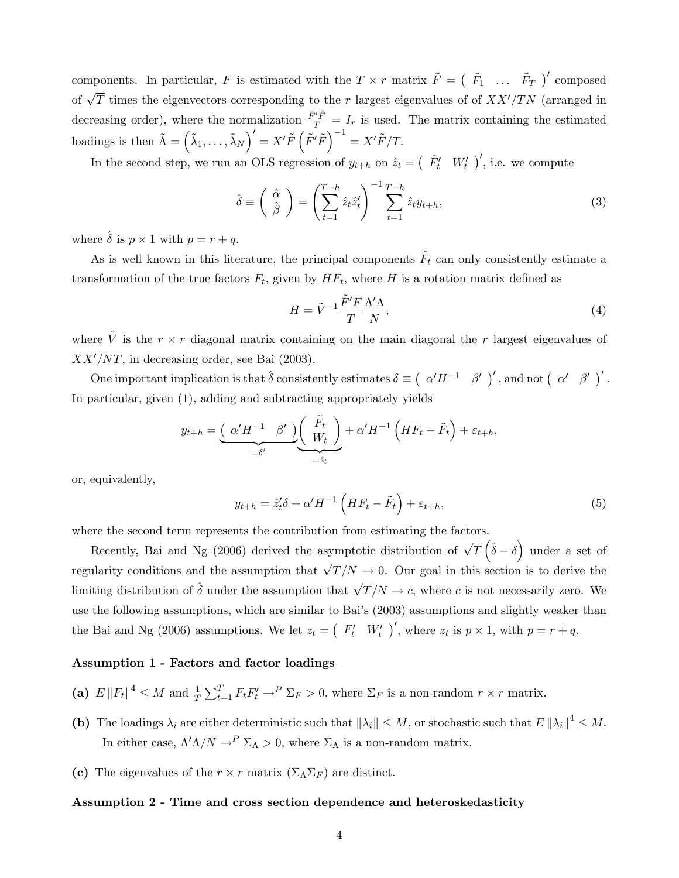components. In particular, F is estimated with the  $T \times r$  matrix  $\tilde{F} = \begin{pmatrix} \tilde{F}_1 & \dots & \tilde{F}_T \end{pmatrix}'$  composed of  $\sqrt{T}$  times the eigenvectors corresponding to the r largest eigenvalues of of  $XX'/TN$  (arranged in decreasing order), where the normalization  $\frac{\tilde{F}'\tilde{F}}{T} = I_r$  is used. The matrix containing the estimated  $\text{loadings is then } \tilde{\Lambda} = \left(\tilde{\lambda}_1, \ldots, \tilde{\lambda}_N \right)' = X' \tilde{F} \left( \tilde{F}' \tilde{F} \right)^{-1} = X' \tilde{F}/T.$ 

In the second step, we run an OLS regression of  $y_{t+h}$  on  $\hat{z}_t = (F_t' W_t')'$ , i.e. we compute

$$
\hat{\delta} \equiv \left(\begin{array}{c} \hat{\alpha} \\ \hat{\beta} \end{array}\right) = \left(\sum_{t=1}^{T-h} \hat{z}_t \hat{z}_t'\right)^{-1} \sum_{t=1}^{T-h} \hat{z}_t y_{t+h},\tag{3}
$$

where  $\hat{\delta}$  is  $p \times 1$  with  $p = r + q$ .

As is well known in this literature, the principal components  $\tilde{F}_t$  can only consistently estimate a transformation of the true factors  $F_t$ , given by  $HF_t$ , where H is a rotation matrix defined as

$$
H = \tilde{V}^{-1} \frac{\tilde{F}' F}{T} \frac{\Lambda' \Lambda}{N},\tag{4}
$$

where  $\tilde{V}$  is the  $r \times r$  diagonal matrix containing on the main diagonal the r largest eigenvalues of  $XX'/NT$ , in decreasing order, see Bai (2003).

One important implication is that  $\hat{\delta}$  consistently estimates  $\delta \equiv \left(\begin{array}{cc} \alpha'H^{-1} & \beta' \end{array}\right)'$ , and not  $\left(\begin{array}{cc} \alpha' & \beta' \end{array}\right)'$ . In particular, given (1), adding and subtracting appropriately yields

$$
y_{t+h} = \underbrace{(\alpha'H^{-1} \ \beta') \left(\begin{array}{c} \tilde{F}_t \\ W_t \end{array}\right)}_{=\hat{s}t} + \alpha'H^{-1}\left(HF_t - \tilde{F}_t\right) + \varepsilon_{t+h},
$$

or, equivalently,

$$
y_{t+h} = \hat{z}_t' \delta + \alpha' H^{-1} \left( H F_t - \tilde{F}_t \right) + \varepsilon_{t+h}, \tag{5}
$$

where the second term represents the contribution from estimating the factors.

Recently, Bai and Ng (2006) derived the asymptotic distribution of  $\sqrt{T}(\hat{\delta}-\delta)$  under a set of regularity conditions and the assumption that  $\sqrt{T}/N \to 0$ . Our goal in this section is to derive the limiting distribution of  $\hat{\delta}$  under the assumption that  $\sqrt{T}/N \to c$ , where c is not necessarily zero. We use the following assumptions, which are similar to Bai's (2003) assumptions and slightly weaker than the Bai and Ng (2006) assumptions. We let  $z_t = (F'_t W'_t)'$ , where  $z_t$  is  $p \times 1$ , with  $p = r + q$ .

#### Assumption 1 - Factors and factor loadings

- (a)  $E ||F_t||^4 \leq M$  and  $\frac{1}{T} \sum_{t=1}^T F_t F_t' \to^P \sum_F > 0$ , where  $\Sigma_F$  is a non-random  $r \times r$  matrix.
- (b) The loadings  $\lambda_i$  are either deterministic such that  $\|\lambda_i\| \leq M$ , or stochastic such that  $E \|\lambda_i\|^4 \leq M$ . In either case,  $\Lambda' \Lambda / N \to^P \Sigma_{\Lambda} > 0$ , where  $\Sigma_{\Lambda}$  is a non-random matrix.
- (c) The eigenvalues of the  $r \times r$  matrix  $(\Sigma_{\Lambda} \Sigma_F)$  are distinct.

#### Assumption 2 - Time and cross section dependence and heteroskedasticity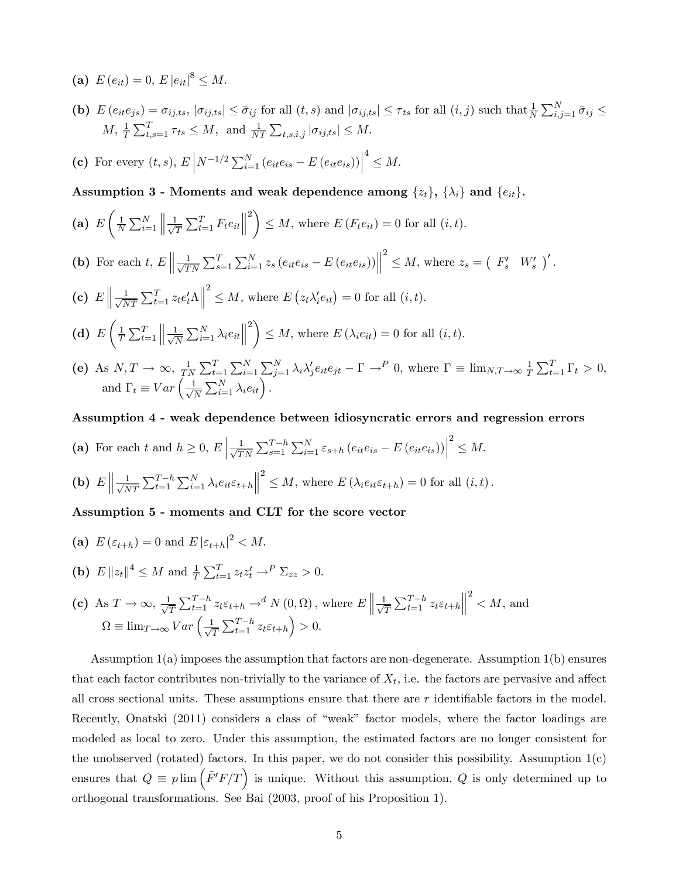- (a)  $E(e_{it}) = 0, E |e_{it}|^8 \leq M.$
- (b)  $E(e_{it}e_{js}) = \sigma_{ij,ts}$ ,  $|\sigma_{ij,ts}| \leq \bar{\sigma}_{ij}$  for all  $(t, s)$  and  $|\sigma_{ij,ts}| \leq \tau_{ts}$  for all  $(i, j)$  such that  $\frac{1}{N} \sum_{i,j=1}^{N} \bar{\sigma}_{ij} \leq$  $M, \frac{1}{T} \sum_{t,s=1}^{T} \tau_{ts} \leq M, \text{ and } \frac{1}{NT} \sum_{t,s,i,j} |\sigma_{ij,ts}| \leq M.$
- (c) For every  $(t, s)$ ,  $E\left| N^{-1/2} \sum_{i=1}^{N} (e_{it}e_{is} E(e_{it}e_{is})) \right|$  $4 \leq M$ .
- Assumption 3 Moments and weak dependence among  $\{z_t\},$   $\{\lambda_i\}$  and  $\{e_{it}\}.$

(a) 
$$
E\left(\frac{1}{N}\sum_{i=1}^{N}\left\|\frac{1}{\sqrt{T}}\sum_{t=1}^{T}F_te_{it}\right\|^{2}\right)\leq M
$$
, where  $E(F_te_{it})=0$  for all  $(i, t)$ .

- (b) For each t,  $E \parallel \frac{1}{\sqrt{T}}$  $\frac{1}{TN} \sum_{s=1}^{T} \sum_{i=1}^{N} z_s (e_{it} e_{is} - E (e_{it} e_{is}))$  $2 \leq M$ , where  $z_s = \begin{pmatrix} F'_s & W'_s \end{pmatrix}'$ .
- (c)  $E \left\| \frac{1}{\sqrt{\Lambda}} \right\|$  $\frac{1}{NT} \sum_{t=1}^{T} z_t e_t' \Lambda \Big\|$  $\sum_{i=1}^{2} \leq M$ , where  $E(z_t \lambda'_i e_{it}) = 0$  for all  $(i, t)$ .
- $(d) E$  $\frac{1}{1}$  $\frac{1}{T} \sum_{t=1}^{T}$  $\left\| \frac{1}{\sqrt{l}} \right\|$  $\frac{1}{\overline{N}}\sum_{i=1}^N \lambda_i e_{it}$  $2\lambda$  $\leq M$ , where  $E(\lambda_i e_{it}) = 0$  for all  $(i, t)$ .
- (e) As  $N, T \rightarrow \infty, \frac{1}{T}$  $\frac{1}{TN}\sum_{t=1}^T\sum_{i=1}^N\sum_{j=1}^N\lambda_i\lambda'_je_{it}e_{jt} - \Gamma \rightarrow^P 0$ , where  $\Gamma \equiv \lim_{N,T\to\infty} \frac{1}{T}$  $\frac{1}{T} \sum_{t=1}^T \Gamma_t > 0,$ and  $\Gamma_t \equiv Var \left( \frac{1}{\sqrt{l}} \right)$  $\frac{1}{\overline{N}}\sum_{i=1}^N \lambda_i e_{it}$ .

#### Assumption 4 - weak dependence between idiosyncratic errors and regression errors

(a) For each t and  $h \geq 0, E\left|\frac{1}{\sqrt{T}}\right|$  $\frac{1}{TN} \sum_{s=1}^{T-h} \sum_{i=1}^{N} \varepsilon_{s+h} (e_{it}e_{is} - E(e_{it}e_{is}))$  $2^2 \leq M$ .

**(b)** 
$$
E \left\| \frac{1}{\sqrt{NT}} \sum_{t=1}^{T-h} \sum_{i=1}^{N} \lambda_i e_{it} \varepsilon_{t+h} \right\|^2 \leq M
$$
, where  $E(\lambda_i e_{it} \varepsilon_{t+h}) = 0$  for all  $(i, t)$ .

#### Assumption 5 - moments and CLT for the score vector

(a) 
$$
E(\varepsilon_{t+h}) = 0
$$
 and  $E|\varepsilon_{t+h}|^2 < M$ .  
\n(b)  $E||z_t||^4 \le M$  and  $\frac{1}{T} \sum_{t=1}^T z_t z_t' \to^P \sum_{z \ge 0} 0$ .  
\n(c) As  $T \to \infty$ ,  $\frac{1}{\sqrt{T}} \sum_{t=1}^{T-h} z_t \varepsilon_{t+h} \to^d N(0, \Omega)$ , where  $E\left\| \frac{1}{\sqrt{T}} \sum_{t=1}^{T-h} z_t \varepsilon_{t+h} \right\|^2 < M$ , and  $\Omega \equiv \lim_{T \to \infty} Var\left(\frac{1}{\sqrt{T}} \sum_{t=1}^{T-h} z_t \varepsilon_{t+h}\right) > 0$ .

Assumption 1(a) imposes the assumption that factors are non-degenerate. Assumption 1(b) ensures that each factor contributes non-trivially to the variance of  $X_t$ , i.e. the factors are pervasive and affect all cross sectional units. These assumptions ensure that there are  $r$  identifiable factors in the model. Recently, Onatski (2011) considers a class of "weak" factor models, where the factor loadings are modeled as local to zero. Under this assumption, the estimated factors are no longer consistent for the unobserved (rotated) factors. In this paper, we do not consider this possibility. Assumption  $1(c)$ ensures that  $Q \equiv p \lim \left( \tilde{F}'F/T \right)$  is unique. Without this assumption, Q is only determined up to orthogonal transformations. See Bai (2003, proof of his Proposition 1).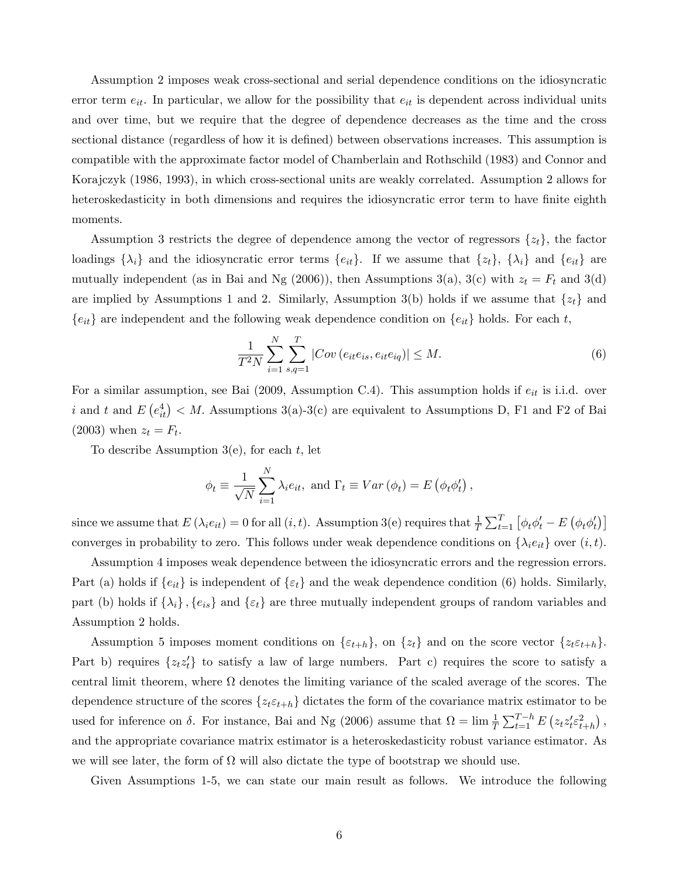Assumption 2 imposes weak cross-sectional and serial dependence conditions on the idiosyncratic error term  $e_{it}$ . In particular, we allow for the possibility that  $e_{it}$  is dependent across individual units and over time, but we require that the degree of dependence decreases as the time and the cross sectional distance (regardless of how it is defined) between observations increases. This assumption is compatible with the approximate factor model of Chamberlain and Rothschild (1983) and Connor and Korajczyk (1986, 1993), in which cross-sectional units are weakly correlated. Assumption 2 allows for heteroskedasticity in both dimensions and requires the idiosyncratic error term to have finite eighth moments.

Assumption 3 restricts the degree of dependence among the vector of regressors  $\{z_t\}$ , the factor loadings  $\{\lambda_i\}$  and the idiosyncratic error terms  $\{e_{it}\}\$ . If we assume that  $\{z_t\}$ ,  $\{\lambda_i\}$  and  $\{e_{it}\}\$  are mutually independent (as in Bai and Ng (2006)), then Assumptions 3(a), 3(c) with  $z_t = F_t$  and 3(d) are implied by Assumptions 1 and 2. Similarly, Assumption 3(b) holds if we assume that  $\{z_t\}$  and  ${e_{it}}$  are independent and the following weak dependence condition on  ${e_{it}}$  holds. For each t,

$$
\frac{1}{T^2 N} \sum_{i=1}^{N} \sum_{s,q=1}^{T} |Cov(e_{it}e_{is}, e_{it}e_{iq})| \le M.
$$
 (6)

For a similar assumption, see Bai (2009, Assumption C.4). This assumption holds if  $e_{it}$  is i.i.d. over i and t and  $E(e_{it}^4) < M$ . Assumptions 3(a)-3(c) are equivalent to Assumptions D, F1 and F2 of Bai  $(2003)$  when  $z_t = F_t$ .

To describe Assumption  $3(e)$ , for each t, let

$$
\phi_t \equiv \frac{1}{\sqrt{N}} \sum_{i=1}^N \lambda_i e_{it}, \text{ and } \Gamma_t \equiv Var(\phi_t) = E(\phi_t \phi_t'),
$$

since we assume that  $E(\lambda_i e_{it}) = 0$  for all  $(i, t)$ . Assumption 3(e) requires that  $\frac{1}{T} \sum_{t=1}^T [\phi_t \phi_t' - E(\phi_t \phi_t')]$ converges in probability to zero. This follows under weak dependence conditions on  $\{\lambda_i e_{it}\}$  over  $(i, t)$ .

Assumption 4 imposes weak dependence between the idiosyncratic errors and the regression errors. Part (a) holds if  $\{e_{it}\}\$ is independent of  $\{\varepsilon_t\}$  and the weak dependence condition (6) holds. Similarly, part (b) holds if  $\{\lambda_i\}$ ,  $\{e_{is}\}$  and  $\{\varepsilon_t\}$  are three mutually independent groups of random variables and Assumption 2 holds.

Assumption 5 imposes moment conditions on  $\{\varepsilon_{t+h}\}\$ , on  $\{z_t\}$  and on the score vector  $\{z_t\varepsilon_{t+h}\}\$ . Part b) requires  $\{z_t z_t\}$  to satisfy a law of large numbers. Part c) requires the score to satisfy a central limit theorem, where  $\Omega$  denotes the limiting variance of the scaled average of the scores. The dependence structure of the scores  $\{z_t \varepsilon_{t+h}\}$  dictates the form of the covariance matrix estimator to be used for inference on  $\delta$ . For instance, Bai and Ng (2006) assume that  $\Omega = \lim_{T \to \infty} \frac{1}{T} \sum_{t=1}^{T-h} E(z_t z_t^t \varepsilon_{t+h}^2)$ , and the appropriate covariance matrix estimator is a heteroskedasticity robust variance estimator. As we will see later, the form of  $\Omega$  will also dictate the type of bootstrap we should use.

Given Assumptions 1-5, we can state our main result as follows. We introduce the following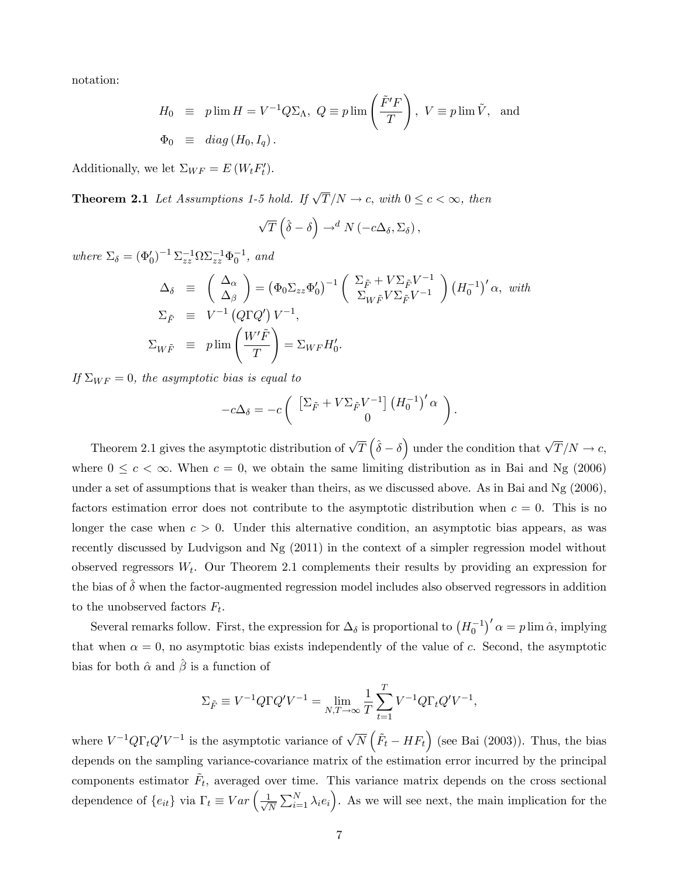notation:

$$
H_0 \equiv p \lim H = V^{-1} Q \Sigma_{\Lambda}, \ Q \equiv p \lim \left( \frac{\tilde{F}' F}{T} \right), \ V \equiv p \lim \tilde{V}, \text{ and}
$$
  

$$
\Phi_0 \equiv diag (H_0, I_q).
$$

Additionally, we let  $\Sigma_{WF} = E(W_t F_t')$ .

**Theorem 2.1** Let Assumptions 1-5 hold. If  $\sqrt{T}/N \to c$ , with  $0 \le c < \infty$ , then

$$
\sqrt{T}\left(\hat{\delta}-\delta\right)\rightarrow^d N\left(-c\Delta_{\delta},\Sigma_{\delta}\right),\,
$$

where  $\Sigma_{\delta} = (\Phi'_{0})^{-1} \Sigma_{zz}^{-1} \Omega \Sigma_{zz}^{-1} \Phi_{0}^{-1}$ , and

$$
\Delta_{\delta} \equiv \left(\frac{\Delta_{\alpha}}{\Delta_{\beta}}\right) = \left(\Phi_0 \Sigma_{zz} \Phi_0'\right)^{-1} \left(\frac{\Sigma_{\tilde{F}} + V \Sigma_{\tilde{F}} V^{-1}}{\Sigma_{W \tilde{F}} V \Sigma_{\tilde{F}} V^{-1}}\right) \left(H_0^{-1}\right)' \alpha, \text{ with}
$$
  
\n
$$
\Sigma_{\tilde{F}} \equiv V^{-1} \left(Q \Gamma Q' \right) V^{-1},
$$
  
\n
$$
\Sigma_{W \tilde{F}} \equiv p \lim \left(\frac{W' \tilde{F}}{T}\right) = \Sigma_{W F} H_0'.
$$

If  $\Sigma_{WF} = 0$ , the asymptotic bias is equal to

$$
-c\Delta_{\delta} = -c \left( \begin{array}{c} \left[ \Sigma_{\tilde{F}} + V \Sigma_{\tilde{F}} V^{-1} \right] \left( H_0^{-1} \right)' \alpha \\ 0 \end{array} \right).
$$

Theorem 2.1 gives the asymptotic distribution of  $\sqrt{T}(\hat{\delta}-\delta)$  under the condition that  $\sqrt{T}/N \to c$ , where  $0 \leq c < \infty$ . When  $c = 0$ , we obtain the same limiting distribution as in Bai and Ng (2006) under a set of assumptions that is weaker than theirs, as we discussed above. As in Bai and Ng (2006), factors estimation error does not contribute to the asymptotic distribution when  $c = 0$ . This is no longer the case when  $c > 0$ . Under this alternative condition, an asymptotic bias appears, as was recently discussed by Ludvigson and Ng (2011) in the context of a simpler regression model without observed regressors  $W_t$ . Our Theorem 2.1 complements their results by providing an expression for the bias of  $\delta$  when the factor-augmented regression model includes also observed regressors in addition to the unobserved factors  $F_t$ .

Several remarks follow. First, the expression for  $\Delta_{\delta}$  is proportional to  $(H_0^{-1})' \alpha = p \lim \hat{\alpha}$ , implying that when  $\alpha = 0$ , no asymptotic bias exists independently of the value of c. Second, the asymptotic bias for both  $\hat{\alpha}$  and  $\hat{\beta}$  is a function of

$$
\Sigma_{\tilde{F}} \equiv V^{-1}Q\Gamma Q'V^{-1} = \lim_{N,T \to \infty} \frac{1}{T} \sum_{t=1}^{T} V^{-1}Q\Gamma_t Q'V^{-1},
$$

where  $V^{-1}Q\Gamma_tQ'V^{-1}$  is the asymptotic variance of  $\sqrt{N}(\tilde{F}_t - HF_t)$  (see Bai (2003)). Thus, the bias depends on the sampling variance-covariance matrix of the estimation error incurred by the principal components estimator  $\tilde{F}_t$ , averaged over time. This variance matrix depends on the cross sectional dependence of  $\{e_{it}\}\$ via  $\Gamma_t \equiv Var\left(\frac{1}{\sqrt{l}}\right)$  $\frac{1}{N} \sum_{i=1}^{N} \lambda_i e_i$ . As we will see next, the main implication for the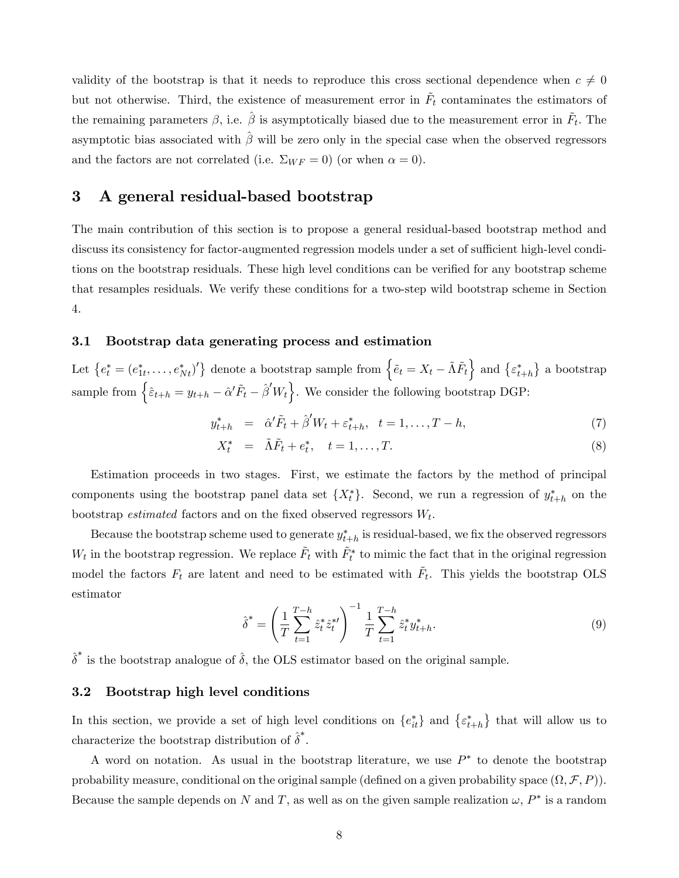validity of the bootstrap is that it needs to reproduce this cross sectional dependence when  $c \neq 0$ but not otherwise. Third, the existence of measurement error in  $\tilde{F}_t$  contaminates the estimators of the remaining parameters  $\beta$ , i.e.  $\hat{\beta}$  is asymptotically biased due to the measurement error in  $\tilde{F}_t$ . The asymptotic bias associated with  $\hat{\beta}$  will be zero only in the special case when the observed regressors and the factors are not correlated (i.e.  $\Sigma_{WF} = 0$ ) (or when  $\alpha = 0$ ).

## 3 A general residual-based bootstrap

The main contribution of this section is to propose a general residual-based bootstrap method and discuss its consistency for factor-augmented regression models under a set of sufficient high-level conditions on the bootstrap residuals. These high level conditions can be verified for any bootstrap scheme that resamples residuals. We verify these conditions for a two-step wild bootstrap scheme in Section 4.

#### 3.1 Bootstrap data generating process and estimation

Let  $\{e_t^* = (e_{1t}^*, \ldots, e_{Nt}^*)'\}$  denote a bootstrap sample from  $\{\tilde{e}_t = X_t - \tilde{\Lambda} \tilde{F}_t\}$  and  $\{\varepsilon_{t+h}^*\}$  a bootstrap sample from  $\left\{\hat{\varepsilon}_{t+h} = y_{t+h} - \hat{\alpha}'\tilde{F}_t - \hat{\beta}'W_t\right\}$ . We consider the following bootstrap DGP:

$$
y_{t+h}^* = \hat{\alpha}' \tilde{F}_t + \hat{\beta}' W_t + \varepsilon_{t+h}^*, \quad t = 1, \dots, T-h,
$$
\n
$$
(7)
$$

$$
X_t^* = \tilde{\Lambda}\tilde{F}_t + e_t^*, \quad t = 1, \dots, T. \tag{8}
$$

Estimation proceeds in two stages. First, we estimate the factors by the method of principal components using the bootstrap panel data set  $\{X_t^*\}$ . Second, we run a regression of  $y_{t+h}^*$  on the bootstrap *estimated* factors and on the fixed observed regressors  $W_t$ .

Because the bootstrap scheme used to generate  $y_{t+h}^*$  is residual-based, we fix the observed regressors  $W_t$  in the bootstrap regression. We replace  $\tilde{F}_t$  with  $\tilde{F}_t^*$  to mimic the fact that in the original regression model the factors  $F_t$  are latent and need to be estimated with  $\tilde{F}_t$ . This yields the bootstrap OLS estimator

$$
\hat{\delta}^* = \left(\frac{1}{T} \sum_{t=1}^{T-h} \hat{z}_t^* \hat{z}_t^{*t}\right)^{-1} \frac{1}{T} \sum_{t=1}^{T-h} \hat{z}_t^* y_{t+h}^*.
$$
\n(9)

 $\hat{\delta}^*$  is the bootstrap analogue of  $\hat{\delta}$ , the OLS estimator based on the original sample.

#### 3.2 Bootstrap high level conditions

In this section, we provide a set of high level conditions on  $\{e_{it}^*\}$  and  $\{e_{t+h}^*\}$  that will allow us to characterize the bootstrap distribution of  $\hat{\delta}^*$ .

A word on notation. As usual in the bootstrap literature, we use  $P^*$  to denote the bootstrap probability measure, conditional on the original sample (defined on a given probability space  $(\Omega, \mathcal{F}, P)$ ). Because the sample depends on N and T, as well as on the given sample realization  $\omega$ ,  $P^*$  is a random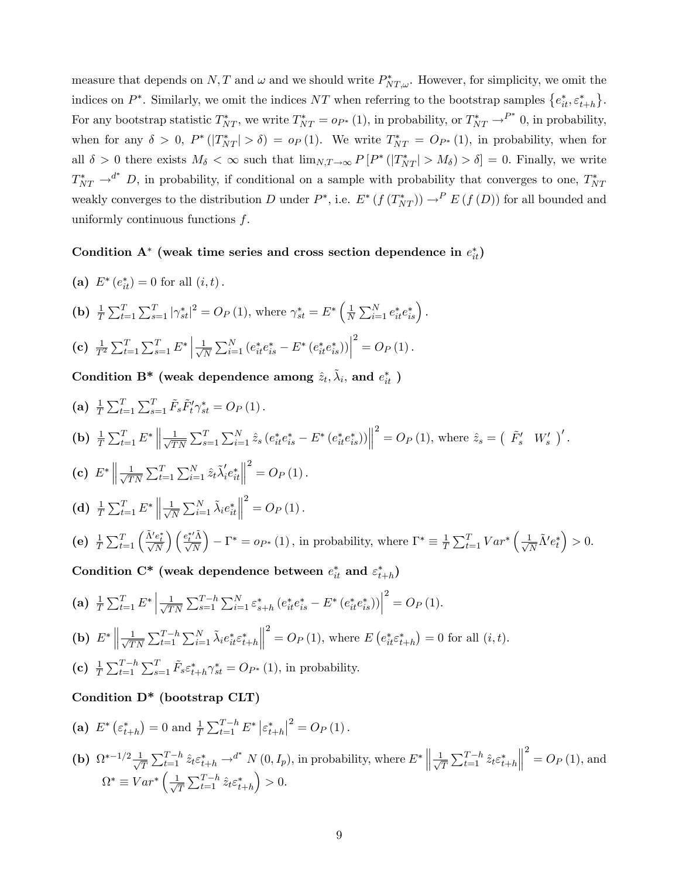measure that depends on N, T and  $\omega$  and we should write  $P^*_{NT,\omega}$ . However, for simplicity, we omit the indices on  $P^*$ . Similarly, we omit the indices NT when referring to the bootstrap samples  $\{e_{it}^*, \varepsilon_{t+h}^*\}$ . For any bootstrap statistic  $T_{NT}^*$ , we write  $T_{NT}^* = o_{P^*}(1)$ , in probability, or  $T_{NT}^* \to^{P^*} 0$ , in probability, when for any  $\delta > 0$ ,  $P^*(|T^*_{NT}| > \delta) = o_P(1)$ . We write  $T^*_{NT} = O_{P^*}(1)$ , in probability, when for all  $\delta > 0$  there exists  $M_{\delta} < \infty$  such that  $\lim_{N,T \to \infty} P[P^*(|T^*_{NT}| > M_{\delta}) > \delta] = 0$ . Finally, we write  $T_{NT}^* \rightarrow d^*$  D, in probability, if conditional on a sample with probability that converges to one,  $T_{NT}^*$ weakly converges to the distribution D under  $P^*$ , i.e.  $E^* (f(T^*_{NT})) \to^P E(f(D))$  for all bounded and uniformly continuous functions  $f$ .

## Condition  $A^*$  (weak time series and cross section dependence in  $e_{it}^*$ )

- (a)  $E^*(e_{it}^*) = 0$  for all  $(i, t)$ .
- (**b**)  $\frac{1}{T} \sum_{t=1}^{T} \sum_{s=1}^{T} |\gamma_{st}^*|^2 = O_P(1)$ , where  $\gamma_{st}^* = E^* \left( \frac{1}{N} \right)$  $\frac{1}{N} \sum_{i=1}^{N} e_{it}^* e_{is}^*$ .
- (c)  $\frac{1}{T^2} \sum_{t=1}^T \sum_{s=1}^T E^* \left| \frac{1}{\sqrt{s}} \right|$  $\frac{1}{N} \sum_{i=1}^{N} (e_{it}^* e_{is}^* - E^* (e_{it}^* e_{is}^*))$  $2^{2} = O_{P}(1).$

Condition B\* (weak dependence among  $\hat{z}_t$ ,  $\tilde{\lambda}_i$ , and  $e_{it}^*$  )

(a) 
$$
\frac{1}{T} \sum_{t=1}^{T} \sum_{s=1}^{T} \tilde{F}_{s} \tilde{F}_{t}^{\prime} \gamma_{st}^{*} = O_{P}(1)
$$
.  
\n(b)  $\frac{1}{T} \sum_{t=1}^{T} E^{*} \left\| \frac{1}{\sqrt{TN}} \sum_{s=1}^{T} \sum_{i=1}^{N} \hat{z}_{s} (e_{it}^{*} e_{is}^{*} - E^{*} (e_{it}^{*} e_{is}^{*})) \right\|^{2} = O_{P}(1)$ , where  $\hat{z}_{s} = (\tilde{F}_{s}^{\prime} W_{s}^{\prime})^{\prime}$ .  
\n(c)  $E^{*} \left\| \frac{1}{\sqrt{TN}} \sum_{t=1}^{T} \sum_{i=1}^{N} \hat{z}_{t} \tilde{\lambda}_{i}^{\prime} e_{it}^{*} \right\|^{2} = O_{P}(1)$ .  
\n(d)  $\frac{1}{T} \sum_{t=1}^{T} E^{*} \left\| \frac{1}{\sqrt{N}} \sum_{i=1}^{N} \tilde{\lambda}_{i} e_{it}^{*} \right\|^{2} = O_{P}(1)$ .  
\n(e)  $\frac{1}{T} \sum_{t=1}^{T} \left( \frac{\tilde{\lambda}^{\prime} e_{t}^{*}}{\sqrt{N}} \right) \left( \frac{e_{t}^{\prime \prime} \tilde{\lambda}}{\sqrt{N}} \right) - \Gamma^{*} = o_{P^{*}}(1)$ , in probability, where  $\Gamma^{*} \equiv \frac{1}{T} \sum_{t=1}^{T} Var^{*} \left( \frac{1}{\sqrt{N}} \tilde{\lambda}^{\prime} e_{t}^{*} \right) > 0$ .  
\nCondition  $C^{*}$  (weak dependence between  $e_{it}^{*}$  and  $\varepsilon_{t+h}^{*}$ )

(a) 
$$
\frac{1}{T} \sum_{t=1}^{T} E^* \left| \frac{1}{\sqrt{TN}} \sum_{s=1}^{T-h} \sum_{i=1}^{N} \varepsilon_{s+h}^* \left( e_{it}^* e_{is}^* - E^* \left( e_{it}^* e_{is}^* \right) \right) \right|^2 = O_P(1).
$$

**(b)** 
$$
E^* \left\| \frac{1}{\sqrt{TN}} \sum_{t=1}^{T-h} \sum_{i=1}^N \tilde{\lambda}_i e_{it}^* \varepsilon_{t+h}^* \right\|^2 = O_P(1)
$$
, where  $E(e_{it}^* \varepsilon_{t+h}^*) = 0$  for all  $(i, t)$ .

(c)  $\frac{1}{T} \sum_{t=1}^{T-h} \sum_{s=1}^{T} \tilde{F}_s \varepsilon_{t+h}^* \gamma_{st}^* = O_{P^*}(1)$ , in probability.

## Condition D\* (bootstrap CLT)

- (a)  $E^* \left( \varepsilon_{t+h}^* \right) = 0$  and  $\frac{1}{T} \sum_{t=1}^{T-h} E^* \left| \varepsilon_{t+h}^* \right|^2 = O_P(1)$ .
- (**b**)  $\Omega^{*-1/2} \frac{1}{\sqrt{2}}$  $\frac{1}{T} \sum_{t=1}^{T-h} \hat{z}_t \varepsilon_{t+h}^* \to^{d^*} N(0, I_p)$ , in probability, where  $E^* \left\| \frac{1}{\sqrt{2}} \right\|$  $\frac{1}{T}\sum_{t=1}^{T-h} \hat{z}_t \varepsilon_{t+h}^*$   $2^{2} = O_{P}(1),$  and  $\Omega^* \equiv Var^* \left( \frac{1}{\sqrt{2}} \right)$  $\frac{1}{T}\sum_{t=1}^{T-h} \hat{z}_t \varepsilon^*_{t+h}$  $\big) > 0.$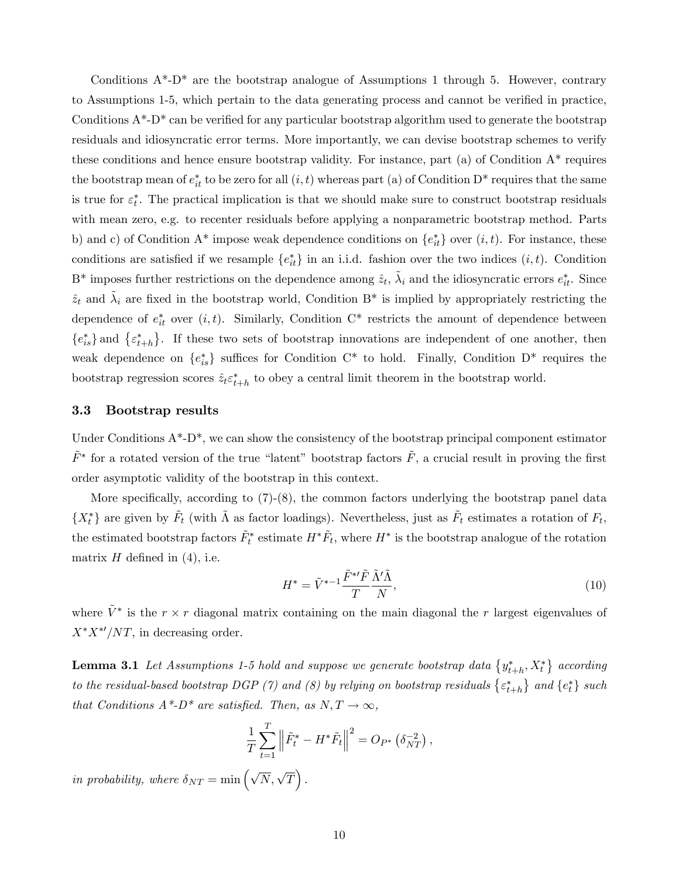Conditions  $A^*$ -D<sup>\*</sup> are the bootstrap analogue of Assumptions 1 through 5. However, contrary to Assumptions 1-5, which pertain to the data generating process and cannot be verified in practice, Conditions  $A^*$ -D<sup>\*</sup> can be verified for any particular bootstrap algorithm used to generate the bootstrap residuals and idiosyncratic error terms. More importantly, we can devise bootstrap schemes to verify these conditions and hence ensure bootstrap validity. For instance, part (a) of Condition  $A^*$  requires the bootstrap mean of  $e^*_{it}$  to be zero for all  $(i, t)$  whereas part (a) of Condition D<sup>\*</sup> requires that the same is true for  $\varepsilon_t^*$ . The practical implication is that we should make sure to construct bootstrap residuals with mean zero, e.g. to recenter residuals before applying a nonparametric bootstrap method. Parts b) and c) of Condition  $A^*$  impose weak dependence conditions on  $\{e_{it}^*\}$  over  $(i, t)$ . For instance, these conditions are satisfied if we resample  $\{e_{it}^*\}$  in an i.i.d. fashion over the two indices  $(i, t)$ . Condition  $B^*$  imposes further restrictions on the dependence among  $\hat{z}_t$ ,  $\tilde{\lambda}_i$  and the idiosyncratic errors  $e_{it}^*$ . Since  $\tilde{z}_t$  and  $\tilde{\lambda}_i$  are fixed in the bootstrap world, Condition B<sup>\*</sup> is implied by appropriately restricting the dependence of  $e_{it}^*$  over  $(i, t)$ . Similarly, Condition C<sup>\*</sup> restricts the amount of dependence between  ${e_{is}^*}$  and  ${ \varepsilon_{t+h}^* }$ . If these two sets of bootstrap innovations are independent of one another, then weak dependence on  $\{e_{is}^*\}$  suffices for Condition C<sup>\*</sup> to hold. Finally, Condition D<sup>\*</sup> requires the bootstrap regression scores  $\hat{z}_t \varepsilon_{t+h}^*$  to obey a central limit theorem in the bootstrap world.

#### 3.3 Bootstrap results

Under Conditions  $A^*$ -D<sup>\*</sup>, we can show the consistency of the bootstrap principal component estimator  $\tilde{F}^*$  for a rotated version of the true "latent" bootstrap factors  $\tilde{F}$ , a crucial result in proving the first order asymptotic validity of the bootstrap in this context.

More specifically, according to  $(7)-(8)$ , the common factors underlying the bootstrap panel data  $\{X_t^*\}$  are given by  $\tilde{F}_t$  (with  $\tilde{\Lambda}$  as factor loadings). Nevertheless, just as  $\tilde{F}_t$  estimates a rotation of  $F_t$ , the estimated bootstrap factors  $\tilde{F}_t^*$  estimate  $H^*\tilde{F}_t$ , where  $H^*$  is the bootstrap analogue of the rotation matrix  $H$  defined in (4), i.e.

$$
H^* = \tilde{V}^{*-1} \frac{\tilde{F}^{*\prime} \tilde{F}}{T} \frac{\tilde{\Lambda}' \tilde{\Lambda}}{N},\tag{10}
$$

where  $\tilde{V}^*$  is the  $r \times r$  diagonal matrix containing on the main diagonal the r largest eigenvalues of  $X^*X^{*\prime}/NT$ , in decreasing order.

**Lemma 3.1** Let Assumptions 1-5 hold and suppose we generate bootstrap data  $\{y_{t+h}^*, X_t^*\}$  according to the residual-based bootstrap DGP (7) and (8) by relying on bootstrap residuals  $\{\varepsilon^*_{t+h}\}$  and  $\{e^*_t\}$  such that Conditions  $A^*$ -D<sup>\*</sup> are satisfied. Then, as  $N, T \rightarrow \infty$ ,

$$
\frac{1}{T} \sum_{t=1}^{T} \left\| \tilde{F}_t^* - H^* \tilde{F}_t \right\|^2 = O_{P^*} \left( \delta_{NT}^{-2} \right),
$$

in probability, where  $\delta_{NT} = \min \left( \sqrt{N}, \sqrt{T} \right)$ .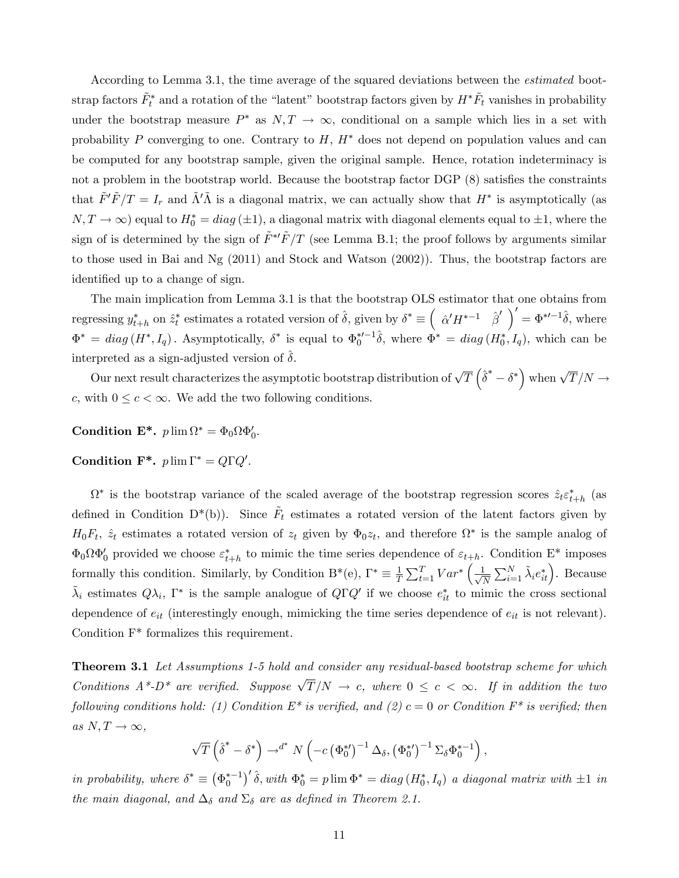According to Lemma 3.1, the time average of the squared deviations between the *estimated* bootstrap factors  $\tilde{F}^*_t$  and a rotation of the "latent" bootstrap factors given by  $H^*\tilde{F}_t$  vanishes in probability under the bootstrap measure  $P^*$  as  $N, T \to \infty$ , conditional on a sample which lies in a set with probability P converging to one. Contrary to  $H, H^*$  does not depend on population values and can be computed for any bootstrap sample, given the original sample. Hence, rotation indeterminacy is not a problem in the bootstrap world. Because the bootstrap factor  $\widehat{DGP}(8)$  satisfies the constraints that  $\tilde{F}'\tilde{F}/T = I_r$  and  $\tilde{\Lambda}'\tilde{\Lambda}$  is a diagonal matrix, we can actually show that  $H^*$  is asymptotically (as  $N, T \to \infty$ ) equal to  $H_0^* = diag(\pm 1)$ , a diagonal matrix with diagonal elements equal to  $\pm 1$ , where the sign of is determined by the sign of  $F^{*'}\tilde{F}/T$  (see Lemma B.1; the proof follows by arguments similar to those used in Bai and Ng (2011) and Stock and Watson (2002)). Thus, the bootstrap factors are identified up to a change of sign.

The main implication from Lemma 3.1 is that the bootstrap OLS estimator that one obtains from regressing  $y_{t+h}^*$  on  $\hat{z}_t^*$  estimates a rotated version of  $\hat{\delta}$ , given by  $\delta^* \equiv \left( \begin{array}{cc} \hat{\alpha}' H^{*-1} & \hat{\beta}' \end{array} \right)' = \Phi^{*\prime - 1} \hat{\delta}$ , where  $\Phi^* = diag(H^*, I_q)$ . Asymptotically,  $\delta^*$  is equal to  $\Phi_0^{*/-1} \hat{\delta}$ , where  $\Phi^* = diag(H_0^*, I_q)$ , which can be interpreted as a sign-adjusted version of  $\delta$ .

Our next result characterizes the asymptotic bootstrap distribution of  $\sqrt{T}\left(\hat{\delta}^*-\delta^*\right)$  when  $\sqrt{T}/N\to$ c, with  $0 \leq c < \infty$ . We add the two following conditions.

Condition  $\mathbf{E}^*$ .  $p \lim \Omega^* = \Phi_0 \Omega \Phi'_0$ .

Condition  $\mathbf{F}^*$ .  $p \lim \Gamma^* = Q \Gamma Q'$ .

 $\Omega^*$  is the bootstrap variance of the scaled average of the bootstrap regression scores  $\hat{z}_t \varepsilon_{t+h}^*$  (as defined in Condition D<sup>\*</sup>(b)). Since  $\tilde{F}_t$  estimates a rotated version of the latent factors given by  $H_0F_t$ ,  $\hat{z}_t$  estimates a rotated version of  $z_t$  given by  $\Phi_0z_t$ , and therefore  $\Omega^*$  is the sample analog of  $\Phi_0 \Omega \Phi'_0$  provided we choose  $\varepsilon_{t+h}^*$  to mimic the time series dependence of  $\varepsilon_{t+h}$ . Condition E<sup>\*</sup> imposes formally this condition. Similarly, by Condition B<sup>\*</sup>(e),  $\Gamma^* \equiv \frac{1}{T}$  $\frac{1}{T} \sum_{t=1}^T Var^* \left( \frac{1}{\sqrt{2}} \right)$  $\frac{1}{\overline{N}}\sum_{i=1}^N \tilde{\lambda}_i e_{it}^*$ . Because  $\tilde{\lambda}_i$  estimates  $Q\lambda_i$ ,  $\Gamma^*$  is the sample analogue of  $Q\Gamma Q'$  if we choose  $e_{it}^*$  to mimic the cross sectional dependence of  $e_{it}$  (interestingly enough, mimicking the time series dependence of  $e_{it}$  is not relevant). Condition F\* formalizes this requirement.

**Theorem 3.1** Let Assumptions 1-5 hold and consider any residual-based bootstrap scheme for which Conditions  $A^*D^*$  are verified. Suppose  $\sqrt{T}/N \rightarrow c$ , where  $0 \leq c < \infty$ . If in addition the two following conditions hold: (1) Condition  $E^*$  is verified, and (2)  $c = 0$  or Condition  $F^*$  is verified; then as  $N, T \rightarrow \infty$ ,

$$
\sqrt{T}\left(\hat{\boldsymbol{\delta}}^{*}-\boldsymbol{\delta}^{*}\right)\rightarrow^{d^{*}}N\left(-c\left(\Phi_{0}^{*}\right)^{-1}\Delta_{\delta},\left(\Phi_{0}^{*}\right)^{-1}\Sigma_{\delta}\Phi_{0}^{*-1}\right),
$$

in probability, where  $\delta^* \equiv (\Phi_0^{*-1})' \hat{\delta}$ , with  $\Phi_0^* = p \lim \Phi^* = diag(H_0^*, I_q)$  a diagonal matrix with  $\pm 1$  in the main diagonal, and  $\Delta_{\delta}$  and  $\Sigma_{\delta}$  are as defined in Theorem 2.1.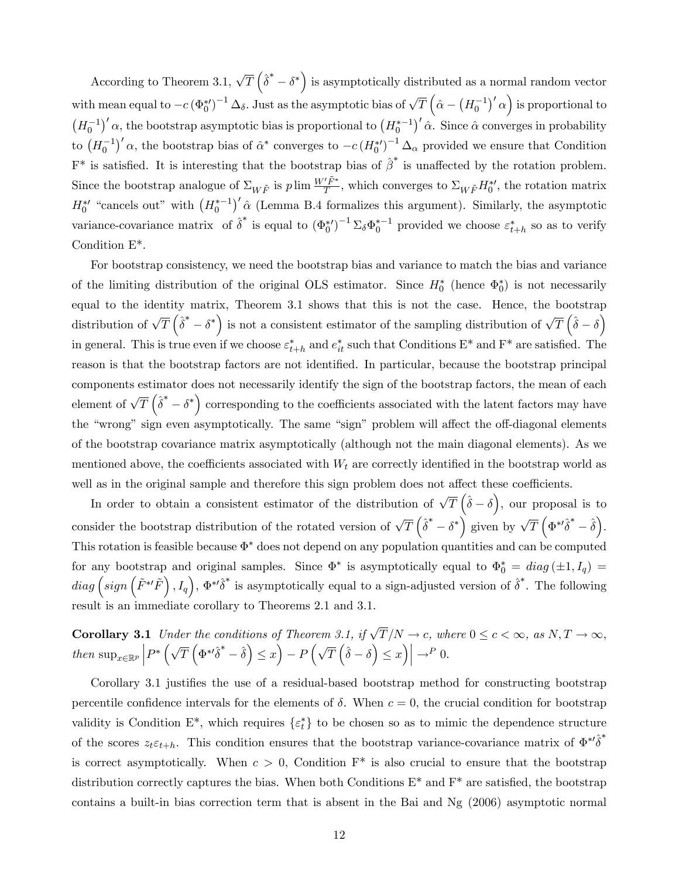According to Theorem 3.1,  $\sqrt{T} \left(\hat{\delta}^* - \delta^*\right)$  is asymptotically distributed as a normal random vector with mean equal to  $-c (\Phi_0^{*\prime})^{-1} \Delta_{\delta}$ . Just as the asymptotic bias of  $\sqrt{T} (\hat{\alpha} - (H_0^{-1})' \alpha)$  is proportional to  $(H_0^{-1})' \alpha$ , the bootstrap asymptotic bias is proportional to  $(H_0^{*-1})' \hat{\alpha}$ . Since  $\hat{\alpha}$  converges in probability to  $(H_0^{-1})'$   $\alpha$ , the bootstrap bias of  $\hat{\alpha}^*$  converges to  $-c(H_0^{*\prime})^{-1} \Delta_{\alpha}$  provided we ensure that Condition  $F^*$  is satisfied. It is interesting that the bootstrap bias of  $\hat{\beta}^*$  is unaffected by the rotation problem. Since the bootstrap analogue of  $\Sigma_{W\tilde{F}}$  is  $p \lim \frac{W'\tilde{F}^*}{T}$ , which converges to  $\Sigma_{W\tilde{F}}H_0^{*\prime}$ , the rotation matrix  $H_0^{*'}$  "cancels out" with  $(H_0^{*-1})' \hat{\alpha}$  (Lemma B.4 formalizes this argument). Similarly, the asymptotic variance-covariance matrix of  $\hat{\delta}^*$  is equal to  $(\Phi_0^{*})^{-1} \Sigma_{\delta} \Phi_0^{*-1}$  provided we choose  $\varepsilon_{t+h}^*$  so as to verify Condition E\*.

For bootstrap consistency, we need the bootstrap bias and variance to match the bias and variance of the limiting distribution of the original OLS estimator. Since  $H_0^*$  (hence  $\Phi_0^*$ ) is not necessarily equal to the identity matrix, Theorem 3.1 shows that this is not the case. Hence, the bootstrap distribution of  $\sqrt{T} \left( \hat{\delta}^* - \delta^* \right)$  is not a consistent estimator of the sampling distribution of  $\sqrt{T} \left( \hat{\delta} - \delta \right)$ in general. This is true even if we choose  $\varepsilon_{t+h}^*$  and  $e_{it}^*$  such that Conditions  $E^*$  and  $F^*$  are satisfied. The reason is that the bootstrap factors are not identified. In particular, because the bootstrap principal components estimator does not necessarily identify the sign of the bootstrap factors, the mean of each element of  $\sqrt{T}$   $(\hat{\delta}^* - \delta^*)$  corresponding to the coefficients associated with the latent factors may have the "wrong" sign even asymptotically. The same "sign" problem will affect the off-diagonal elements of the bootstrap covariance matrix asymptotically (although not the main diagonal elements). As we mentioned above, the coefficients associated with  $W_t$  are correctly identified in the bootstrap world as well as in the original sample and therefore this sign problem does not affect these coefficients.

In order to obtain a consistent estimator of the distribution of  $\sqrt{T}(\hat{\delta}-\delta)$ , our proposal is to consider the bootstrap distribution of the rotated version of  $\sqrt{T} \left( \hat{\delta}^* - \delta^* \right)$  given by  $\sqrt{T} \left( \Phi^{*\prime} \hat{\delta}^* - \hat{\delta} \right)$ . This rotation is feasible because  $\Phi^*$  does not depend on any population quantities and can be computed for any bootstrap and original samples. Since  $\Phi^*$  is asymptotically equal to  $\Phi_0^* = diag(\pm 1, I_q) =$  $diag\left(sign\left(\tilde{F}^{*t}\tilde{F}\right),I_q\right),\Phi^{*t}\tilde{\delta}^*$  is asymptotically equal to a sign-adjusted version of  $\tilde{\delta}^*$ . The following result is an immediate corollary to Theorems 2.1 and 3.1.

**Corollary 3.1** Under the conditions of Theorem 3.1, if  $\sqrt{T}/N \to c$ , where  $0 \le c < \infty$ , as  $N, T \to \infty$ , then  $\sup_{x \in \mathbb{R}^p} \left| P^* \left( \sqrt{T} \left( \Phi^{*t} \hat{\delta}^* - \hat{\delta} \right) \leq x \right) - P \left( \sqrt{T} \left( \hat{\delta} - \delta \right) \leq x \right) \right| \to^P 0.$ 

Corollary 3.1 justifies the use of a residual-based bootstrap method for constructing bootstrap percentile confidence intervals for the elements of  $\delta$ . When  $c = 0$ , the crucial condition for bootstrap validity is Condition  $E^*$ , which requires  $\{\varepsilon_t^*\}$  to be chosen so as to mimic the dependence structure of the scores  $z_t \varepsilon_{t+h}$ . This condition ensures that the bootstrap variance-covariance matrix of  $\Phi^{*}\hat{\delta}^*$ is correct asymptotically. When  $c > 0$ , Condition  $F^*$  is also crucial to ensure that the bootstrap distribution correctly captures the bias. When both Conditions  $E^*$  and  $F^*$  are satisfied, the bootstrap contains a built-in bias correction term that is absent in the Bai and Ng (2006) asymptotic normal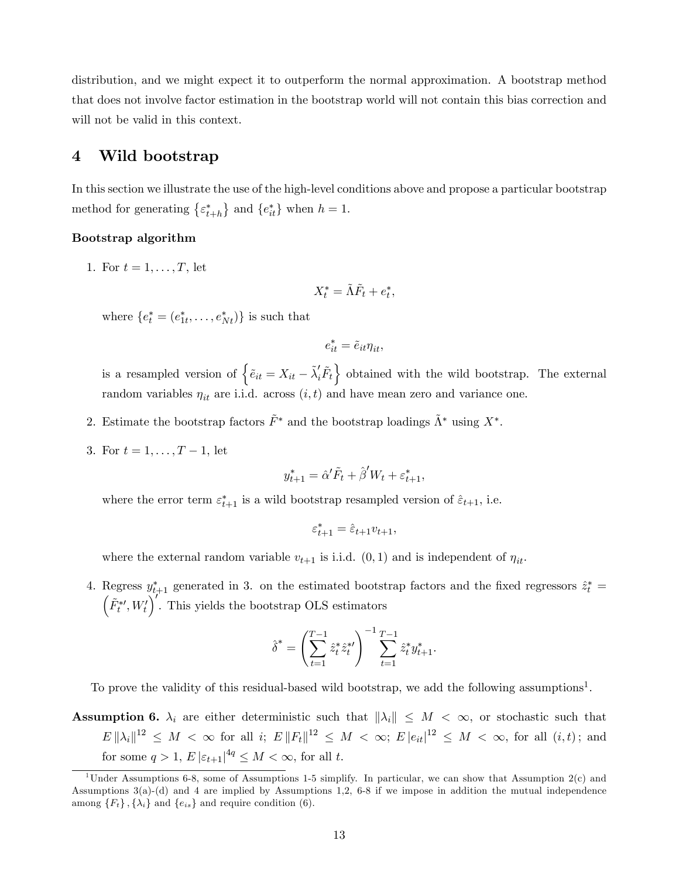distribution, and we might expect it to outperform the normal approximation. A bootstrap method that does not involve factor estimation in the bootstrap world will not contain this bias correction and will not be valid in this context.

## 4 Wild bootstrap

In this section we illustrate the use of the high-level conditions above and propose a particular bootstrap method for generating  $\{\varepsilon_{t+h}^*\}$  and  $\{e_{it}^*\}$  when  $h = 1$ .

#### Bootstrap algorithm

1. For  $t = 1, ..., T$ , let

$$
X_t^* = \tilde{\Lambda} \tilde{F}_t + e_t^*,
$$

where  $\{e_t^* = (e_{1t}^*, \ldots, e_{Nt}^*)\}$  is such that

$$
e_{it}^* = \tilde{e}_{it} \eta_{it},
$$

is a resampled version of  $\left\{ \tilde{e}_{it} = X_{it} - \tilde{\lambda}'_i \tilde{F}_t \right\}$  obtained with the wild bootstrap. The external random variables  $\eta_{it}$  are i.i.d. across  $(i, t)$  and have mean zero and variance one.

- 2. Estimate the bootstrap factors  $\tilde{F}^*$  and the bootstrap loadings  $\tilde{\Lambda}^*$  using  $X^*$ .
- 3. For  $t = 1, ..., T 1$ , let

$$
y_{t+1}^* = \hat{\alpha}' \tilde{F}_t + \hat{\beta}' W_t + \varepsilon_{t+1}^*,
$$

where the error term  $\varepsilon_{t+1}^*$  is a wild bootstrap resampled version of  $\hat{\varepsilon}_{t+1}$ , i.e.

$$
\varepsilon_{t+1}^* = \hat{\varepsilon}_{t+1} v_{t+1},
$$

where the external random variable  $v_{t+1}$  is i.i.d.  $(0, 1)$  and is independent of  $\eta_{it}$ .

4. Regress  $y_{t+1}^*$  generated in 3. on the estimated bootstrap factors and the fixed regressors  $\hat{z}_t^* = (\tilde{F}^{*t} W')'$ . This viable the bootstrap OIS setimates  $\tilde{F}^{*\prime}_t, W_t'$ ). This yields the bootstrap OLS estimators

$$
\hat{\delta}^* = \left(\sum_{t=1}^{T-1} \hat{z}_t^* \hat{z}_t^{*t}\right)^{-1} \sum_{t=1}^{T-1} \hat{z}_t^* y_{t+1}^*.
$$

To prove the validity of this residual-based wild bootstrap, we add the following assumptions<sup>1</sup>.

**Assumption 6.**  $\lambda_i$  are either deterministic such that  $\|\lambda_i\| \leq M < \infty$ , or stochastic such that  $E\|\lambda_i\|^{12} \leq M < \infty$  for all i;  $E\|F_t\|^{12} \leq M < \infty$ ;  $E\,|e_{it}|^{12} \leq M < \infty$ , for all  $(i,t)$ ; and for some  $q > 1$ ,  $E |\varepsilon_{t+1}|^{4q} \leq M < \infty$ , for all t.

<sup>&</sup>lt;sup>1</sup>Under Assumptions 6-8, some of Assumptions 1-5 simplify. In particular, we can show that Assumption  $2(c)$  and Assumptions 3(a)-(d) and 4 are implied by Assumptions 1,2, 6-8 if we impose in addition the mutual independence among  $\{F_t\}$ ,  $\{\lambda_i\}$  and  $\{e_{is}\}$  and require condition (6).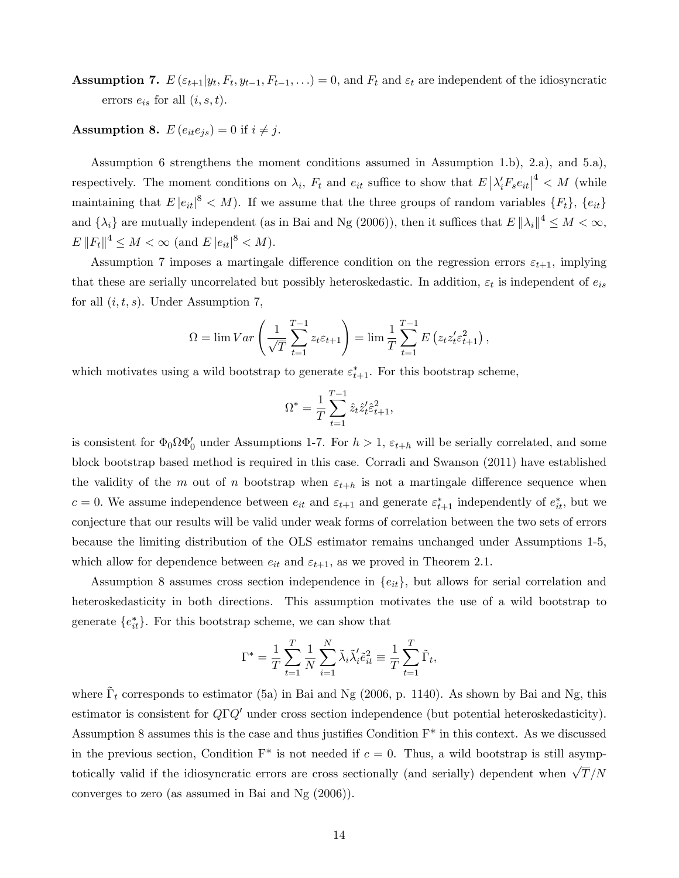**Assumption 7.**  $E\left(\varepsilon_{t+1}|y_t, F_t, y_{t-1}, F_{t-1}, \ldots\right) = 0$ , and  $F_t$  and  $\varepsilon_t$  are independent of the idiosyncratic errors  $e_{is}$  for all  $(i, s, t)$ .

**Assumption 8.**  $E(e_{it}e_{is}) = 0$  if  $i \neq j$ .

Assumption 6 strengthens the moment conditions assumed in Assumption 1.b), 2.a), and 5.a), respectively. The moment conditions on  $\lambda_i$ ,  $F_t$  and  $e_{it}$  suffice to show that  $E\left|\lambda_i'F_se_{it}\right|^4 < M$  (while maintaining that  $E |e_{it}|^8 < M$ ). If we assume that the three groups of random variables  $\{F_t\}$ ,  $\{e_{it}\}$ and  $\{\lambda_i\}$  are mutually independent (as in Bai and Ng (2006)), then it suffices that  $E\|\lambda_i\|^4 \leq M < \infty$ ,  $E \|F_t\|^4 \le M < \infty \text{ (and } E |e_{it}|^8 < M).$ 

Assumption 7 imposes a martingale difference condition on the regression errors  $\varepsilon_{t+1}$ , implying that these are serially uncorrelated but possibly heteroskedastic. In addition,  $\varepsilon_t$  is independent of  $e_{is}$ for all  $(i, t, s)$ . Under Assumption 7,

$$
\Omega = \lim Var \left( \frac{1}{\sqrt{T}} \sum_{t=1}^{T-1} z_t \varepsilon_{t+1} \right) = \lim \frac{1}{T} \sum_{t=1}^{T-1} E \left( z_t z_t' \varepsilon_{t+1}^2 \right),
$$

which motivates using a wild bootstrap to generate  $\varepsilon_{t+1}^*$ . For this bootstrap scheme,

$$
\Omega^* = \frac{1}{T}\sum_{t=1}^{T-1} \hat{z}_t \hat{z}_t' \hat{\varepsilon}_{t+1}^2,
$$

is consistent for  $\Phi_0 \Omega \Phi_0'$  under Assumptions 1-7. For  $h > 1$ ,  $\varepsilon_{t+h}$  will be serially correlated, and some block bootstrap based method is required in this case. Corradi and Swanson (2011) have established the validity of the m out of n bootstrap when  $\varepsilon_{t+h}$  is not a martingale difference sequence when  $c = 0$ . We assume independence between  $e_{it}$  and  $\varepsilon_{t+1}$  and generate  $\varepsilon_{t+1}^*$  independently of  $e_{it}^*$ , but we conjecture that our results will be valid under weak forms of correlation between the two sets of errors because the limiting distribution of the OLS estimator remains unchanged under Assumptions 1-5, which allow for dependence between  $e_{it}$  and  $\varepsilon_{t+1}$ , as we proved in Theorem 2.1.

Assumption 8 assumes cross section independence in  ${e_{it}}$ , but allows for serial correlation and heteroskedasticity in both directions. This assumption motivates the use of a wild bootstrap to generate  $\{e_{it}^*\}$ . For this bootstrap scheme, we can show that

$$
\Gamma^* = \frac{1}{T} \sum_{t=1}^T \frac{1}{N} \sum_{i=1}^N \tilde{\lambda}_i \tilde{\lambda}_i' \tilde{e}_{it}^2 \equiv \frac{1}{T} \sum_{t=1}^T \tilde{\Gamma}_t,
$$

where  $\tilde{\Gamma}_t$  corresponds to estimator (5a) in Bai and Ng (2006, p. 1140). As shown by Bai and Ng, this estimator is consistent for  $Q\Gamma Q'$  under cross section independence (but potential heteroskedasticity). Assumption 8 assumes this is the case and thus justifies Condition  $F^*$  in this context. As we discussed in the previous section, Condition  $F^*$  is not needed if  $c = 0$ . Thus, a wild bootstrap is still asymptotically valid if the idiosyncratic errors are cross sectionally (and serially) dependent when  $\sqrt{T}/N$ converges to zero (as assumed in Bai and Ng (2006)).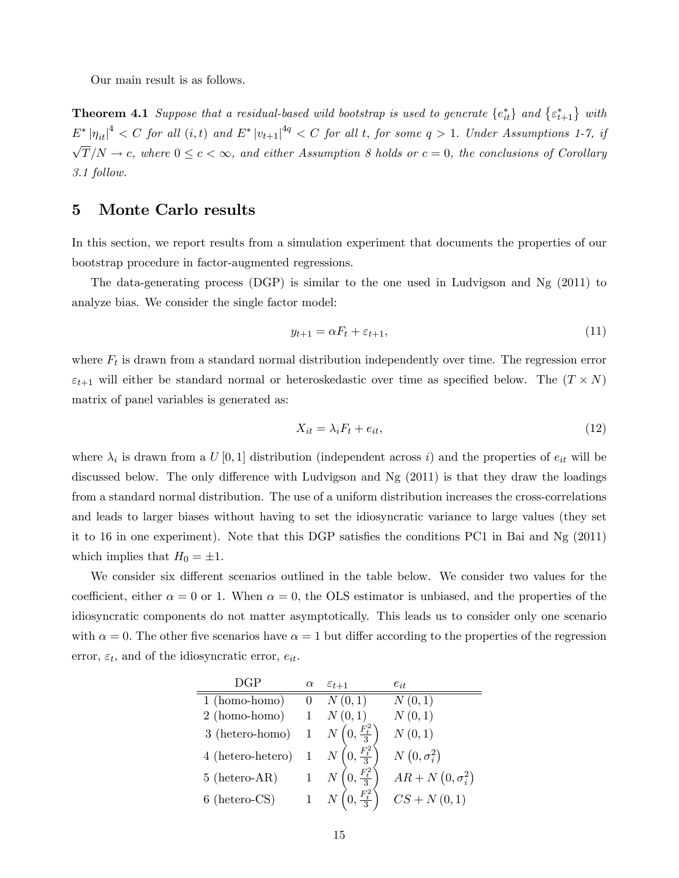Our main result is as follows.

**Theorem 4.1** Suppose that a residual-based wild bootstrap is used to generate  $\{e_{it}^*\}$  and  $\{\varepsilon_{t+1}^*\}$  with  $E^* \left| \eta_{it} \right|^4 < C$  for all  $(i, t)$  and  $E^* \left| v_{t+1} \right|^{4q} < C$  for all t, for some  $q > 1$ . Under Assumptions 1-7, if  $\sqrt{T}/N \to c$ , where  $0 \leq c < \infty$ , and either Assumption 8 holds or  $c = 0$ , the conclusions of Corollary 3.1 follow.

## 5 Monte Carlo results

In this section, we report results from a simulation experiment that documents the properties of our bootstrap procedure in factor-augmented regressions.

The data-generating process (DGP) is similar to the one used in Ludvigson and Ng (2011) to analyze bias. We consider the single factor model:

$$
y_{t+1} = \alpha F_t + \varepsilon_{t+1},\tag{11}
$$

where  $F_t$  is drawn from a standard normal distribution independently over time. The regression error  $\varepsilon_{t+1}$  will either be standard normal or heteroskedastic over time as specified below. The  $(T \times N)$ matrix of panel variables is generated as:

$$
X_{it} = \lambda_i F_t + e_{it},\tag{12}
$$

where  $\lambda_i$  is drawn from a  $U[0,1]$  distribution (independent across i) and the properties of  $e_{it}$  will be discussed below. The only difference with Ludvigson and Ng  $(2011)$  is that they draw the loadings from a standard normal distribution. The use of a uniform distribution increases the cross-correlations and leads to larger biases without having to set the idiosyncratic variance to large values (they set it to 16 in one experiment). Note that this DGP satisfies the conditions PC1 in Bai and Ng  $(2011)$ which implies that  $H_0 = \pm 1$ .

We consider six different scenarios outlined in the table below. We consider two values for the coefficient, either  $\alpha = 0$  or 1. When  $\alpha = 0$ , the OLS estimator is unbiased, and the properties of the idiosyncratic components do not matter asymptotically. This leads us to consider only one scenario with  $\alpha = 0$ . The other five scenarios have  $\alpha = 1$  but differ according to the properties of the regression error,  $\varepsilon_t$ , and of the idiosyncratic error,  $e_{it}$ .

| DGP                    | $\alpha$     | $\varepsilon_{t+1}$                  | $e_{it}$                |
|------------------------|--------------|--------------------------------------|-------------------------|
| 1 (homo-homo)          | $\theta$     | N(0,1)                               | N(0,1)                  |
| 2 (homo-homo)          |              | N(0,1)                               | N(0,1)                  |
| $3$ (hetero-homo) $\,$ | $\mathbf{1}$ | $N\left(0,\frac{F_t^2}{3}\right)$    | N(0,1)                  |
| 4 (hetero-hetero)      |              | $N\left(0,\frac{F_t^2}{3}\right)$    | $N(0, \sigma_i^2)$      |
| $5$ (hetero-AR)        |              | $0, \frac{F_t^2}{3}$                 | $AR + N(0, \sigma_i^2)$ |
| $6$ (hetero-CS)        |              | 1 $N\left(0, \frac{F_t^2}{3}\right)$ | $CS + N(0, 1)$          |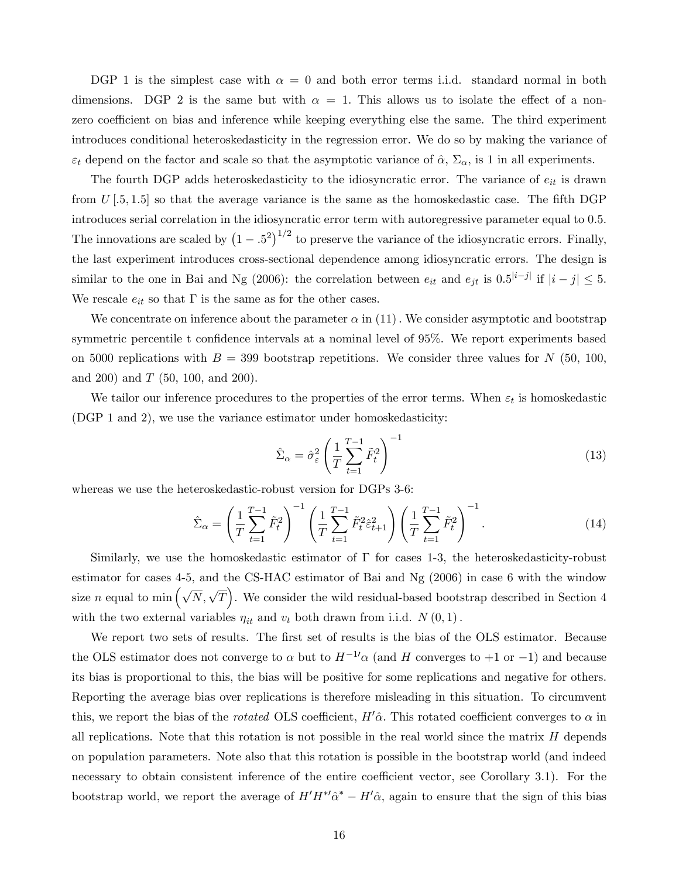DGP 1 is the simplest case with  $\alpha = 0$  and both error terms i.i.d. standard normal in both dimensions. DGP 2 is the same but with  $\alpha = 1$ . This allows us to isolate the effect of a nonzero coefficient on bias and inference while keeping everything else the same. The third experiment introduces conditional heteroskedasticity in the regression error. We do so by making the variance of  $\varepsilon_t$  depend on the factor and scale so that the asymptotic variance of  $\hat{\alpha}$ ,  $\Sigma_{\alpha}$ , is 1 in all experiments.

The fourth DGP adds heteroskedasticity to the idiosyncratic error. The variance of  $e_{it}$  is drawn from  $U[.5, 1.5]$  so that the average variance is the same as the homoskedastic case. The fifth DGP introduces serial correlation in the idiosyncratic error term with autoregressive parameter equal to 0.5. The innovations are scaled by  $(1-.5^2)^{1/2}$  to preserve the variance of the idiosyncratic errors. Finally, the last experiment introduces cross-sectional dependence among idiosyncratic errors. The design is similar to the one in Bai and Ng (2006): the correlation between  $e_{it}$  and  $e_{jt}$  is  $0.5^{|i-j|}$  if  $|i-j| \leq 5$ . We rescale  $e_{it}$  so that  $\Gamma$  is the same as for the other cases.

We concentrate on inference about the parameter  $\alpha$  in (11). We consider asymptotic and bootstrap symmetric percentile t confidence intervals at a nominal level of  $95\%$ . We report experiments based on 5000 replications with  $B = 399$  bootstrap repetitions. We consider three values for N (50, 100, and 200) and  $T$  (50, 100, and 200).

We tailor our inference procedures to the properties of the error terms. When  $\varepsilon_t$  is homoskedastic (DGP 1 and 2), we use the variance estimator under homoskedasticity:

$$
\hat{\Sigma}_{\alpha} = \hat{\sigma}_{\varepsilon}^{2} \left( \frac{1}{T} \sum_{t=1}^{T-1} \tilde{F}_{t}^{2} \right)^{-1} \tag{13}
$$

whereas we use the heteroskedastic-robust version for DGPs 3-6:

$$
\hat{\Sigma}_{\alpha} = \left(\frac{1}{T} \sum_{t=1}^{T-1} \tilde{F}_t^2\right)^{-1} \left(\frac{1}{T} \sum_{t=1}^{T-1} \tilde{F}_t^2 \hat{\epsilon}_{t+1}^2\right) \left(\frac{1}{T} \sum_{t=1}^{T-1} \tilde{F}_t^2\right)^{-1}.
$$
\n(14)

Similarly, we use the homoskedastic estimator of  $\Gamma$  for cases 1-3, the heteroskedasticity-robust estimator for cases 4-5, and the CS-HAC estimator of Bai and Ng (2006) in case 6 with the window size *n* equal to min  $(\sqrt{N}, \sqrt{T})$ . We consider the wild residual-based bootstrap described in Section 4 with the two external variables  $\eta_{it}$  and  $v_t$  both drawn from i.i.d.  $N(0, 1)$ .

We report two sets of results. The first set of results is the bias of the OLS estimator. Because the OLS estimator does not converge to  $\alpha$  but to  $H^{-1} \alpha$  (and H converges to  $+1$  or  $-1$ ) and because its bias is proportional to this, the bias will be positive for some replications and negative for others. Reporting the average bias over replications is therefore misleading in this situation. To circumvent this, we report the bias of the *rotated* OLS coefficient,  $H' \hat{\alpha}$ . This rotated coefficient converges to  $\alpha$  in all replications. Note that this rotation is not possible in the real world since the matrix  $H$  depends on population parameters. Note also that this rotation is possible in the bootstrap world (and indeed necessary to obtain consistent inference of the entire coefficient vector, see Corollary 3.1). For the bootstrap world, we report the average of  $H'H^*\hat{\alpha}^* - H'\hat{\alpha}$ , again to ensure that the sign of this bias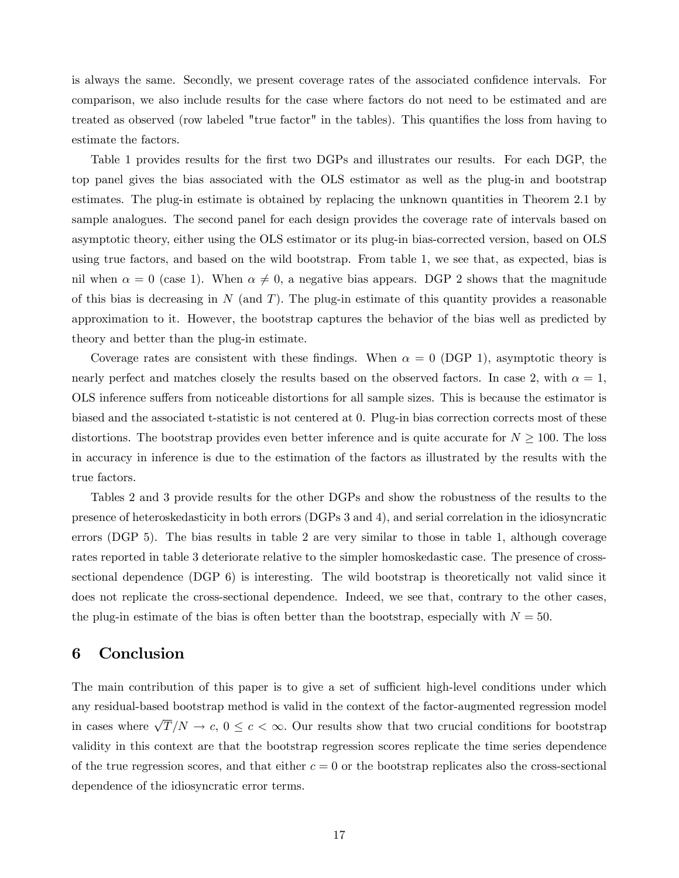is always the same. Secondly, we present coverage rates of the associated confidence intervals. For comparison, we also include results for the case where factors do not need to be estimated and are treated as observed (row labeled "true factor" in the tables). This quantifies the loss from having to estimate the factors.

Table 1 provides results for the first two DGPs and illustrates our results. For each DGP, the top panel gives the bias associated with the OLS estimator as well as the plug-in and bootstrap estimates. The plug-in estimate is obtained by replacing the unknown quantities in Theorem 2.1 by sample analogues. The second panel for each design provides the coverage rate of intervals based on asymptotic theory, either using the OLS estimator or its plug-in bias-corrected version, based on OLS using true factors, and based on the wild bootstrap. From table 1, we see that, as expected, bias is nil when  $\alpha = 0$  (case 1). When  $\alpha \neq 0$ , a negative bias appears. DGP 2 shows that the magnitude of this bias is decreasing in  $N$  (and  $T$ ). The plug-in estimate of this quantity provides a reasonable approximation to it. However, the bootstrap captures the behavior of the bias well as predicted by theory and better than the plug-in estimate.

Coverage rates are consistent with these findings. When  $\alpha = 0$  (DGP 1), asymptotic theory is nearly perfect and matches closely the results based on the observed factors. In case 2, with  $\alpha = 1$ , OLS inference suffers from noticeable distortions for all sample sizes. This is because the estimator is biased and the associated t-statistic is not centered at 0. Plug-in bias correction corrects most of these distortions. The bootstrap provides even better inference and is quite accurate for  $N \geq 100$ . The loss in accuracy in inference is due to the estimation of the factors as illustrated by the results with the true factors.

Tables 2 and 3 provide results for the other DGPs and show the robustness of the results to the presence of heteroskedasticity in both errors (DGPs 3 and 4), and serial correlation in the idiosyncratic errors (DGP 5). The bias results in table 2 are very similar to those in table 1, although coverage rates reported in table 3 deteriorate relative to the simpler homoskedastic case. The presence of crosssectional dependence (DGP 6) is interesting. The wild bootstrap is theoretically not valid since it does not replicate the cross-sectional dependence. Indeed, we see that, contrary to the other cases, the plug-in estimate of the bias is often better than the bootstrap, especially with  $N = 50$ .

## 6 Conclusion

The main contribution of this paper is to give a set of sufficient high-level conditions under which any residual-based bootstrap method is valid in the context of the factor-augmented regression model in cases where  $\sqrt{T}/N \to c, 0 \leq c < \infty$ . Our results show that two crucial conditions for bootstrap validity in this context are that the bootstrap regression scores replicate the time series dependence of the true regression scores, and that either  $c = 0$  or the bootstrap replicates also the cross-sectional dependence of the idiosyncratic error terms.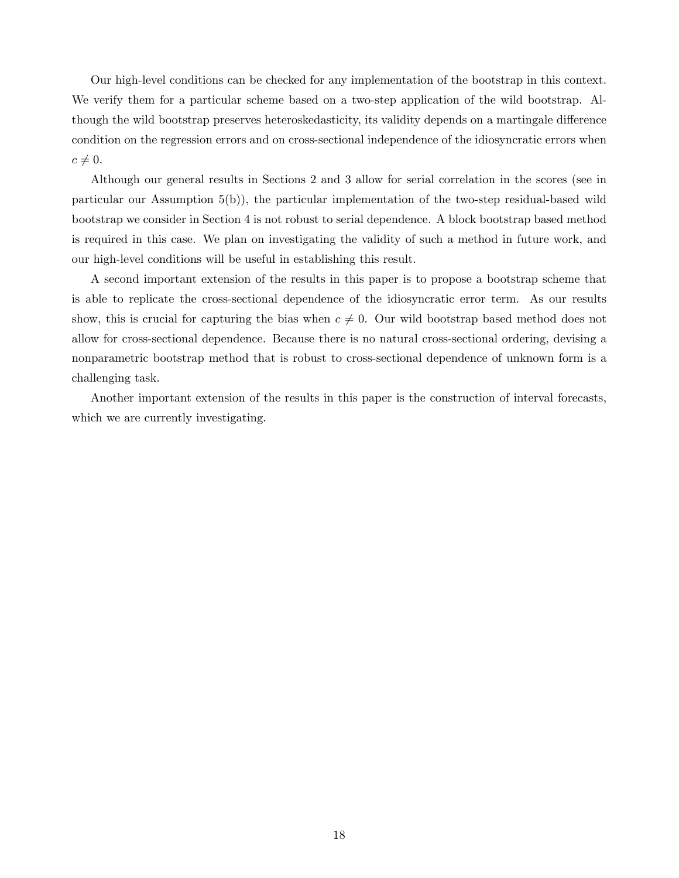Our high-level conditions can be checked for any implementation of the bootstrap in this context. We verify them for a particular scheme based on a two-step application of the wild bootstrap. Although the wild bootstrap preserves heteroskedasticity, its validity depends on a martingale difference condition on the regression errors and on cross-sectional independence of the idiosyncratic errors when  $c \neq 0.$ 

Although our general results in Sections 2 and 3 allow for serial correlation in the scores (see in particular our Assumption 5(b)), the particular implementation of the two-step residual-based wild bootstrap we consider in Section 4 is not robust to serial dependence. A block bootstrap based method is required in this case. We plan on investigating the validity of such a method in future work, and our high-level conditions will be useful in establishing this result.

A second important extension of the results in this paper is to propose a bootstrap scheme that is able to replicate the cross-sectional dependence of the idiosyncratic error term. As our results show, this is crucial for capturing the bias when  $c \neq 0$ . Our wild bootstrap based method does not allow for cross-sectional dependence. Because there is no natural cross-sectional ordering, devising a nonparametric bootstrap method that is robust to cross-sectional dependence of unknown form is a challenging task.

Another important extension of the results in this paper is the construction of interval forecasts, which we are currently investigating.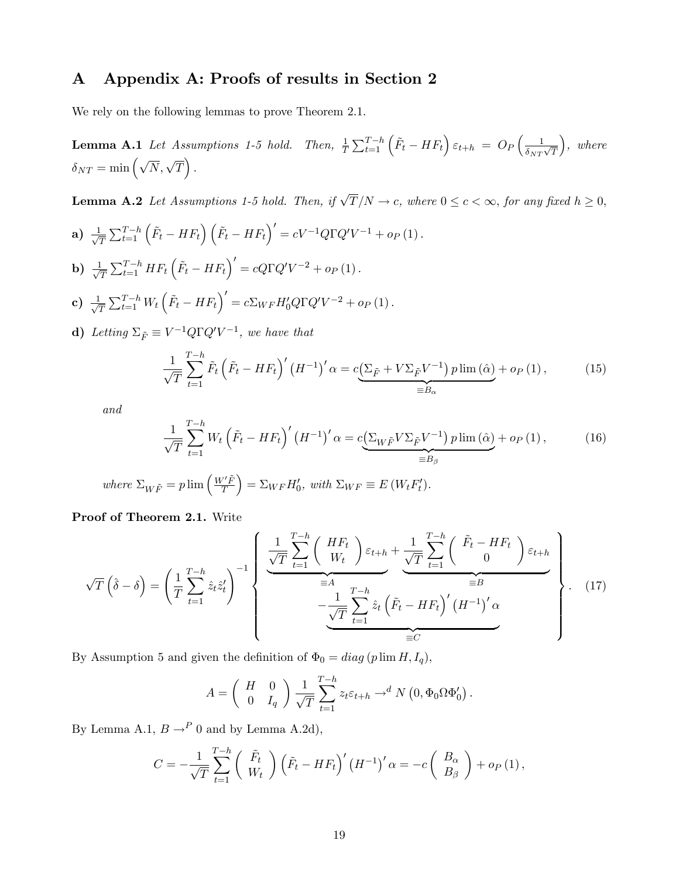# A Appendix A: Proofs of results in Section 2

We rely on the following lemmas to prove Theorem 2.1.

**Lemma A.1** Let Assumptions 1-5 hold. Then, 
$$
\frac{1}{T} \sum_{t=1}^{T-h} (\tilde{F}_t - HF_t) \varepsilon_{t+h} = O_P(\frac{1}{\delta_{NT}\sqrt{T}})
$$
, where  $\delta_{NT} = \min(\sqrt{N}, \sqrt{T})$ .

**Lemma A.2** Let Assumptions 1-5 hold. Then, if  $\sqrt{T}/N \to c$ , where  $0 \le c < \infty$ , for any fixed  $h \ge 0$ ,

a) 
$$
\frac{1}{\sqrt{T}} \sum_{t=1}^{T-h} (\tilde{F}_t - HF_t) (\tilde{F}_t - HF_t)' = cV^{-1}Q\Gamma Q'V^{-1} + o_P(1).
$$
  
\nb)  $\frac{1}{\sqrt{T}} \sum_{t=1}^{T-h} HF_t (\tilde{F}_t - HF_t)' = cQ\Gamma Q'V^{-2} + o_P(1).$   
\nc)  $\frac{1}{\sqrt{T}} \sum_{t=1}^{T-h} W_t (\tilde{F}_t - HF_t)' = c\Sigma_{WF} H'_0 Q\Gamma Q'V^{-2} + o_P(1).$ 

**d**) Letting  $\Sigma_{\tilde{F}} \equiv V^{-1}Q\Gamma Q'V^{-1}$ , we have that

$$
\frac{1}{\sqrt{T}}\sum_{t=1}^{T-h}\tilde{F}_t\left(\tilde{F}_t - HF_t\right)' \left(H^{-1}\right)' \alpha = c\underbrace{\left(\sum_{\tilde{F}} + V\Sigma_{\tilde{F}}V^{-1}\right)p\lim\left(\hat{\alpha}\right)}_{\equiv B_{\alpha}} + o_P\left(1\right),\tag{15}
$$

and

$$
\frac{1}{\sqrt{T}}\sum_{t=1}^{T-h}W_t\left(\tilde{F}_t - HF_t\right)' \left(H^{-1}\right)' \alpha = c\underbrace{\left(\sum_{W\tilde{F}}V\Sigma_{\tilde{F}}V^{-1}\right)p\lim\left(\hat{\alpha}\right)}_{\equiv B_\beta} + o_P\left(1\right),\tag{16}
$$

where 
$$
\Sigma_{W\tilde{F}} = p \lim \left( \frac{W'\tilde{F}}{T} \right) = \Sigma_{WF} H'_0
$$
, with  $\Sigma_{WF} \equiv E(W_t F'_t)$ .

Proof of Theorem 2.1. Write

$$
\sqrt{T}\left(\hat{\delta}-\delta\right) = \left(\frac{1}{T}\sum_{t=1}^{T-h}\hat{z}_t\hat{z}'_t\right)^{-1} \left\{\frac{\frac{1}{\sqrt{T}}\sum_{t=1}^{T-h}\left(\begin{array}{c}HF_t\\W_t\end{array}\right)\varepsilon_{t+h} + \frac{1}{\sqrt{T}}\sum_{t=1}^{T-h}\left(\begin{array}{c}\tilde{F}_t - HF_t\\0\end{array}\right)\varepsilon_{t+h}}{\frac{1}{\varepsilon A}\sum_{t=1}^{T-h}\hat{z}_t\left(\tilde{F}_t - HF_t\right)' \left(H^{-1}\right)' \alpha}\right\}.
$$
 (17)

By Assumption 5 and given the definition of  $\Phi_0 = diag (p \lim H, I_q)$ ,

$$
A = \begin{pmatrix} H & 0 \\ 0 & I_q \end{pmatrix} \frac{1}{\sqrt{T}} \sum_{t=1}^{T-h} z_t \varepsilon_{t+h} \to^d N(0, \Phi_0 \Omega \Phi'_0).
$$

By Lemma A.1,  $B \rightarrow^P 0$  and by Lemma A.2d),

$$
C = -\frac{1}{\sqrt{T}} \sum_{t=1}^{T-h} \left( \begin{array}{c} \tilde{F}_t \\ W_t \end{array} \right) \left( \tilde{F}_t - HF_t \right)' \left( H^{-1} \right)' \alpha = -c \left( \begin{array}{c} B_{\alpha} \\ B_{\beta} \end{array} \right) + o_P \left( 1 \right),
$$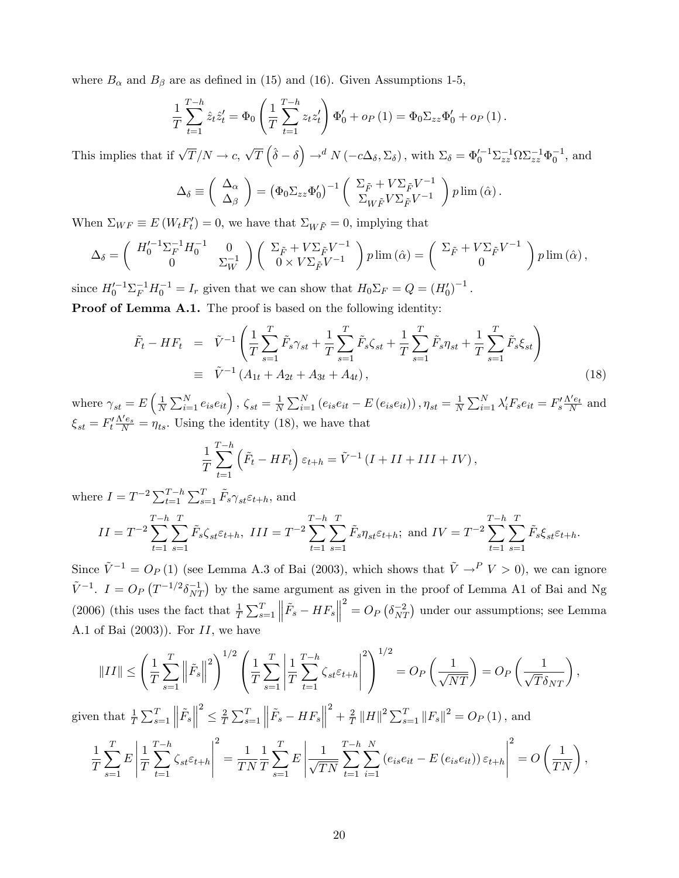where  $B_{\alpha}$  and  $B_{\beta}$  are as defined in (15) and (16). Given Assumptions 1-5,

$$
\frac{1}{T} \sum_{t=1}^{T-h} \hat{z}_t \hat{z}'_t = \Phi_0 \left( \frac{1}{T} \sum_{t=1}^{T-h} z_t z'_t \right) \Phi'_0 + o_P(1) = \Phi_0 \Sigma_{zz} \Phi'_0 + o_P(1).
$$

This implies that if  $\sqrt{T}/N \to c$ ,  $\sqrt{T} (\hat{\delta} - \delta) \to^d N (-c\Delta_{\delta}, \Sigma_{\delta})$ , with  $\Sigma_{\delta} = \Phi_0'^{-1} \Sigma_{zz}^{-1} \Omega \Sigma_{zz}^{-1} \Phi_0^{-1}$ , and

$$
\Delta_{\delta} \equiv \begin{pmatrix} \Delta_{\alpha} \\ \Delta_{\beta} \end{pmatrix} = (\Phi_0 \Sigma_{zz} \Phi'_0)^{-1} \begin{pmatrix} \Sigma_{\tilde{F}} + V \Sigma_{\tilde{F}} V^{-1} \\ \Sigma_{W \tilde{F}} V \Sigma_{\tilde{F}} V^{-1} \end{pmatrix} p \lim (\hat{\alpha}).
$$

When  $\Sigma_{WF} \equiv E(W_t F_t') = 0$ , we have that  $\Sigma_{WF} = 0$ , implying that

$$
\Delta_{\delta} = \begin{pmatrix} H_0'^{-1} \Sigma_F^{-1} H_0^{-1} & 0 \\ 0 & \Sigma_W^{-1} \end{pmatrix} \begin{pmatrix} \Sigma_{\tilde{F}} + V \Sigma_{\tilde{F}} V^{-1} \\ 0 \times V \Sigma_{\tilde{F}} V^{-1} \end{pmatrix} p \lim (\hat{\alpha}) = \begin{pmatrix} \Sigma_{\tilde{F}} + V \Sigma_{\tilde{F}} V^{-1} \\ 0 \end{pmatrix} p \lim (\hat{\alpha}),
$$

since  $H_0'^{-1} \Sigma_F^{-1} H_0^{-1} = I_r$  given that we can show that  $H_0 \Sigma_F = Q = (H_0')^{-1}$ .

Proof of Lemma A.1. The proof is based on the following identity:

$$
\tilde{F}_t - HF_t = \tilde{V}^{-1} \left( \frac{1}{T} \sum_{s=1}^T \tilde{F}_s \gamma_{st} + \frac{1}{T} \sum_{s=1}^T \tilde{F}_s \zeta_{st} + \frac{1}{T} \sum_{s=1}^T \tilde{F}_s \eta_{st} + \frac{1}{T} \sum_{s=1}^T \tilde{F}_s \xi_{st} \right)
$$
\n
$$
\equiv \tilde{V}^{-1} \left( A_{1t} + A_{2t} + A_{3t} + A_{4t} \right), \tag{18}
$$

where  $\gamma_{st} = E\left(\frac{1}{N}\right)$  $\frac{1}{N} \sum_{i=1}^{N} e_{is} e_{it} \right), \zeta_{st} = \frac{1}{N}$  $\frac{1}{N}\sum_{i=1}^{N}\left(e_{is}e_{it}-E\left(e_{is}e_{it}\right)\right),\eta_{st}=\frac{1}{N}$  $\frac{1}{N} \sum_{i=1}^{N} \lambda_i' F_s e_{it} = F_s' \frac{\Lambda' e_t}{N}$  and  $\xi_{st} = F_t' \frac{\Lambda' e_s}{N} = \eta_{ts}$ . Using the identity (18), we have that

$$
\frac{1}{T}\sum_{t=1}^{T-h} \left(\tilde{F}_t - HF_t\right)\varepsilon_{t+h} = \tilde{V}^{-1} \left(I + II + III + IV\right),\,
$$

where  $I = T^{-2} \sum_{t=1}^{T-h} \sum_{s=1}^{T} \tilde{F}_s \gamma_{st} \varepsilon_{t+h}$ , and

$$
II = T^{-2} \sum_{t=1}^{T-h} \sum_{s=1}^{T} \tilde{F}_s \zeta_{st} \varepsilon_{t+h}, \ III = T^{-2} \sum_{t=1}^{T-h} \sum_{s=1}^{T} \tilde{F}_s \eta_{st} \varepsilon_{t+h}; \ \text{and} \ IV = T^{-2} \sum_{t=1}^{T-h} \sum_{s=1}^{T} \tilde{F}_s \xi_{st} \varepsilon_{t+h}.
$$

Since  $\tilde{V}^{-1} = O_P(1)$  (see Lemma A.3 of Bai (2003), which shows that  $\tilde{V} \rightarrow P V > 0$ ), we can ignore  $\tilde{V}^{-1}$ .  $I = O_P(T^{-1/2}\delta_{NT}^{-1})$  by the same argument as given in the proof of Lemma A1 of Bai and Ng (2006) (this uses the fact that  $\frac{1}{T} \sum_{s=1}^{T}$  $\left\| \tilde{F}_{s}-HF_{s}\right\|$  $\sigma^2 = O_P\left(\delta_{NT}^{-2}\right)$  under our assumptions; see Lemma A.1 of Bai  $(2003)$ ). For  $II$ , we have

$$
||II|| \leq \left(\frac{1}{T}\sum_{s=1}^T \left\|\tilde{F}_s\right\|^2\right)^{1/2} \left(\frac{1}{T}\sum_{s=1}^T \left|\frac{1}{T}\sum_{t=1}^{T-h} \zeta_{st} \varepsilon_{t+h}\right|^2\right)^{1/2} = O_P\left(\frac{1}{\sqrt{NT}}\right) = O_P\left(\frac{1}{\sqrt{T}\delta_{NT}}\right),
$$

given that  $\frac{1}{T} \sum_{s=1}^{T}$  $\left\Vert \tilde{F}_{s}\right\Vert$ 2  $\leq \frac{2}{T}$  $\frac{2}{T} \sum_{s=1}^{T}$  $\left\| \tilde{F}_{s}-HF_{s}\right\|$  $^{2}+\frac{2}{7}$  $\frac{2}{T}$   $||H||^2 \sum_{s=1}^T ||F_s||^2 = O_P(1)$ , and

$$
\frac{1}{T} \sum_{s=1}^{T} E \left| \frac{1}{T} \sum_{t=1}^{T-h} \zeta_{st} \varepsilon_{t+h} \right|^2 = \frac{1}{TN} \frac{1}{T} \sum_{s=1}^{T} E \left| \frac{1}{\sqrt{TN}} \sum_{t=1}^{T-h} \sum_{i=1}^{N} \left( e_{is} e_{it} - E \left( e_{is} e_{it} \right) \right) \varepsilon_{t+h} \right|^2 = O\left(\frac{1}{TN}\right),
$$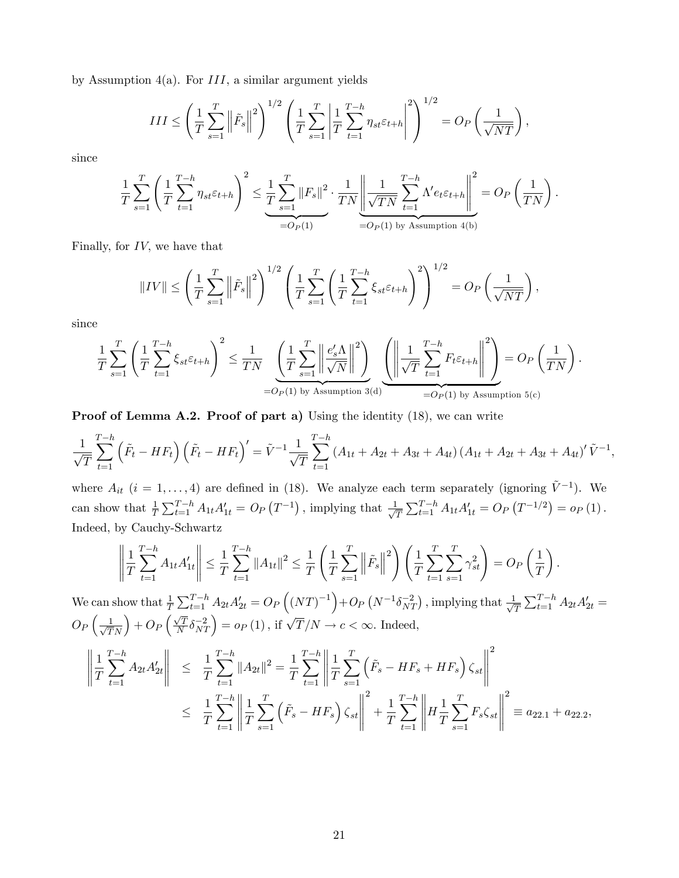by Assumption 4(a). For  $III$ , a similar argument yields

$$
III \le \left(\frac{1}{T} \sum_{s=1}^{T} \left\|\tilde{F}_{s}\right\|^{2}\right)^{1/2} \left(\frac{1}{T} \sum_{s=1}^{T} \left|\frac{1}{T} \sum_{t=1}^{T-h} \eta_{st} \varepsilon_{t+h}\right|^{2}\right)^{1/2} = O_{P}\left(\frac{1}{\sqrt{NT}}\right),
$$

since

$$
\frac{1}{T} \sum_{s=1}^{T} \left( \frac{1}{T} \sum_{t=1}^{T-h} \eta_{st} \varepsilon_{t+h} \right)^2 \leq \underbrace{\frac{1}{T} \sum_{s=1}^{T} ||F_s||^2}_{=O_P(1)} \cdot \frac{1}{TN} \left\| \frac{1}{\sqrt{TN}} \sum_{t=1}^{T-h} \Lambda' e_t \varepsilon_{t+h} \right\|^2 = O_P\left(\frac{1}{TN}\right).
$$

Finally, for  $IV$ , we have that

$$
||IV|| \le \left(\frac{1}{T} \sum_{s=1}^{T} \left\|\tilde{F}_s\right\|^2\right)^{1/2} \left(\frac{1}{T} \sum_{s=1}^{T} \left(\frac{1}{T} \sum_{t=1}^{T-h} \xi_{st} \varepsilon_{t+h}\right)^2\right)^{1/2} = O_P\left(\frac{1}{\sqrt{NT}}\right),
$$

since

$$
\frac{1}{T} \sum_{s=1}^T \left( \frac{1}{T} \sum_{t=1}^{T-h} \xi_{st} \varepsilon_{t+h} \right)^2 \le \frac{1}{TN} \underbrace{\left( \frac{1}{T} \sum_{s=1}^T \left\| \frac{e_s' \Lambda}{\sqrt{N}} \right\|^2 \right)}_{=O_P(1) \text{ by Assumption 3(d)}} \underbrace{\left( \left\| \frac{1}{\sqrt{T}} \sum_{t=1}^{T-h} F_t \varepsilon_{t+h} \right\|^2 \right)}_{=O_P(1) \text{ by Assumption 5(c)}} = O_P\left( \frac{1}{TN} \right).
$$

Proof of Lemma A.2. Proof of part a) Using the identity (18), we can write

$$
\frac{1}{\sqrt{T}}\sum_{t=1}^{T-h} (\tilde{F}_t - HF_t) (\tilde{F}_t - HF_t)' = \tilde{V}^{-1} \frac{1}{\sqrt{T}}\sum_{t=1}^{T-h} (A_{1t} + A_{2t} + A_{3t} + A_{4t}) (A_{1t} + A_{2t} + A_{3t} + A_{4t})' \tilde{V}^{-1},
$$

where  $A_{it}$   $(i = 1, \ldots, 4)$  are defined in (18). We analyze each term separately (ignoring  $\tilde{V}^{-1}$ ). We can show that  $\frac{1}{T} \sum_{t=1}^{T-h} A_{1t} A'_{1t} = O_P(T^{-1})$ , implying that  $\frac{1}{\sqrt{2}}$  $\frac{1}{T} \sum_{t=1}^{T-h} A_{1t} A'_{1t} = O_P(T^{-1/2}) = o_P(1)$ . Indeed, by Cauchy-Schwartz

$$
\left\| \frac{1}{T} \sum_{t=1}^{T-h} A_{1t} A'_{1t} \right\| \leq \frac{1}{T} \sum_{t=1}^{T-h} \|A_{1t}\|^2 \leq \frac{1}{T} \left( \frac{1}{T} \sum_{s=1}^{T} \left\| \tilde{F}_s \right\|^2 \right) \left( \frac{1}{T} \sum_{t=1}^{T} \sum_{s=1}^{T} \gamma_{st}^2 \right) = O_P\left(\frac{1}{T}\right).
$$

We can show that  $\frac{1}{T} \sum_{t=1}^{T-h} A_{2t} A'_{2t} = O_P\left((NT)^{-1}\right) + O_P\left(N^{-1} \delta_{NT}^{-2}\right)$ , implying that  $\frac{1}{\sqrt{2}}$  $\frac{1}{T}\sum_{t=1}^{T-h}A_{2t}A_{2t}^{\prime}=$  $O_P\left(\frac{1}{\sqrt{T}N}\right) + O_P\left(\frac{\sqrt{T}}{N}\right)$  $\left(\frac{\sqrt{T}}{N}\delta_{NT}^{-2}\right) = o_P(1)$ , if  $\sqrt{T}/N \to c < \infty$ . Indeed,

$$
\left\| \frac{1}{T} \sum_{t=1}^{T-h} A_{2t} A'_{2t} \right\| \leq \frac{1}{T} \sum_{t=1}^{T-h} \|A_{2t}\|^2 = \frac{1}{T} \sum_{t=1}^{T-h} \left\| \frac{1}{T} \sum_{s=1}^{T} \left( \tilde{F}_s - HF_s + HF_s \right) \zeta_{st} \right\|^2
$$
  

$$
\leq \frac{1}{T} \sum_{t=1}^{T-h} \left\| \frac{1}{T} \sum_{s=1}^{T} \left( \tilde{F}_s - HF_s \right) \zeta_{st} \right\|^2 + \frac{1}{T} \sum_{t=1}^{T-h} \left\| H \frac{1}{T} \sum_{s=1}^{T} F_s \zeta_{st} \right\|^2 \equiv a_{22.1} + a_{22.2},
$$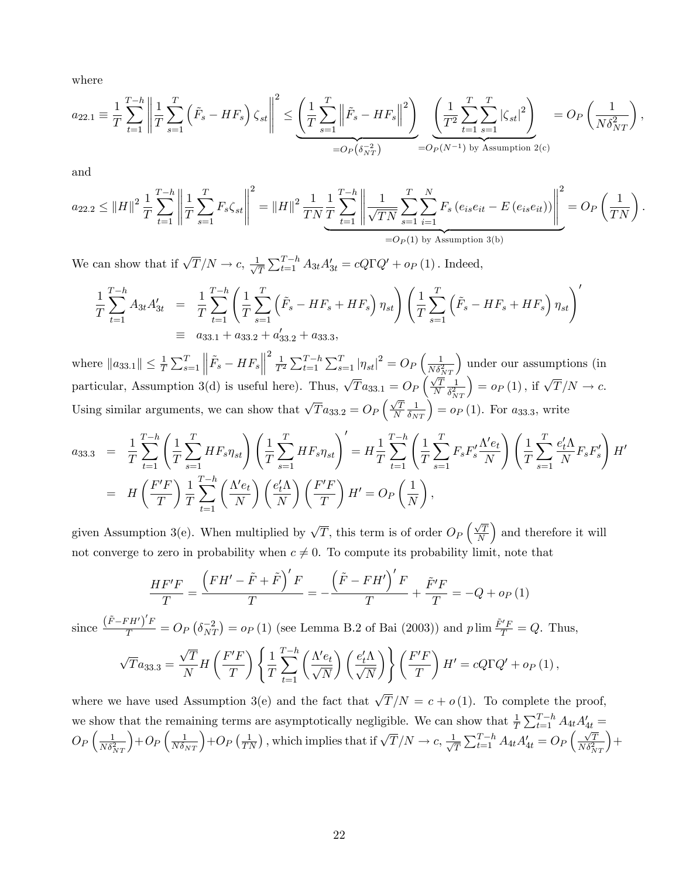where

$$
a_{22.1} \equiv \frac{1}{T} \sum_{t=1}^{T-h} \left\| \frac{1}{T} \sum_{s=1}^{T} \left( \tilde{F}_s - HF_s \right) \zeta_{st} \right\|^2 \le \underbrace{\left( \frac{1}{T} \sum_{s=1}^{T} \left\| \tilde{F}_s - HF_s \right\|^2 \right)}_{=O_P(\delta_{NT}^{-2})} \underbrace{\left( \frac{1}{T^2} \sum_{t=1}^{T} \sum_{s=1}^{T} \left| \zeta_{st} \right|^2 \right)}_{=O_P(N^{-1}) \text{ by Assumption 2(c)}} = O_P\left( \frac{1}{N \delta_{NT}^2} \right),
$$

and

$$
a_{22.2} \leq ||H||^2 \frac{1}{T} \sum_{t=1}^{T-h} \left\| \frac{1}{T} \sum_{s=1}^T F_s \zeta_{st} \right\|^2 = ||H||^2 \frac{1}{TN} \frac{1}{T} \sum_{t=1}^{T-h} \left\| \frac{1}{\sqrt{TN}} \sum_{s=1}^T \sum_{i=1}^N F_s \left( e_{is} e_{it} - E \left( e_{is} e_{it} \right) \right) \right\|^2 = O_P \left( \frac{1}{TN} \right).
$$
  
=  $O_P(1)$  by Assumption 3(b)

We can show that if  $\sqrt{T}/N \to c$ ,  $\frac{1}{\sqrt{2}}$  $\frac{1}{T} \sum_{t=1}^{T-h} A_{3t} A'_{3t} = cQ\Gamma Q' + o_P(1)$ . Indeed,

$$
\frac{1}{T} \sum_{t=1}^{T-h} A_{3t} A'_{3t} = \frac{1}{T} \sum_{t=1}^{T-h} \left( \frac{1}{T} \sum_{s=1}^{T} \left( \tilde{F}_{s} - HF_{s} + HF_{s} \right) \eta_{st} \right) \left( \frac{1}{T} \sum_{s=1}^{T} \left( \tilde{F}_{s} - HF_{s} + HF_{s} \right) \eta_{st} \right)^{\prime}
$$
\n
$$
\equiv a_{33.1} + a_{33.2} + a'_{33.2} + a_{33.3},
$$

where  $||a_{33.1}|| \leq \frac{1}{T} \sum_{s=1}^{T}$  $\left\| \tilde{F}_{s}-HF_{s}\right\|$  $\frac{2}{T^2} \sum_{t=1}^{T-h} \sum_{s=1}^{T} |\eta_{st}|^2 = O_P \left( \frac{1}{N \delta_{NT}^2} \right)$  under our assumptions (in particular, Assumption 3(d) is useful here). Thus,  $\sqrt{T}a_{33.1} = O_P\left(\frac{\sqrt{T}}{N}\right)$ N 1  $\delta_{NT}^2$  $= o_P(1)$ , if  $\sqrt{T}/N \to c$ . Using similar arguments, we can show that  $\sqrt{T} a_{33.2} = O_P\left(\frac{\sqrt{T}}{N}\right)$ N  $\left(\frac{1}{\delta_{NT}}\right) = o_P(1)$ . For  $a_{33.3}$ , write

$$
a_{33.3} = \frac{1}{T} \sum_{t=1}^{T-h} \left( \frac{1}{T} \sum_{s=1}^{T} H F_s \eta_{st} \right) \left( \frac{1}{T} \sum_{s=1}^{T} H F_s \eta_{st} \right)' = H \frac{1}{T} \sum_{t=1}^{T-h} \left( \frac{1}{T} \sum_{s=1}^{T} F_s F_s' \frac{\Lambda' e_t}{N} \right) \left( \frac{1}{T} \sum_{s=1}^{T} \frac{e_t' \Lambda}{N} F_s F_s' \right) H' = H \left( \frac{F'F}{T} \right) \frac{1}{T} \sum_{t=1}^{T-h} \left( \frac{\Lambda' e_t}{N} \right) \left( \frac{e_t' \Lambda}{N} \right) \left( \frac{F'F}{T} \right) H' = O_P \left( \frac{1}{N} \right),
$$

given Assumption 3(e). When multiplied by  $\sqrt{T}$ , this term is of order  $O_P\left(\frac{\sqrt{T}}{N}\right)$ N ) and therefore it will not converge to zero in probability when  $c \neq 0$ . To compute its probability limit, note that

$$
\frac{HF'F}{T} = \frac{\left(FH' - \tilde{F} + \tilde{F}\right)'F}{T} = -\frac{\left(\tilde{F} - FH'\right)'F}{T} + \frac{\tilde{F}'F}{T} = -Q + o_P\left(1\right)
$$

since  $\frac{(\tilde{F}-FH')'F}{T} = O_P(\delta_{NT}^{-2}) = o_P(1)$  (see Lemma B.2 of Bai (2003)) and  $p \lim \frac{\tilde{F}'F}{T} = Q$ . Thus,

$$
\sqrt{T}a_{33.3} = \frac{\sqrt{T}}{N}H\left(\frac{F'F}{T}\right)\left\{\frac{1}{T}\sum_{t=1}^{T-h}\left(\frac{\Lambda'e_t}{\sqrt{N}}\right)\left(\frac{e'_t\Lambda}{\sqrt{N}}\right)\right\}\left(\frac{F'F}{T}\right)H' = cQ\Gamma Q' + o_P\left(1\right),\,
$$

where we have used Assumption 3(e) and the fact that  $\sqrt{T}/N = c + o(1)$ . To complete the proof, we show that the remaining terms are asymptotically negligible. We can show that  $\frac{1}{T} \sum_{t=1}^{T-h} A_{4t} A'_{4t} =$  $O_P\left(\frac{1}{N\delta_{NT}^2}\right)$  $\left(1 + O_P\left(\frac{1}{N\delta_{NT}}\right) + O_P\left(\frac{1}{TN}\right),\right.$  which implies that if  $\sqrt{T}/N \to c, \frac{1}{\sqrt{2}}$  $\frac{1}{T}\sum_{t=1}^{T-h}A_{4t}A_{4t}' = O_P\left(\frac{\sqrt{T}}{N\delta_{NT}^2}\right)$  $+$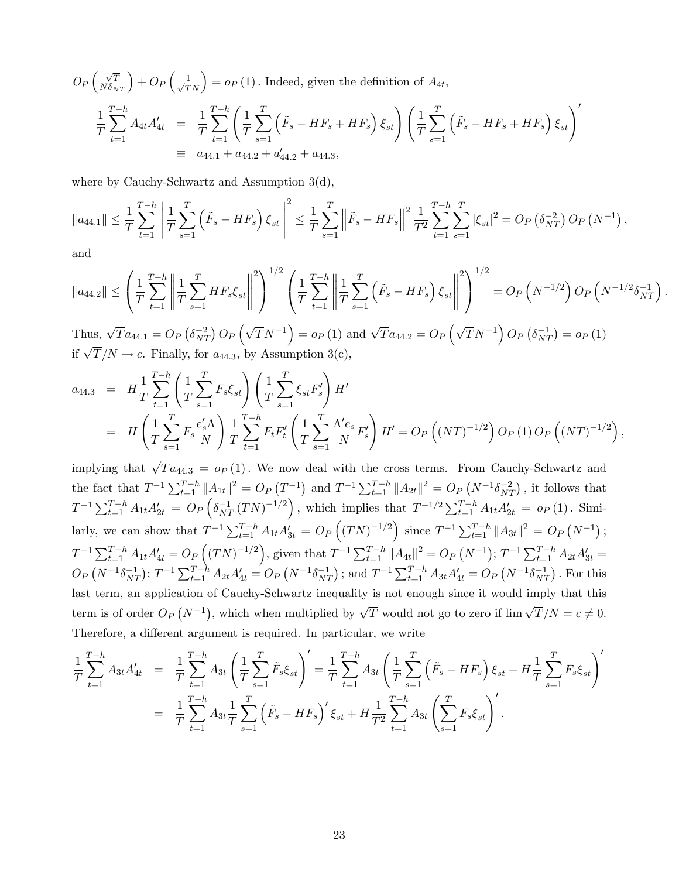$$
O_P\left(\frac{\sqrt{T}}{N\delta_{NT}}\right) + O_P\left(\frac{1}{\sqrt{T}N}\right) = o_P\left(1\right).
$$
 Indeed, given the definition of  $A_{4t}$ ,  

$$
\frac{1}{T} \sum_{t=1}^{T-h} A_{4t} A'_{4t} = \frac{1}{T} \sum_{t=1}^{T-h} \left(\frac{1}{T} \sum_{s=1}^{T} \left(\tilde{F}_s - HF_s + HF_s\right) \xi_{st}\right) \left(\frac{1}{T} \sum_{s=1}^{T} \left(\tilde{F}_s - HF_s + HF_s\right) \xi_{st}\right)'
$$

$$
\equiv a_{44.1} + a_{44.2} + a'_{44.2} + a_{44.3},
$$

where by Cauchy-Schwartz and Assumption 3(d),

$$
\|a_{44.1}\| \leq \frac{1}{T} \sum_{t=1}^{T-h} \left\| \frac{1}{T} \sum_{s=1}^{T} \left( \tilde{F}_s - HF_s \right) \xi_{st} \right\|^2 \leq \frac{1}{T} \sum_{s=1}^{T} \left\| \tilde{F}_s - HF_s \right\|^2 \frac{1}{T^2} \sum_{t=1}^{T-h} \sum_{s=1}^{T} \left| \xi_{st} \right|^2 = O_P\left( \delta_{NT}^{-2} \right) O_P\left( N^{-1} \right),
$$

and

$$
\|a_{44.2}\| \leq \left(\frac{1}{T} \sum_{t=1}^{T-h} \left\| \frac{1}{T} \sum_{s=1}^{T} HF_s \xi_{st} \right\|^2\right)^{1/2} \left(\frac{1}{T} \sum_{t=1}^{T-h} \left\| \frac{1}{T} \sum_{s=1}^{T} \left(\tilde{F}_s - HF_s\right) \xi_{st} \right\|^2\right)^{1/2} = O_P\left(N^{-1/2}\right) O_P\left(N^{-1/2} \delta_{NT}^{-1}\right).
$$
  
Thus,  $\sqrt{T} s_{N-1} = O_P\left(\delta^{-2} \right) O_P\left(\sqrt{T} N^{-1} \right) = o_P(1)$  and  $\sqrt{T} s_{N-1} = O_P\left(\sqrt{T} N^{-1} \right) O_P\left(\delta^{-1} \right) = o_P(1)$ .

Thus,  $\sqrt{T} a_{44.1} = O_P \left( \delta_{NT}^{-2} \right) O_P \left( \sqrt{T} N^{-1} \right) = o_P \left( 1 \right)$  and  $\sqrt{T} a_{44.2} = O_P \left( \sqrt{T} N^{-1} \right) O_P \left( \delta_{NT}^{-1} \right) = o_P \left( 1 \right)$ if  $\sqrt{T}/N \to c$ . Finally, for  $a_{44.3}$ , by Assumption 3(c),

$$
a_{44.3} = H_{\overline{T}} \sum_{t=1}^{T-h} \left( \frac{1}{T} \sum_{s=1}^{T} F_s \xi_{st} \right) \left( \frac{1}{T} \sum_{s=1}^{T} \xi_{st} F_s' \right) H'
$$
  
= 
$$
H \left( \frac{1}{T} \sum_{s=1}^{T} F_s \frac{e_s' \Lambda}{N} \right) \frac{1}{T} \sum_{t=1}^{T-h} F_t F_t' \left( \frac{1}{T} \sum_{s=1}^{T} \frac{\Lambda' e_s}{N} F_s' \right) H' = O_P \left( (NT)^{-1/2} \right) O_P \left( 1 \right) O_P \left( (NT)^{-1/2} \right),
$$

implying that  $\sqrt{T} a_{44.3} = o_P (1)$ . We now deal with the cross terms. From Cauchy-Schwartz and the fact that  $T^{-1} \sum_{t=1}^{T-h} ||A_{1t}||^2 = O_P(T^{-1})$  and  $T^{-1} \sum_{t=1}^{T-h} ||A_{2t}||^2 = O_P(N^{-1} \delta_{NT}^{-2})$ , it follows that  $T^{-1} \sum_{t=1}^{T-h} A_{1t} A'_{2t} = O_P\left(\delta_{NT}^{-1} (TN)^{-1/2}\right)$ , which implies that  $T^{-1/2} \sum_{t=1}^{T-h} A_{1t} A'_{2t} = o_P(1)$ . Similarly, we can show that  $T^{-1} \sum_{t=1}^{T-h} A_{1t} A'_{3t} = O_P((TN)^{-1/2})$  since  $T^{-1} \sum_{t=1}^{T-h} ||A_{3t}||^2 = O_P(N^{-1})$ ;  $T^{-1} \sum_{t=1}^{T-h} A_{1t} A'_{4t} = O_P((TN)^{-1/2}),$  given that  $T^{-1} \sum_{t=1}^{T-h} ||A_{4t}||^2 = O_P(N^{-1});$   $T^{-1} \sum_{t=1}^{T-h} A_{2t} A'_{3t} = O_P(N^{-1})$  $O_P(N^{-1}\delta_{NT}^{-1});$   $T^{-1}\sum_{t=1}^{T-h}A_{2t}A'_{4t} = O_P(N^{-1}\delta_{NT}^{-1})$ ; and  $T^{-1}\sum_{t=1}^{T-h}A_{3t}A'_{4t} = O_P(N^{-1}\delta_{NT}^{-1})$ . For this last term, an application of Cauchy-Schwartz inequality is not enough since it would imply that this term is of order  $O_P(N^{-1})$ , which when multiplied by  $\sqrt{T}$  would not go to zero if  $\lim_{N \to \infty} \sqrt{T}/N = c \neq 0$ . Therefore, a different argument is required. In particular, we write

$$
\frac{1}{T} \sum_{t=1}^{T-h} A_{3t} A'_{4t} = \frac{1}{T} \sum_{t=1}^{T-h} A_{3t} \left( \frac{1}{T} \sum_{s=1}^{T} \tilde{F}_{s} \xi_{st} \right)' = \frac{1}{T} \sum_{t=1}^{T-h} A_{3t} \left( \frac{1}{T} \sum_{s=1}^{T} \left( \tilde{F}_{s} - HF_{s} \right) \xi_{st} + H \frac{1}{T} \sum_{s=1}^{T} F_{s} \xi_{st} \right)'
$$
\n
$$
= \frac{1}{T} \sum_{t=1}^{T-h} A_{3t} \frac{1}{T} \sum_{s=1}^{T} \left( \tilde{F}_{s} - HF_{s} \right)' \xi_{st} + H \frac{1}{T^{2}} \sum_{t=1}^{T-h} A_{3t} \left( \sum_{s=1}^{T} F_{s} \xi_{st} \right)'
$$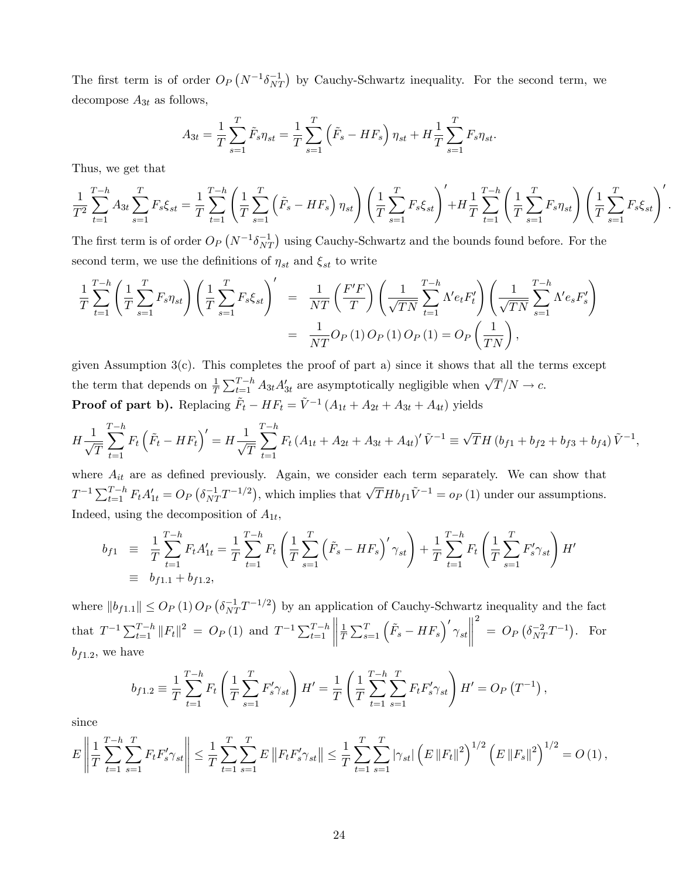The first term is of order  $O_P(N^{-1}\delta_{NT}^{-1})$  by Cauchy-Schwartz inequality. For the second term, we decompose  $A_{3t}$  as follows,

$$
A_{3t} = \frac{1}{T} \sum_{s=1}^{T} \tilde{F}_s \eta_{st} = \frac{1}{T} \sum_{s=1}^{T} (\tilde{F}_s - HF_s) \eta_{st} + H \frac{1}{T} \sum_{s=1}^{T} F_s \eta_{st}.
$$

Thus, we get that

$$
\frac{1}{T^2} \sum_{t=1}^{T-h} A_{3t} \sum_{s=1}^{T} F_s \xi_{st} = \frac{1}{T} \sum_{t=1}^{T-h} \left( \frac{1}{T} \sum_{s=1}^{T} \left( \tilde{F}_s - HF_s \right) \eta_{st} \right) \left( \frac{1}{T} \sum_{s=1}^{T} F_s \xi_{st} \right)' + H \frac{1}{T} \sum_{t=1}^{T-h} \left( \frac{1}{T} \sum_{s=1}^{T} F_s \eta_{st} \right) \left( \frac{1}{T} \sum_{s=1}^{T} F_s \xi_{st} \right)'
$$

:

The first term is of order  $O_P(N^{-1}\delta_{NT}^{-1})$  using Cauchy-Schwartz and the bounds found before. For the second term, we use the definitions of  $\eta_{st}$  and  $\xi_{st}$  to write

$$
\frac{1}{T} \sum_{t=1}^{T-h} \left( \frac{1}{T} \sum_{s=1}^{T} F_s \eta_{st} \right) \left( \frac{1}{T} \sum_{s=1}^{T} F_s \xi_{st} \right)' = \frac{1}{NT} \left( \frac{F'F}{T} \right) \left( \frac{1}{\sqrt{TN}} \sum_{t=1}^{T-h} \Lambda' e_t F'_t \right) \left( \frac{1}{\sqrt{TN}} \sum_{s=1}^{T-h} \Lambda' e_s F'_s \right) \n= \frac{1}{NT} O_P(1) O_P(1) O_P(1) = O_P\left( \frac{1}{TN} \right),
$$

given Assumption  $3(c)$ . This completes the proof of part a) since it shows that all the terms except the term that depends on  $\frac{1}{T} \sum_{t=1}^{T-h} A_{3t} A'_{3t}$  are asymptotically negligible when  $\sqrt{T}/N \to c$ . **Proof of part b).** Replacing  $\tilde{F}_t - HF_t = \tilde{V}^{-1} (A_{1t} + A_{2t} + A_{3t} + A_{4t})$  yields

$$
H\frac{1}{\sqrt{T}}\sum_{t=1}^{T-h}F_t\left(\tilde{F}_t - HF_t\right)' = H\frac{1}{\sqrt{T}}\sum_{t=1}^{T-h}F_t\left(A_{1t} + A_{2t} + A_{3t} + A_{4t}\right)'\tilde{V}^{-1} \equiv \sqrt{T}H\left(b_{f1} + b_{f2} + b_{f3} + b_{f4}\right)\tilde{V}^{-1},
$$

where  $A_{it}$  are as defined previously. Again, we consider each term separately. We can show that  $T^{-1} \sum_{t=1}^{T-h} F_t A'_{1t} = O_P\left(\delta_{NT}^{-1} T^{-1/2}\right)$ , which implies that  $\sqrt{T} H b_{f1} \tilde{V}^{-1} = o_P\left(1\right)$  under our assumptions. Indeed, using the decomposition of  $A_{1t}$ ,

$$
b_{f1} \equiv \frac{1}{T} \sum_{t=1}^{T-h} F_t A'_{1t} = \frac{1}{T} \sum_{t=1}^{T-h} F_t \left( \frac{1}{T} \sum_{s=1}^{T} \left( \tilde{F}_s - HF_s \right)' \gamma_{st} \right) + \frac{1}{T} \sum_{t=1}^{T-h} F_t \left( \frac{1}{T} \sum_{s=1}^{T} F'_s \gamma_{st} \right) H' \equiv b_{f1.1} + b_{f1.2},
$$

where  $||b_{f1.1}|| \leq O_P(1) O_P(\delta_{NT}^{-1}T^{-1/2})$  by an application of Cauchy-Schwartz inequality and the fact that  $T^{-1} \sum_{t=1}^{T-h} ||F_t||^2 = O_P(1)$  and  $T^{-1} \sum_{t=1}^{T-h}$  $\begin{array}{c} \begin{array}{c} \begin{array}{c} \end{array} \\ \begin{array}{c} \end{array} \end{array} \end{array}$ 1  $\frac{1}{T}\sum_{s=1}^T \left(\tilde{F}_s - HF_s\right)'\gamma_{st}$  $\begin{tabular}{|c|c|c|} \hline \quad \quad & \quad \quad & \quad \quad \\ \hline \quad \quad & \quad \quad & \quad \quad \\ \hline \quad \quad & \quad \quad & \quad \quad \\ \hline \end{tabular}$ 2  $= O_P\left(\delta_{NT}^{-2}T^{-1}\right)$ . For  $b_{f1.2}$ , we have

$$
b_{f1.2} \equiv \frac{1}{T} \sum_{t=1}^{T-h} F_t \left( \frac{1}{T} \sum_{s=1}^{T} F'_s \gamma_{st} \right) H' = \frac{1}{T} \left( \frac{1}{T} \sum_{t=1}^{T-h} \sum_{s=1}^{T} F_t F'_s \gamma_{st} \right) H' = O_P \left( T^{-1} \right),
$$

since

$$
E\left\|\frac{1}{T}\sum_{t=1}^{T-h}\sum_{s=1}^{T}F_{t}F_{s}^{\prime}\gamma_{st}\right\| \leq \frac{1}{T}\sum_{t=1}^{T}\sum_{s=1}^{T}E\left\|F_{t}F_{s}^{\prime}\gamma_{st}\right\| \leq \frac{1}{T}\sum_{t=1}^{T}\sum_{s=1}^{T}|\gamma_{st}|\left(E\left\|F_{t}\right\|^{2}\right)^{1/2}\left(E\left\|F_{s}\right\|^{2}\right)^{1/2}=O\left(1\right),
$$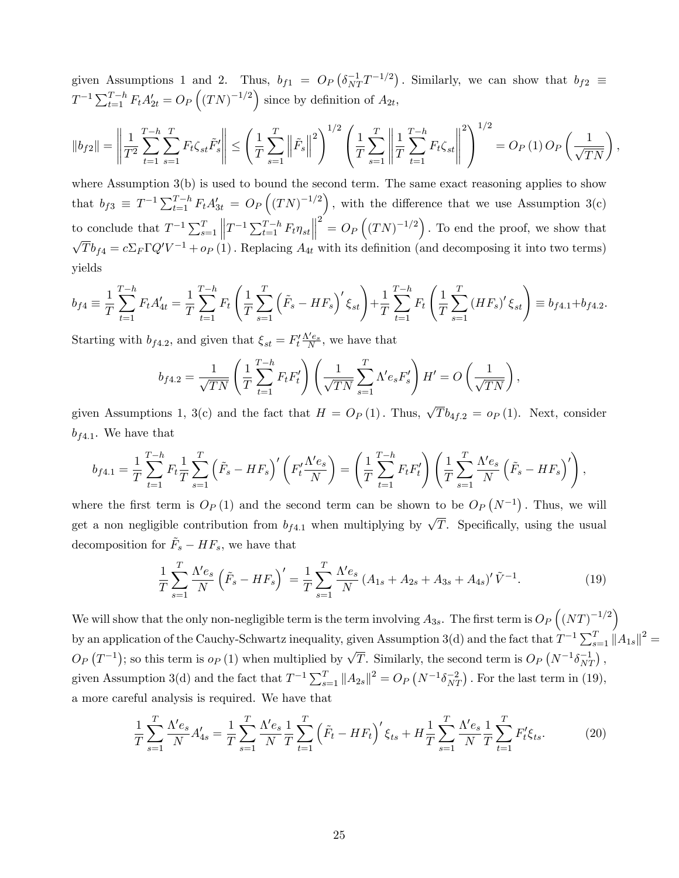given Assumptions 1 and 2. Thus,  $b_{f1} = O_P(\delta_{NT}^{-1}T^{-1/2})$ . Similarly, we can show that  $b_{f2} \equiv$  $T^{-1} \sum_{t=1}^{T-h} F_t A'_{2t} = O_P((TN)^{-1/2})$  since by definition of  $A_{2t}$ ,

$$
||b_{f2}|| = \left\| \frac{1}{T^2} \sum_{t=1}^{T-h} \sum_{s=1}^{T} F_t \zeta_{st} \tilde{F}'_s \right\| \le \left( \frac{1}{T} \sum_{s=1}^{T} \left\| \tilde{F}_s \right\|^2 \right)^{1/2} \left( \frac{1}{T} \sum_{s=1}^{T} \left\| \frac{1}{T} \sum_{t=1}^{T-h} F_t \zeta_{st} \right\|^2 \right)^{1/2} = O_P(1) O_P\left( \frac{1}{\sqrt{TN}} \right),
$$

where Assumption 3(b) is used to bound the second term. The same exact reasoning applies to show that  $b_{f3} \equiv T^{-1} \sum_{t=1}^{T-h} F_t A'_{3t} = O_P((TN)^{-1/2})$ , with the difference that we use Assumption 3(c) to conclude that  $T^{-1} \sum_{s=1}^{T}$  $\left\|T^{-1}\sum_{t=1}^{T-h}F_t\eta_{st}\right\|$  $2^2 = O_P((TN)^{-1/2})$ . To end the proof, we show that  $\sqrt{T}b_{f4} = c\Sigma_F\Gamma Q'V^{-1} + o_P(1)$ . Replacing  $A_{4t}$  with its definition (and decomposing it into two terms) yields

$$
b_{f4} \equiv \frac{1}{T} \sum_{t=1}^{T-h} F_t A'_{4t} = \frac{1}{T} \sum_{t=1}^{T-h} F_t \left( \frac{1}{T} \sum_{s=1}^{T} \left( \tilde{F}_s - HF_s \right)' \xi_{st} \right) + \frac{1}{T} \sum_{t=1}^{T-h} F_t \left( \frac{1}{T} \sum_{s=1}^{T} \left( HF_s \right)' \xi_{st} \right) \equiv b_{f4.1} + b_{f4.2}.
$$

Starting with  $b_{f4.2}$ , and given that  $\xi_{st} = F_t' \frac{\Lambda' e_s}{N}$ , we have that

$$
b_{f4.2} = \frac{1}{\sqrt{TN}} \left( \frac{1}{T} \sum_{t=1}^{T-h} F_t F_t' \right) \left( \frac{1}{\sqrt{TN}} \sum_{s=1}^{T} \Lambda' e_s F_s' \right) H' = O\left( \frac{1}{\sqrt{TN}} \right),
$$

given Assumptions 1, 3(c) and the fact that  $H = O_P(1)$ . Thus,  $\sqrt{T}b_{4f,2} = o_P(1)$ . Next, consider  $b_{f4.1}$ . We have that

$$
b_{f4.1} = \frac{1}{T} \sum_{t=1}^{T-h} F_t \frac{1}{T} \sum_{s=1}^{T} (\tilde{F}_s - HF_s) \left( F_t' \frac{\Lambda' e_s}{N} \right) = \left( \frac{1}{T} \sum_{t=1}^{T-h} F_t F_t' \right) \left( \frac{1}{T} \sum_{s=1}^{T} \frac{\Lambda' e_s}{N} (\tilde{F}_s - HF_s) \right),
$$

where the first term is  $O_P(1)$  and the second term can be shown to be  $O_P(N^{-1})$ . Thus, we will get a non negligible contribution from  $b_{f4,1}$  when multiplying by  $\sqrt{T}$ . Specifically, using the usual decomposition for  $\tilde{F}_s - HF_s$ , we have that

$$
\frac{1}{T} \sum_{s=1}^{T} \frac{\Lambda' e_s}{N} \left( \tilde{F}_s - HF_s \right)' = \frac{1}{T} \sum_{s=1}^{T} \frac{\Lambda' e_s}{N} \left( A_{1s} + A_{2s} + A_{3s} + A_{4s} \right)' \tilde{V}^{-1}.
$$
\n(19)

We will show that the only non-negligible term is the term involving  $A_{3s}$ . The first term is  $O_P\left((NT)^{-1/2}\right)$ by an application of the Cauchy-Schwartz inequality, given Assumption 3(d) and the fact that  $T^{-1} \sum_{s=1}^{T} ||A_{1s}||^2 =$  $O_P(T^{-1})$ ; so this term is  $o_P(1)$  when multiplied by  $\sqrt{T}$ . Similarly, the second term is  $O_P(N^{-1}\delta_{NT}^{-1})$ , given Assumption 3(d) and the fact that  $T^{-1} \sum_{s=1}^{T} ||A_{2s}||^2 = O_P(N^{-1} \delta_{NT}^{-2})$ . For the last term in (19), a more careful analysis is required. We have that

$$
\frac{1}{T} \sum_{s=1}^{T} \frac{\Lambda' e_s}{N} A'_{4s} = \frac{1}{T} \sum_{s=1}^{T} \frac{\Lambda' e_s}{N} \frac{1}{T} \sum_{t=1}^{T} \left( \tilde{F}_t - HF_t \right)' \xi_{ts} + H \frac{1}{T} \sum_{s=1}^{T} \frac{\Lambda' e_s}{N} \frac{1}{T} \sum_{t=1}^{T} F'_t \xi_{ts}.
$$
 (20)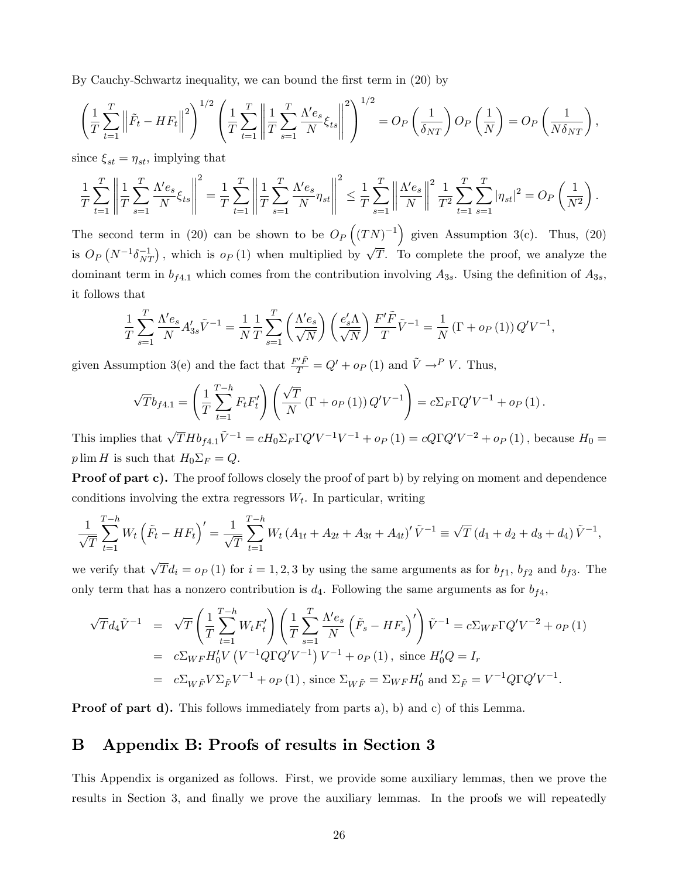By Cauchy-Schwartz inequality, we can bound the first term in (20) by

$$
\left(\frac{1}{T}\sum_{t=1}^T \left\|\tilde{F}_t - HF_t\right\|^2\right)^{1/2} \left(\frac{1}{T}\sum_{t=1}^T \left\|\frac{1}{T}\sum_{s=1}^T \frac{\Lambda' e_s}{N} \xi_{ts}\right\|^2\right)^{1/2} = O_P\left(\frac{1}{\delta_{NT}}\right) O_P\left(\frac{1}{N}\right) = O_P\left(\frac{1}{N\delta_{NT}}\right),
$$

since  $\xi_{st} = \eta_{st}$ , implying that

$$
\frac{1}{T} \sum_{t=1}^T \left\| \frac{1}{T} \sum_{s=1}^T \frac{\Lambda' e_s}{N} \xi_{ts} \right\|^2 = \frac{1}{T} \sum_{t=1}^T \left\| \frac{1}{T} \sum_{s=1}^T \frac{\Lambda' e_s}{N} \eta_{st} \right\|^2 \le \frac{1}{T} \sum_{s=1}^T \left\| \frac{\Lambda' e_s}{N} \right\|^2 \frac{1}{T^2} \sum_{t=1}^T \sum_{s=1}^T |\eta_{st}|^2 = O_P\left(\frac{1}{N^2}\right).
$$

The second term in (20) can be shown to be  $O_P((TN)^{-1})$  given Assumption 3(c). Thus, (20) is  $O_P(N^{-1}\delta_{NT}^{-1})$ , which is  $o_P(1)$  when multiplied by  $\sqrt{T}$ . To complete the proof, we analyze the dominant term in  $b_{f4.1}$  which comes from the contribution involving  $A_{3s}$ . Using the definition of  $A_{3s}$ , it follows that

$$
\frac{1}{T} \sum_{s=1}^{T} \frac{\Lambda' e_s}{N} A'_{3s} \tilde{V}^{-1} = \frac{1}{N} \frac{1}{T} \sum_{s=1}^{T} \left( \frac{\Lambda' e_s}{\sqrt{N}} \right) \left( \frac{e'_s \Lambda}{\sqrt{N}} \right) \frac{F' \tilde{F}}{T} \tilde{V}^{-1} = \frac{1}{N} \left( \Gamma + o_P \left( 1 \right) \right) Q' V^{-1},
$$

given Assumption 3(e) and the fact that  $\frac{F'\tilde{F}}{T}=Q'+o_P(1)$  and  $\tilde{V}\to^P V$ . Thus,

$$
\sqrt{T}b_{f4.1} = \left(\frac{1}{T}\sum_{t=1}^{T-h} F_t F_t'\right) \left(\frac{\sqrt{T}}{N} \left(\Gamma + o_P\left(1\right)\right) Q' V^{-1}\right) = c \Sigma_F \Gamma Q' V^{-1} + o_P\left(1\right).
$$

This implies that  $\sqrt{T} H b_{f4.1} \tilde{V}^{-1} = c H_0 \Sigma_F \Gamma Q' V^{-1} V^{-1} + o_P (1) = c Q \Gamma Q' V^{-2} + o_P (1)$ , because  $H_0 =$  $p \lim H$  is such that  $H_0 \Sigma_F = Q$ .

**Proof of part c).** The proof follows closely the proof of part b) by relying on moment and dependence conditions involving the extra regressors  $W_t$ . In particular, writing

$$
\frac{1}{\sqrt{T}}\sum_{t=1}^{T-h}W_t\left(\tilde{F}_t - HF_t\right)' = \frac{1}{\sqrt{T}}\sum_{t=1}^{T-h}W_t\left(A_{1t} + A_{2t} + A_{3t} + A_{4t}\right)'\tilde{V}^{-1} \equiv \sqrt{T}\left(d_1 + d_2 + d_3 + d_4\right)\tilde{V}^{-1},
$$

we verify that  $\sqrt{T} d_i = o_P (1)$  for  $i = 1, 2, 3$  by using the same arguments as for  $b_{f1}$ ,  $b_{f2}$  and  $b_{f3}$ . The only term that has a nonzero contribution is  $d_4$ . Following the same arguments as for  $b_{f4}$ ,

$$
\sqrt{T}d_{4}\tilde{V}^{-1} = \sqrt{T}\left(\frac{1}{T}\sum_{t=1}^{T-h}W_{t}F_{t}'\right)\left(\frac{1}{T}\sum_{s=1}^{T}\frac{\Lambda'e_{s}}{N}\left(\tilde{F}_{s}-HF_{s}\right)'\right)\tilde{V}^{-1} = c\Sigma_{WF}\Gamma Q'V^{-2} + o_{P}(1)
$$
  
\n
$$
= c\Sigma_{WF}H'_{0}V\left(V^{-1}Q\Gamma Q'V^{-1}\right)V^{-1} + o_{P}(1), \text{ since } H'_{0}Q = I_{r}
$$
  
\n
$$
= c\Sigma_{W\tilde{F}}V\Sigma_{\tilde{F}}V^{-1} + o_{P}(1), \text{ since } \Sigma_{W\tilde{F}} = \Sigma_{WF}H'_{0} \text{ and } \Sigma_{\tilde{F}} = V^{-1}Q\Gamma Q'V^{-1}.
$$

**Proof of part d).** This follows immediately from parts a), b) and c) of this Lemma.

## B Appendix B: Proofs of results in Section 3

This Appendix is organized as follows. First, we provide some auxiliary lemmas, then we prove the results in Section 3, and finally we prove the auxiliary lemmas. In the proofs we will repeatedly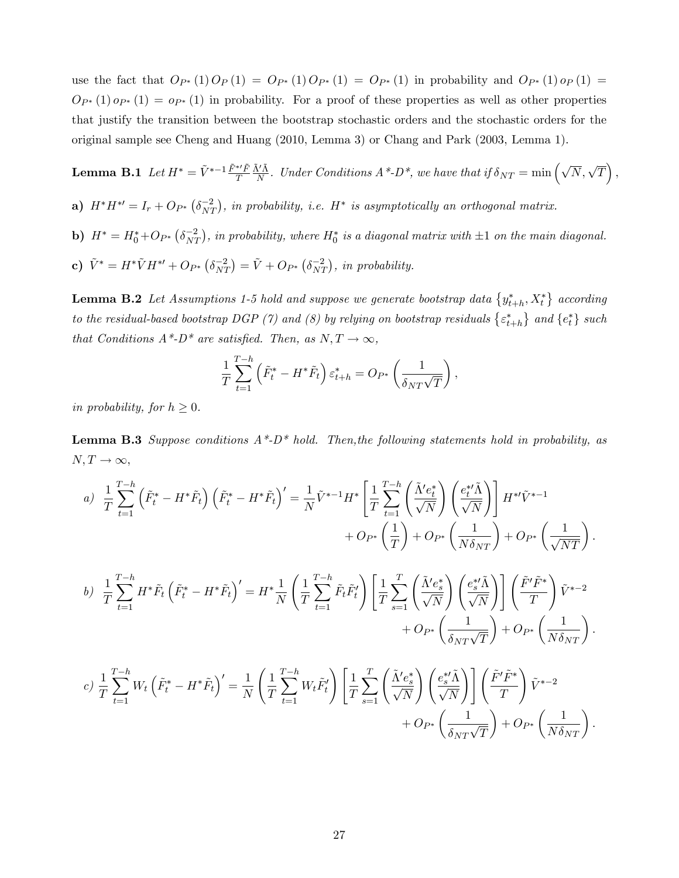use the fact that  $O_{P^*}(1) O_P(1) = O_{P^*}(1) O_{P^*}(1) = O_{P^*}(1)$  in probability and  $O_{P^*}(1) O_P(1) = O_{P^*}(1) O_{P^*}(1)$  $O_{P^*}(1)$   $o_{P^*}(1) = o_{P^*}(1)$  in probability. For a proof of these properties as well as other properties that justify the transition between the bootstrap stochastic orders and the stochastic orders for the original sample see Cheng and Huang (2010, Lemma 3) or Chang and Park (2003, Lemma 1).

**Lemma B.1** Let 
$$
H^* = \tilde{V}^{*-1} \frac{\tilde{F}^{*t}\tilde{F}}{T} \frac{\tilde{\Lambda}'\tilde{\Lambda}}{N}
$$
. Under Conditions  $A^* \text{-} D^*$ , we have that if  $\delta_{NT} = \min\left(\sqrt{N}, \sqrt{T}\right)$ ,

- a)  $H^*H^{*'} = I_r + O_{P^*}(\delta_{NT}^{-2})$ , in probability, i.e.  $H^*$  is asymptotically an orthogonal matrix.
- **b**)  $H^* = H_0^* + O_{P^*}(\delta_{NT}^{-2})$ , in probability, where  $H_0^*$  is a diagonal matrix with  $\pm 1$  on the main diagonal.
- c)  $\tilde{V}^* = H^* \tilde{V} H^{*'} + O_{P^*} (\delta_{NT}^{-2}) = \tilde{V} + O_{P^*} (\delta_{NT}^{-2}),$  in probability.

**Lemma B.2** Let Assumptions 1-5 hold and suppose we generate bootstrap data  $\{y^*_{t+h}, X^*_t\}$  according to the residual-based bootstrap DGP (7) and (8) by relying on bootstrap residuals  $\{\varepsilon^*_{t+h}\}$  and  $\{e_t^*\}$  such that Conditions  $A^*$ - $D^*$  are satisfied. Then, as  $N, T \rightarrow \infty$ ,

$$
\frac{1}{T} \sum_{t=1}^{T-h} \left( \tilde{F}_t^* - H^* \tilde{F}_t \right) \varepsilon_{t+h}^* = O_{P^*} \left( \frac{1}{\delta_{NT} \sqrt{T}} \right),
$$

in probability, for  $h \geq 0$ .

**Lemma B.3** Suppose conditions  $A^*D^*$  hold. Then, the following statements hold in probability, as  $N, T \rightarrow \infty,$ 

$$
a) \frac{1}{T} \sum_{t=1}^{T-h} \left( \tilde{F}_t^* - H^* \tilde{F}_t \right) \left( \tilde{F}_t^* - H^* \tilde{F}_t \right)' = \frac{1}{N} \tilde{V}^{*-1} H^* \left[ \frac{1}{T} \sum_{t=1}^{T-h} \left( \frac{\tilde{\Lambda}' e_t^*}{\sqrt{N}} \right) \left( \frac{e_t^* \tilde{\Lambda}}{\sqrt{N}} \right) \right] H^{*t} \tilde{V}^{*-1} + O_{P^*} \left( \frac{1}{N \delta_{NT}} \right) + O_{P^*} \left( \frac{1}{\sqrt{NT}} \right).
$$
  

$$
b) \frac{1}{T} \sum_{t=1}^{T-h} H^* \tilde{F}_t \left( \tilde{F}_t^* - H^* \tilde{F}_t \right)' = H^* \frac{1}{N} \left( \frac{1}{T} \sum_{t=1}^{T-h} \tilde{F}_t \tilde{F}_t' \right) \left[ \frac{1}{T} \sum_{s=1}^{T} \left( \frac{\tilde{\Lambda}' e_s^*}{\sqrt{N}} \right) \left( \frac{e_s^* \tilde{\Lambda}}{\sqrt{N}} \right) \right] \left( \frac{\tilde{F}' \tilde{F}^*}{T} \right) \tilde{V}^{*-2} + O_{P^*} \left( \frac{1}{\delta_{NT} \sqrt{T}} \right) + O_{P^*} \left( \frac{1}{N \delta_{NT}} \right).
$$

$$
c) \frac{1}{T} \sum_{t=1}^{T-h} W_t \left( \tilde{F}_t^* - H^* \tilde{F}_t \right)' = \frac{1}{N} \left( \frac{1}{T} \sum_{t=1}^{T-h} W_t \tilde{F}_t' \right) \left[ \frac{1}{T} \sum_{s=1}^{T} \left( \frac{\tilde{\Lambda}' e_s^*}{\sqrt{N}} \right) \left( \frac{e_s^* \tilde{\Lambda}}{\sqrt{N}} \right) \right] \left( \frac{\tilde{F}' \tilde{F}^*}{T} \right) \tilde{V}^{*-2} + Op_* \left( \frac{1}{\delta_{NT} \sqrt{T}} \right) + Op_* \left( \frac{1}{N \delta_{NT}} \right).
$$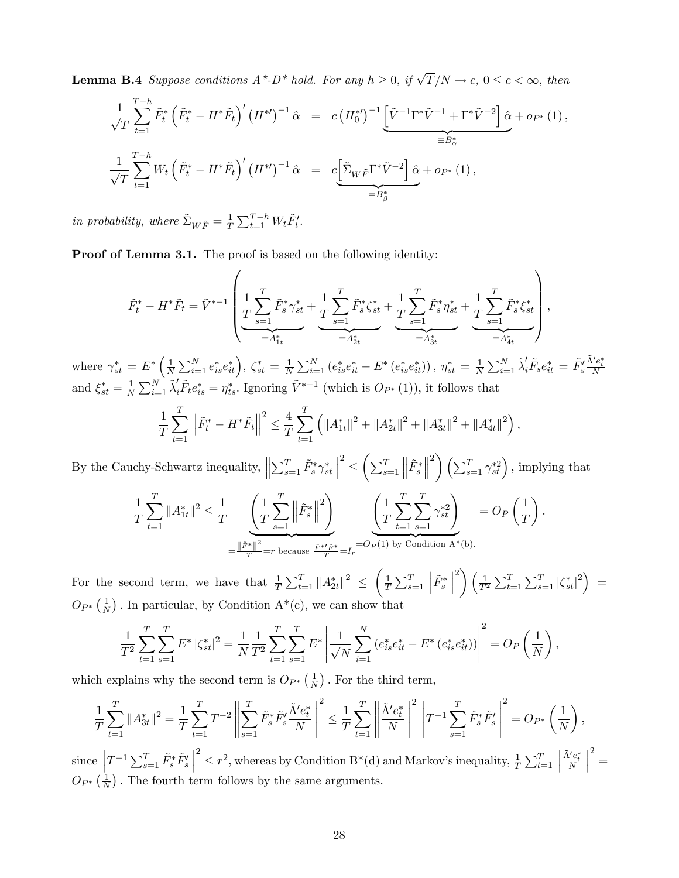**Lemma B.4** Suppose conditions  $A^*$ - $D^*$  hold. For any  $h \geq 0$ , if  $\sqrt{T}/N \to c$ ,  $0 \leq c < \infty$ , then

$$
\frac{1}{\sqrt{T}} \sum_{t=1}^{T-h} \tilde{F}_t^* \left( \tilde{F}_t^* - H^* \tilde{F}_t \right)' \left( H^{*} \right)^{-1} \hat{\alpha} = c \left( H_0^{*} \right)^{-1} \left[ \tilde{V}^{-1} \Gamma^* \tilde{V}^{-1} + \Gamma^* \tilde{V}^{-2} \right] \hat{\alpha} + o_{P^*} (1),
$$
  
\n
$$
\frac{1}{\sqrt{T}} \sum_{t=1}^{T-h} W_t \left( \tilde{F}_t^* - H^* \tilde{F}_t \right)' \left( H^{*} \right)^{-1} \hat{\alpha} = c \left[ \tilde{\Sigma}_{W \tilde{F}} \Gamma^* \tilde{V}^{-2} \right] \hat{\alpha} + o_{P^*} (1),
$$
  
\n
$$
= B_{\beta}^*
$$

in probability, where  $\tilde{\Sigma}_{W\tilde{F}} = \frac{1}{T}$  $\frac{1}{T} \sum_{t=1}^{T-h} W_t \tilde{F}'_t.$ 

Proof of Lemma 3.1. The proof is based on the following identity:

$$
\tilde{F}_{t}^{*} - H^{*} \tilde{F}_{t} = \tilde{V}^{*-1} \left( \underbrace{\frac{1}{T} \sum_{s=1}^{T} \tilde{F}_{s}^{*} \gamma_{st}^{*}}_{\equiv A_{1t}^{*}} + \underbrace{\frac{1}{T} \sum_{s=1}^{T} \tilde{F}_{s}^{*} \zeta_{st}^{*}}_{\equiv A_{2t}^{*}} + \underbrace{\frac{1}{T} \sum_{s=1}^{T} \tilde{F}_{s}^{*} \eta_{st}^{*}}_{\equiv A_{3t}^{*}} + \underbrace{\frac{1}{T} \sum_{s=1}^{T} \tilde{F}_{s}^{*} \xi_{st}^{*}}_{\equiv A_{4t}^{*}} \right),
$$

where  $\gamma_{st}^* = E^* \left( \frac{1}{N} \right)$  $\frac{1}{N} \sum_{i=1}^{N} e_{is}^{*} e_{it}^{*} \Big), \zeta_{st}^{*} = \frac{1}{N}$  $\frac{1}{N}\sum_{i=1}^{N}\left(e_{is}^{*}e_{it}^{*}-E^{*}\left(e_{is}^{*}e_{it}^{*}\right)\right),\ \eta_{st}^{*}=\frac{1}{N}$  $\frac{1}{N}\sum_{i=1}^N \tilde{\lambda}_i' \tilde{F}_s e_{it}^* = \tilde{F}_s'$  $\frac{\tilde{\Lambda}' e_t^*}{N}$ and  $\xi_{st}^* = \frac{1}{N}$  $\frac{1}{N}\sum_{i=1}^{N}\tilde{\lambda}_{i}'\tilde{F}_{t}e_{is}^{*}=\eta_{ts}^{*}$ . Ignoring  $\tilde{V}^{*-1}$  (which is  $O_{P^{*}}(1)$ ), it follows that

$$
\frac{1}{T}\sum_{t=1}^T \left\|\tilde{F}_t^* - H^*\tilde{F}_t\right\|^2 \le \frac{4}{T}\sum_{t=1}^T \left(\|A_{1t}^*\|^2 + \|A_{2t}^*\|^2 + \|A_{3t}^*\|^2 + \|A_{4t}^*\|^2\right),
$$

By the Cauchy-Schwartz inequality,  $\Big\|$  $\sum_{s=1}^T \tilde{F}^*_s \gamma^*_{st}$  2  $\leq \left( \sum_{s=1}^T$  $\Big\| \tilde{F}^*_s$   $\binom{2}{\sum_{s=1}^{T} \gamma_{st}^{*2}}$ , implying that

$$
\frac{1}{T} \sum_{t=1}^{T} \|A_{1t}^*\|^2 \leq \frac{1}{T} \underbrace{\left(\frac{1}{T} \sum_{s=1}^{T} \left\| \tilde{F}_s^*\right\|^2\right)}_{=\frac{\|\tilde{F}^*\|^2}{T} = r \text{ because } \frac{\tilde{F}^* \tilde{F}^*}{T} = I_r = O_P(1) \text{ by Condition A*(b).}}_{\text{Condition A*(b)}} = O_P\left(\frac{1}{T}\right).
$$

For the second term, we have that  $\frac{1}{T} \sum_{t=1}^{T} ||A_{2t}^*||^2 \leq \left(\frac{1}{T}\right)$  $\frac{1}{T} \sum_{s=1}^{T}$  $\Bigl\|\tilde{F}^*_s$   $\left( \frac{1}{T^2} \sum_{t=1}^T \sum_{s=1}^T |\zeta_{st}^*|^2 \right) =$  $O_{P^*}\left(\frac{1}{N}\right)$  $\frac{1}{N}$ ). In particular, by Condition A<sup>\*</sup>(c), we can show that

$$
\frac{1}{T^2} \sum_{t=1}^T \sum_{s=1}^T E^* |\zeta_{st}^*|^2 = \frac{1}{N} \frac{1}{T^2} \sum_{t=1}^T \sum_{s=1}^T E^* \left| \frac{1}{\sqrt{N}} \sum_{i=1}^N (e_{is}^* e_{it}^* - E^* (e_{is}^* e_{it}^*)) \right|^2 = O_P\left(\frac{1}{N}\right),
$$

which explains why the second term is  $O_{P^*}\left(\frac{1}{N}\right)$  $\frac{1}{N}$ ). For the third term,

$$
\frac{1}{T}\sum_{t=1}^T\|A_{3t}^*\|^2 = \frac{1}{T}\sum_{t=1}^T T^{-2}\left\|\sum_{s=1}^T \tilde{F}_s^*\tilde{F}_s'\frac{\tilde{\Lambda}'e_t^*}{N}\right\|^2 \le \frac{1}{T}\sum_{t=1}^T\left\|\frac{\tilde{\Lambda}'e_t^*}{N}\right\|^2 \left\|T^{-1}\sum_{s=1}^T \tilde{F}_s^*\tilde{F}_s'\right\|^2 = O_{P^*}\left(\frac{1}{N}\right),
$$

since  $\left\|T^{-1}\sum_{s=1}^T \tilde{F}_s^* \tilde{F}_s'\right\|$   $2 \leq r^2$ , whereas by Condition B<sup>\*</sup>(d) and Markov's inequality,  $\frac{1}{T} \sum_{t=1}^T$   $\frac{\tilde{\Lambda}' e_t^*}{N}$  $\begin{array}{c} \vspace{0.1cm} \rule{0.2cm}{0.1cm} \vspace{0.1cm} \rule{0.1cm}{0.1cm} \vspace{0.1cm} \vspace{0.1cm} \end{array}$  $2 =$  $O_{P^*}\left(\frac{1}{N}\right)$  $\frac{1}{N}$ ). The fourth term follows by the same arguments.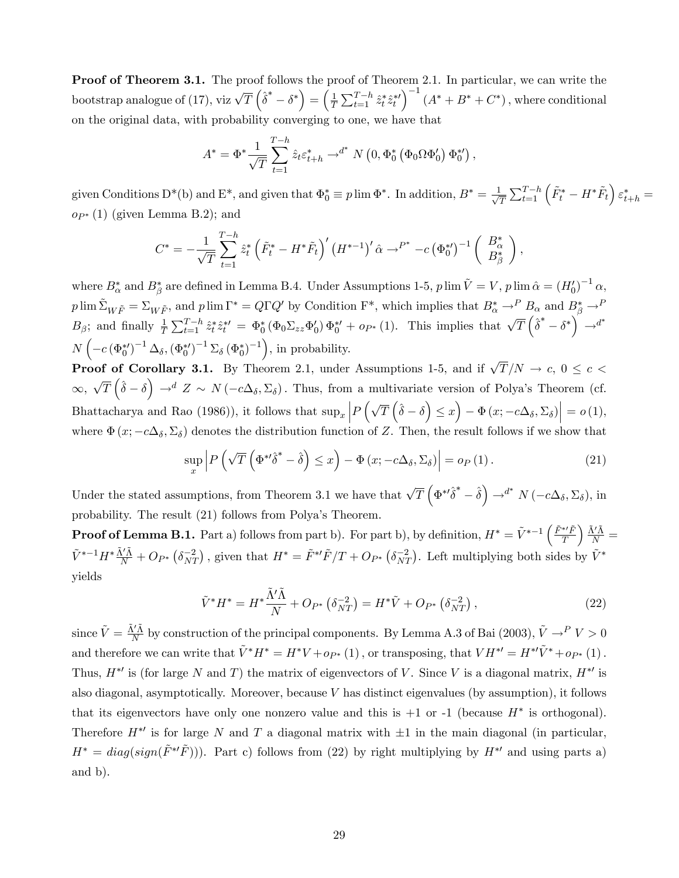**Proof of Theorem 3.1.** The proof follows the proof of Theorem 2.1. In particular, we can write the bootstrap analogue of (17), viz  $\sqrt{T} \left( \hat{\delta}^* - \delta^* \right) = \left( \frac{1}{T} \right)$  $\frac{1}{T}\sum_{t=1}^{T-h} \hat{z}_t^* \hat{z}_t^{*\prime}$  $\big)^{-1}$   $(A^* + B^* + C^*)$ , where conditional on the original data, with probability converging to one, we have that

$$
A^* = \Phi^* \frac{1}{\sqrt{T}} \sum_{t=1}^{T-h} \hat{z}_t \varepsilon_{t+h}^* \rightharpoonup^{d^*} N\left(0, \Phi_0^* \left(\Phi_0 \Omega \Phi_0'\right) \Phi_0^{*'}\right),
$$

given Conditions D<sup>\*</sup>(b) and E<sup>\*</sup>, and given that  $\Phi_0^* \equiv p \lim \Phi^*$ . In addition,  $B^* = \frac{1}{\sqrt{2}}$  $\frac{1}{\overline{T}}\sum_{t=1}^{T-h}\left(\tilde{F}_{t}^{*}-H^{*}\tilde{F}_{t}\right)\varepsilon_{t+h}^{*}=$  $o_{P^*}(1)$  (given Lemma B.2); and

$$
C^* = -\frac{1}{\sqrt{T}} \sum_{t=1}^{T-h} \hat{z}_t^* \left( \tilde{F}_t^* - H^* \tilde{F}_t \right)' \left( H^{*-1} \right)' \hat{\alpha} \to^{P^*} -c \left( \Phi_0^* \right)^{-1} \left( \begin{array}{c} B_{\alpha}^* \\ B_{\beta}^* \end{array} \right),
$$

where  $B^*_{\alpha}$  and  $B^*_{\beta}$  are defined in Lemma B.4. Under Assumptions 1-5,  $p \lim \tilde{V} = V$ ,  $p \lim \hat{\alpha} = (H_0')^{-1} \alpha$ ,  $p \lim \tilde{\Sigma}_{W\tilde{F}} = \Sigma_{W\tilde{F}}$ , and  $p \lim \Gamma^* = Q\Gamma Q'$  by Condition  $\Gamma^*$ , which implies that  $B^*_{\alpha} \to^P B_{\alpha}$  and  $B^*_{\beta} \to^P B_{\beta}$  $B_{\beta}$ ; and finally  $\frac{1}{T} \sum_{t=1}^{T-h} \hat{z}_t^* \hat{z}_t^{*\prime} = \Phi_0^* (\Phi_0 \Sigma_{zz} \Phi_0') \Phi_0^{*\prime} + op_* (1)$ . This implies that  $\sqrt{T} (\hat{\delta}^* - \delta^*) \rightarrow d^*$  $N\left(-c\left(\Phi_0^*\right)^{-1}\Delta_\delta,\left(\Phi_0^*\right)^{-1}\Sigma_\delta\left(\Phi_0^*\right)^{-1}\right)$ , in probability.

**Proof of Corollary 3.1.** By Theorem 2.1, under Assumptions 1-5, and if  $\sqrt{T}/N \rightarrow c, 0 \le c <$  $\infty$ ,  $\sqrt{T}(\hat{\delta}-\delta) \to^d Z \sim N(-c\Delta_{\delta},\Sigma_{\delta})$ . Thus, from a multivariate version of Polya's Theorem (cf. Bhattacharya and Rao (1986)), it follows that  $\sup_x \left| P\left(\sqrt{T}\left(\hat{\delta}-\delta\right) \leq x\right) - \Phi\left(x; -c\Delta_{\delta}, \Sigma_{\delta}\right) \right| = o(1)$ , where  $\Phi(x; -c\Delta_{\delta}, \Sigma_{\delta})$  denotes the distribution function of Z. Then, the result follows if we show that

$$
\sup_{x} \left| P\left(\sqrt{T}\left(\Phi^{*}\delta^{*} - \hat{\delta}\right) \leq x\right) - \Phi\left(x; -c\Delta_{\delta}, \Sigma_{\delta}\right) \right| = o_{P}\left(1\right). \tag{21}
$$

Under the stated assumptions, from Theorem 3.1 we have that  $\sqrt{T}\left(\Phi^{*\prime}\hat{\delta}^* - \hat{\delta}\right) \rightarrow^{d^*} N\left(-c\Delta_{\delta}, \Sigma_{\delta}\right)$ , in probability. The result (21) follows from Polyaís Theorem.

**Proof of Lemma B.1.** Part a) follows from part b). For part b), by definition,  $H^* = \tilde{V}^{*-1}\left(\frac{\tilde{F}^{*I}\tilde{F}}{T}\right)$ T  $\Big(\frac{\tilde{\Lambda}'\tilde{\Lambda}}{N}=$  $\tilde{V}^{*-1}H^*\frac{\tilde{\Lambda}'\tilde{\Lambda}}{N}+O_{P^*}\left(\delta_{NT}^{-2}\right)$ , given that  $H^*=\tilde{F}^{*'}\tilde{F}/T+O_{P^*}\left(\delta_{NT}^{-2}\right)$ . Left multiplying both sides by  $\tilde{V}^*$ yields

$$
\tilde{V}^* H^* = H^* \frac{\tilde{\Lambda}' \tilde{\Lambda}}{N} + O_{P^*} \left( \delta_{NT}^{-2} \right) = H^* \tilde{V} + O_{P^*} \left( \delta_{NT}^{-2} \right), \tag{22}
$$

since  $\tilde{V} = \frac{\tilde{\Lambda}' \tilde{\Lambda}}{N}$  $\frac{\dot{N}\tilde{\Lambda}}{N}$  by construction of the principal components. By Lemma A.3 of Bai (2003),  $\tilde{V} \rightarrow P V > 0$ and therefore we can write that  $\tilde{V}^* H^* = H^* V + o_{P^*}(1)$ , or transposing, that  $V H^{*\prime} = H^{*\prime} \tilde{V}^* + o_{P^*}(1)$ . Thus,  $H^*$  is (for large N and T) the matrix of eigenvectors of V. Since V is a diagonal matrix,  $H^*$  is also diagonal, asymptotically. Moreover, because  $V$  has distinct eigenvalues (by assumption), it follows that its eigenvectors have only one nonzero value and this is  $+1$  or  $-1$  (because  $H^*$  is orthogonal). Therefore  $H^*$  is for large N and T a diagonal matrix with  $\pm 1$  in the main diagonal (in particular,  $H^* = diag(sign(\tilde{F}^{*\prime}\tilde{F}))$ . Part c) follows from (22) by right multiplying by  $H^{*\prime}$  and using parts a) and b).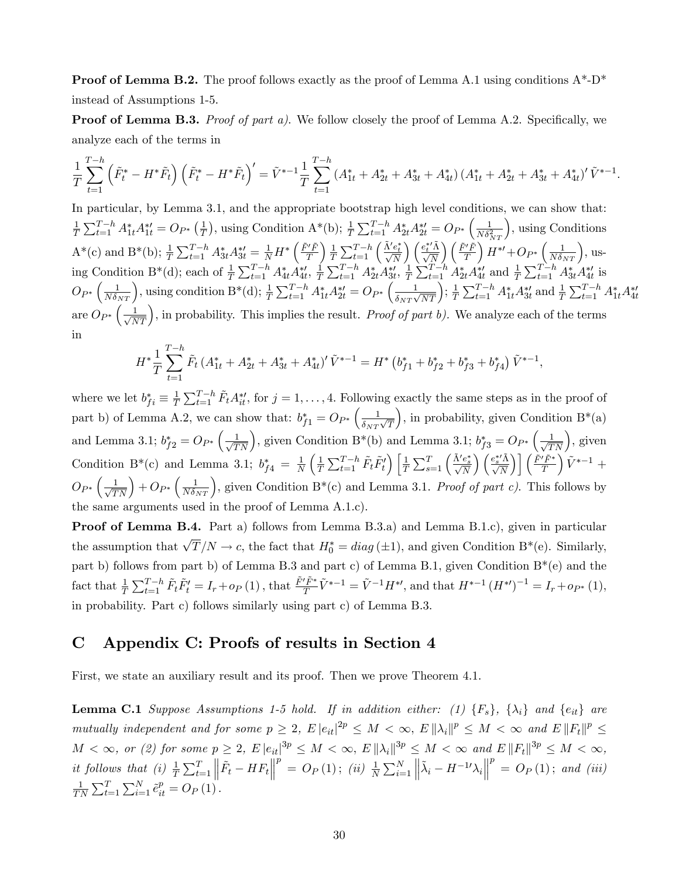**Proof of Lemma B.2.** The proof follows exactly as the proof of Lemma A.1 using conditions  $A^*$ -D<sup>\*</sup> instead of Assumptions 1-5.

**Proof of Lemma B.3.** *Proof of part a).* We follow closely the proof of Lemma A.2. Specifically, we analyze each of the terms in

$$
\frac{1}{T}\sum_{t=1}^{T-h}\left(\tilde{F}_{t}^{*}-H^{*}\tilde{F}_{t}\right)\left(\tilde{F}_{t}^{*}-H^{*}\tilde{F}_{t}\right)'=\tilde{V}^{*-1}\frac{1}{T}\sum_{t=1}^{T-h}\left(A_{1t}^{*}+A_{2t}^{*}+A_{3t}^{*}+A_{4t}^{*}\right)\left(A_{1t}^{*}+A_{2t}^{*}+A_{3t}^{*}+A_{4t}^{*}\right)'\tilde{V}^{*-1}.
$$

In particular, by Lemma 3.1, and the appropriate bootstrap high level conditions, we can show that: 1  $\frac{1}{T} \sum_{t=1}^{T-h} A_{1t}^* A_{1t}^{*'} = O_{P^*} \left( \frac{1}{T} \right)$  $(\frac{1}{T})$ , using Condition A\*(b);  $\frac{1}{T} \sum_{t=1}^{T-h} A_{2t}^{*} A_{2t}^{*} = O_{P^{*}} \left( \frac{1}{N \delta_{\rho}^{2}} \right)$  $_{NT}$  , using Conditions  $A^*(c)$  and  $B^*(b)$ ;  $\frac{1}{T} \sum_{t=1}^{T-h} A_{3t}^* A_{3t}^{*t} = \frac{1}{N} H^* \left( \frac{\tilde{F}' \tilde{F}}{T} \right)$ T  $\frac{1}{2}$  $\frac{1}{T}\sum_{t=1}^{T-h} \left(\frac{\tilde{\Lambda}' e_t^*}{\sqrt{N}}\right)$  $\binom{e^{*\prime}_t \tilde{\Lambda}}{\sqrt{N}}$  $\bigwedge \tilde{F}'\tilde{F}$ T  $\int H^{*'} + Op^* \left( \frac{1}{N \delta_{NT}} \right)$ , using Condition B<sup>\*</sup>(d); each of  $\frac{1}{T} \sum_{t=1}^{T-h} A_{4t}^* A_{4t}^{*}$ ,  $\frac{1}{T}$  $\frac{1}{T} \sum_{t=1}^{T-h} A_{2t}^* A_{3t}^{*}, \frac{1}{T}$  $\frac{1}{T} \sum_{t=1}^{T-h} A_{2t}^{*} A_{4t}^{*}$  and  $\frac{1}{T} \sum_{t=1}^{T-h} A_{3t}^{*} A_{4t}^{*}$  is  $O_{P^*}\left(\frac{1}{N\delta_{NT}}\right)$ , using condition  $\mathbf{B}^*(\mathbf{d});\frac{1}{T}\sum_{t=1}^{T-h}A_{1t}^*A_{2t}^{*t}=O_{P^*}\left(\frac{1}{\delta_{NT}\sqrt{N}}\right)$  $\frac{1}{\delta_{NT}\sqrt{NT}}$ );  $\frac{1}{T}$  $\frac{1}{T} \sum_{t=1}^{T-h} A_{1t}^* A_{3t}^{*\prime}$  and  $\frac{1}{T} \sum_{t=1}^{T-h} A_{1t}^* A_{4t}^{*\prime}$ are  $\widehat{O}_{P^*}\left(\frac{1}{\sqrt{NT}}\right)$ , in probability. This implies the result. *Proof of part b*). We analyze each of the terms in

$$
H^* \frac{1}{T} \sum_{t=1}^{T-h} \tilde{F}_t \left( A_{1t}^* + A_{2t}^* + A_{3t}^* + A_{4t}^* \right)' \tilde{V}^{*-1} = H^* \left( b_{f1}^* + b_{f2}^* + b_{f3}^* + b_{f4}^* \right) \tilde{V}^{*-1},
$$

where we let  $b_{fi}^* \equiv \frac{1}{T}$  $\frac{1}{T}\sum_{t=1}^{T-h} \tilde{F}_t A_{it}^{*t}$ , for  $j = 1, \ldots, 4$ . Following exactly the same steps as in the proof of part b) of Lemma A.2, we can show that:  $b_{f1}^* = O_{P^*}\left(\frac{1}{\delta_{NT}}\right)$  $\frac{1}{\delta_{NT}\sqrt{T}}$ ), in probability, given Condition  $B^*(a)$ and Lemma 3.1;  $b_{f2}^* = O_{P^*}\left(\frac{1}{\sqrt{TN}}\right)$ , given Condition B<sup>\*</sup>(b) and Lemma 3.1;  $b_{f3}^* = O_{P^*}\left(\frac{1}{\sqrt{TN}}\right)$ , given Condition B<sup>\*</sup>(c) and Lemma 3.1;  $b_{f4}^* = \frac{1}{N}$ N  $\sqrt{1}$  $\frac{1}{T}\sum_{t=1}^{T-h} \tilde{F}_t \tilde{F}_t'\Big)\Big[\frac{1}{T}$  $\frac{1}{T} \sum_{s=1}^{T} \left( \frac{\tilde{\Lambda}' e_s^*}{\sqrt{N}} \right)$  $\binom{e^{*\prime}_s \tilde{\Lambda}}{\sqrt{N}}$  $\bigcap \left[ \tilde{F}^{\prime }\tilde{F}^{\ast }\right]$  $\overline{T}$  $\big)$   $\tilde{V}^{* - 1}$  +  $O_{P^*}\left(\frac{1}{\sqrt{TN}}\right) + O_{P^*}\left(\frac{1}{N\delta_{NT}}\right)$ , given Condition B<sup>\*</sup>(c) and Lemma 3.1. Proof of part c). This follows by the same arguments used in the proof of Lemma A.1.c).

Proof of Lemma B.4. Part a) follows from Lemma B.3.a) and Lemma B.1.c), given in particular the assumption that  $\sqrt{T}/N \to c$ , the fact that  $H_0^* = diag(\pm 1)$ , and given Condition B<sup>\*</sup>(e). Similarly, part b) follows from part b) of Lemma B.3 and part c) of Lemma B.1, given Condition B\*(e) and the fact that  $\frac{1}{T} \sum_{t=1}^{T-h} \tilde{F}_t \tilde{F}'_t = I_r + o_P(1)$ , that  $\frac{\tilde{F}' \tilde{F}^*}{T} \tilde{V}^{*-1} = \tilde{V}^{-1} H^{*\prime}$ , and that  $H^{*-1} (H^{*\prime})^{-1} = I_r + o_{P^*}(1)$ , in probability. Part c) follows similarly using part c) of Lemma B.3.

# C Appendix C: Proofs of results in Section 4

First, we state an auxiliary result and its proof. Then we prove Theorem 4.1.

**Lemma C.1** Suppose Assumptions 1-5 hold. If in addition either: (1)  $\{F_s\}$ ,  $\{\lambda_i\}$  and  $\{e_{it}\}$  are mutually independent and for some  $p \geq 2$ ,  $E |e_{it}|^{2p} \leq M < \infty$ ,  $E ||\lambda_i||^p \leq M < \infty$  and  $E ||F_t||^p \leq$  $M < \infty$ , or (2) for some  $p \geq 2$ ,  $E |e_{it}|^{3p} \leq M < \infty$ ,  $E ||\lambda_i||^{3p} \leq M < \infty$  and  $E ||F_t||^{3p} \leq M < \infty$ , it follows that (i)  $\frac{1}{T} \sum_{t=1}^{T}$  $\left\| \tilde{F}_{t}-HF_{t}\right\|$  $p^p = O_P(1)$ ; (ii)  $\frac{1}{N} \sum_{i=1}^{N}$  $\left\Vert \tilde{\lambda}_{i}-H^{-1{\prime}}{\lambda}_{i}\right\Vert$  $p^p = O_P(1)$ ; and (iii) 1  $\frac{1}{TN} \sum_{t=1}^{T} \sum_{i=1}^{N} \tilde{e}_{it}^p = O_P(1).$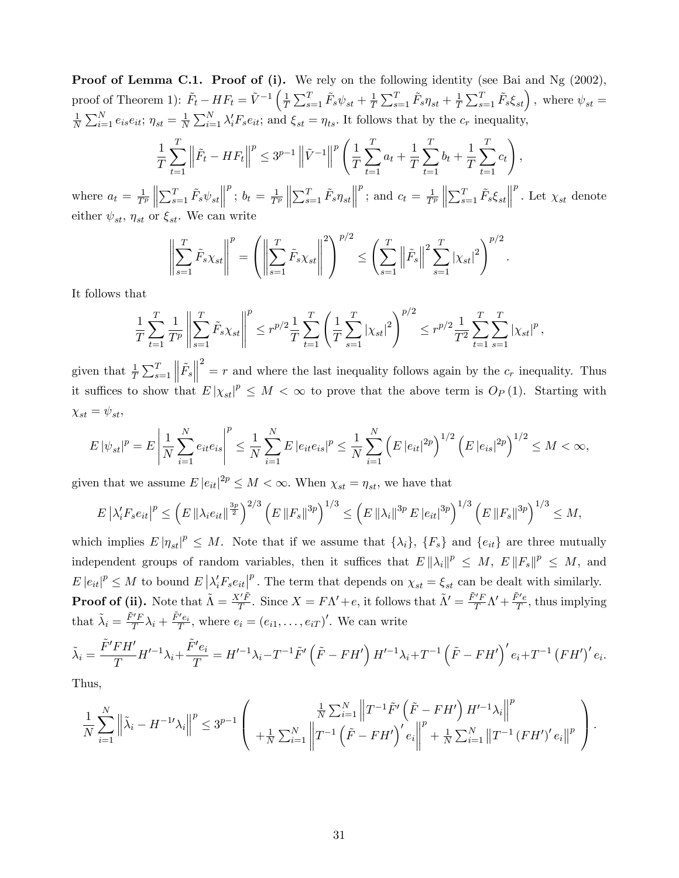**Proof of Lemma C.1. Proof of (i).** We rely on the following identity (see Bai and Ng (2002), proof of Theorem 1):  $\tilde{F}_t - HF_t = \tilde{V}^{-1} \left( \frac{1}{T} \right)$  $\frac{1}{T}\sum_{s=1}^T \tilde{F}_s \psi_{st} + \frac{1}{T}$  $\frac{1}{T}\sum_{s=1}^T \tilde{F}_s \eta_{st} + \frac{1}{T}$  $\frac{1}{T} \sum_{s=1}^{T} \tilde{F}_s \xi_{st}$ , where  $\psi_{st} =$ 1  $\frac{1}{N} \sum_{i=1}^{N} e_{is} e_{it}; \eta_{st} = \frac{1}{N}$  $\frac{1}{N} \sum_{i=1}^{N} \lambda_i' F_s e_{it}$ ; and  $\xi_{st} = \eta_{ts}$ . It follows that by the  $c_r$  inequality,

$$
\frac{1}{T} \sum_{t=1}^{T} \left\| \tilde{F}_t - HF_t \right\|^p \le 3^{p-1} \left\| \tilde{V}^{-1} \right\|^p \left( \frac{1}{T} \sum_{t=1}^{T} a_t + \frac{1}{T} \sum_{t=1}^{T} b_t + \frac{1}{T} \sum_{t=1}^{T} c_t \right),
$$

where  $a_t = \frac{1}{T^p}$   $\sum_{s=1}^T \tilde{F}_s \psi_{st}$  $p^p$ ;  $b_t = \frac{1}{T^p}$   $\sum_{s=1}^T \tilde{F}_s \eta_{st}$  $p$ ; and  $c_t = \frac{1}{T^p}$   $\sum_{s=1}^T \tilde{F}_s \xi_{st}$  $\stackrel{p}{\text{.}}$  Let  $\chi_{st}$  denote either  $\psi_{st}$ ,  $\eta_{st}$  or  $\xi_{st}$ . We can write

$$
\left\| \sum_{s=1}^T \tilde{F}_s \chi_{st} \right\|^p = \left( \left\| \sum_{s=1}^T \tilde{F}_s \chi_{st} \right\|^2 \right)^{p/2} \le \left( \sum_{s=1}^T \left\| \tilde{F}_s \right\|^2 \sum_{s=1}^T |\chi_{st}|^2 \right)^{p/2}.
$$

It follows that

$$
\frac{1}{T} \sum_{t=1}^T \frac{1}{T^p} \left\| \sum_{s=1}^T \tilde{F}_s \chi_{st} \right\|^p \le r^{p/2} \frac{1}{T} \sum_{t=1}^T \left( \frac{1}{T} \sum_{s=1}^T |\chi_{st}|^2 \right)^{p/2} \le r^{p/2} \frac{1}{T^2} \sum_{t=1}^T \sum_{s=1}^T |\chi_{st}|^p,
$$

given that  $\frac{1}{T} \sum_{s=1}^{T}$  $\left\Vert \tilde{F}_{s}\right\Vert$  $2<sup>2</sup>$  = r and where the last inequality follows again by the  $c<sub>r</sub>$  inequality. Thus it suffices to show that  $E |\chi_{st}|^p \leq M < \infty$  to prove that the above term is  $O_P(1)$ . Starting with  $\chi_{st} = \psi_{st},$ 

$$
E |\psi_{st}|^p = E \left| \frac{1}{N} \sum_{i=1}^N e_{it} e_{is} \right|^p \le \frac{1}{N} \sum_{i=1}^N E |e_{it} e_{is}|^p \le \frac{1}{N} \sum_{i=1}^N \left( E |e_{it}|^{2p} \right)^{1/2} \left( E |e_{is}|^{2p} \right)^{1/2} \le M < \infty,
$$

given that we assume  $E |e_{it}|^{2p} \leq M < \infty$ . When  $\chi_{st} = \eta_{st}$ , we have that

$$
E\left|\lambda'_{i}F_{s}e_{it}\right|^{p} \leq \left(E\left\|\lambda_{i}e_{it}\right\|^{\frac{3p}{2}}\right)^{2/3}\left(E\left\|F_{s}\right\|^{3p}\right)^{1/3} \leq \left(E\left\|\lambda_{i}\right\|^{3p}E\left\|e_{it}\right|^{3p}\right)^{1/3}\left(E\left\|F_{s}\right\|^{3p}\right)^{1/3} \leq M,
$$

which implies  $E |\eta_{st}|^p \leq M$ . Note that if we assume that  $\{\lambda_i\}$ ,  $\{F_s\}$  and  $\{e_{it}\}$  are three mutually independent groups of random variables, then it suffices that  $E\|\lambda_i\|^p \leq M$ ,  $E\|F_s\|^p \leq M$ , and  $E |e_{it}|^p \leq M$  to bound  $E |\lambda'_i F_s e_{it}|^p$ . The term that depends on  $\chi_{st} = \xi_{st}$  can be dealt with similarly. **Proof of (ii).** Note that  $\tilde{\Lambda} = \frac{X'\tilde{F}}{T}$ . Since  $X = F\Lambda' + e$ , it follows that  $\tilde{\Lambda}' = \frac{\tilde{F}'F}{T}\Lambda' + \frac{\tilde{F}'e}{T}$  $\frac{r}{T}$ , thus implying that  $\tilde{\lambda}_i = \frac{\tilde{F}'F}{T}$  $\frac{\tilde{f}'F}{T}\lambda_i + \frac{\tilde{F}'e_i}{T}$ , where  $e_i = (e_{i1}, \ldots, e_{iT})'$ . We can write

$$
\tilde{\lambda}_i = \frac{\tilde{F}'FH'}{T} H'^{-1} \lambda_i + \frac{\tilde{F}'e_i}{T} = H'^{-1} \lambda_i - T^{-1} \tilde{F}' \left( \tilde{F} - FH' \right) H'^{-1} \lambda_i + T^{-1} \left( \tilde{F} - FH' \right)' e_i + T^{-1} \left( FH' \right)' e_i.
$$

Thus,

$$
\frac{1}{N} \sum_{i=1}^{N} \left\| \tilde{\lambda}_{i} - H^{-1} \lambda_{i} \right\|^{p} \leq 3^{p-1} \left( \frac{\frac{1}{N} \sum_{i=1}^{N} \left\| T^{-1} \tilde{F}' \left( \tilde{F} - F H' \right) H'^{-1} \lambda_{i} \right\|^{p}}{\left\| T^{-1} \left( \tilde{F} - F H' \right)' e_{i} \right\|^{p} + \frac{1}{N} \sum_{i=1}^{N} \left\| T^{-1} \left( F H' \right)' e_{i} \right\|^{p}} \right).
$$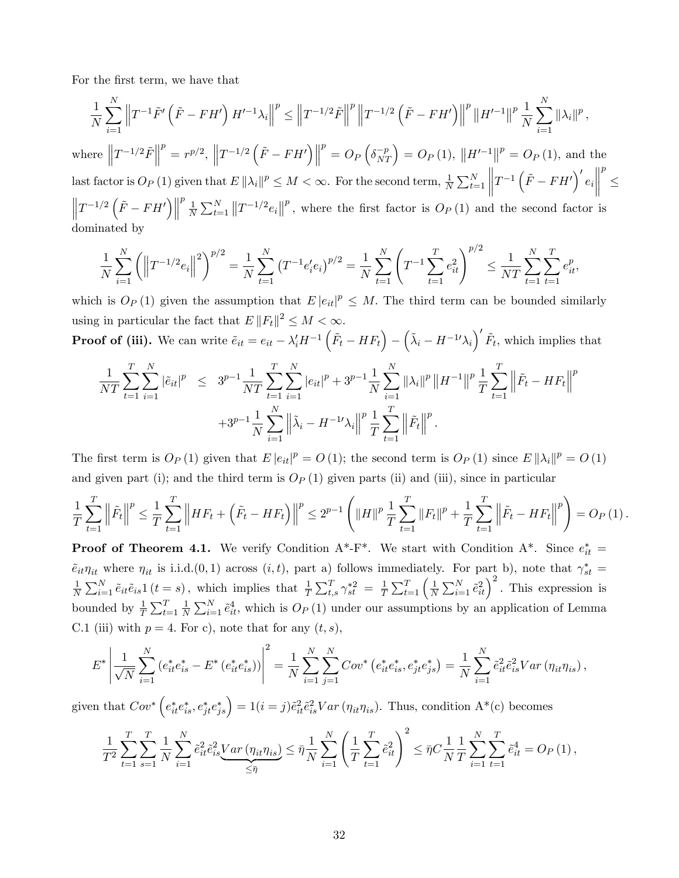For the first term, we have that

$$
\frac{1}{N} \sum_{i=1}^{N} \left\| T^{-1} \tilde{F}' \left( \tilde{F} - FH' \right) H'^{-1} \lambda_i \right\|^p \le \left\| T^{-1/2} \tilde{F} \right\|^p \left\| T^{-1/2} \left( \tilde{F} - FH' \right) \right\|^p \left\| H'^{-1} \right\|^p \frac{1}{N} \sum_{i=1}^{N} \|\lambda_i\|^p,
$$
\nwhere 
$$
\left\| T^{-1/2} \tilde{F} \right\|^p = r^{p/2}, \left\| T^{-1/2} \left( \tilde{F} - FH' \right) \right\|^p = O_P \left( \delta_{NT}^{-p} \right) = O_P \left( 1 \right), \left\| H'^{-1} \right\|^p = O_P \left( 1 \right), \text{ and the}
$$

last factor is  $O_P(1)$  given that  $E \|\lambda_i\|^p \leq M < \infty$ . For the second term,  $\frac{1}{N} \sum_{t=1}^N$   $T^{-1}\left(\tilde{F}-FH'\right)'e_i$   $\leq$  $\left\|T^{-1/2}\left(\tilde{F}-FH'\right)\right\|$  $\begin{smallmatrix} p & \\ & 1 \end{smallmatrix}$  $\frac{1}{N}\sum_{t=1}^{N}||T^{-1/2}e_i||^p$ , where the first factor is  $O_P(1)$  and the second factor is dominated by

$$
\frac{1}{N} \sum_{i=1}^{N} \left( \left\| T^{-1/2} e_i \right\|^2 \right)^{p/2} = \frac{1}{N} \sum_{t=1}^{N} \left( T^{-1} e_i' e_i \right)^{p/2} = \frac{1}{N} \sum_{t=1}^{N} \left( T^{-1} \sum_{t=1}^{T} e_{it}^2 \right)^{p/2} \le \frac{1}{NT} \sum_{t=1}^{N} \sum_{t=1}^{T} e_{it}^p,
$$

which is  $O_P(1)$  given the assumption that  $E |e_{it}|^p \leq M$ . The third term can be bounded similarly using in particular the fact that  $E \|F_t\|^2 \leq M < \infty$ .

**Proof of (iii).** We can write 
$$
\tilde{e}_{it} = e_{it} - \lambda'_i H^{-1} \left( \tilde{F}_t - H F_t \right) - \left( \tilde{\lambda}_i - H^{-1} \lambda_i \right)' \tilde{F}_t
$$
, which implies that

$$
\frac{1}{NT} \sum_{t=1}^{T} \sum_{i=1}^{N} |\tilde{e}_{it}|^{p} \leq 3^{p-1} \frac{1}{NT} \sum_{t=1}^{T} \sum_{i=1}^{N} |e_{it}|^{p} + 3^{p-1} \frac{1}{N} \sum_{i=1}^{N} ||\lambda_{i}||^{p} ||H^{-1}||^{p} \frac{1}{T} \sum_{t=1}^{T} ||\tilde{F}_{t} - HF_{t}||^{p}
$$
  
+3<sup>p-1</sup> $\frac{1}{N} \sum_{i=1}^{N} ||\tilde{\lambda}_{i} - H^{-1} \lambda_{i}||^{p} \frac{1}{T} \sum_{t=1}^{T} ||\tilde{F}_{t}||^{p}.$ 

The first term is  $O_P(1)$  given that  $E|e_{it}|^p = O(1)$ ; the second term is  $O_P(1)$  since  $E\|\lambda_i\|^p = O(1)$ and given part (i); and the third term is  $O_P(1)$  given parts (ii) and (iii), since in particular

$$
\frac{1}{T} \sum_{t=1}^T \left\| \tilde{F}_t \right\|^p \le \frac{1}{T} \sum_{t=1}^T \left\| HF_t + \left( \tilde{F}_t - HF_t \right) \right\|^p \le 2^{p-1} \left( \|H\|^p \frac{1}{T} \sum_{t=1}^T \|F_t\|^p + \frac{1}{T} \sum_{t=1}^T \left\| \tilde{F}_t - HF_t \right\|^p \right) = O_P\left(1\right).
$$

**Proof of Theorem 4.1.** We verify Condition  $A^*$ -F<sup>\*</sup>. We start with Condition  $A^*$ . Since  $e_{it}^*$  =  $\tilde{e}_{it}\eta_{it}$  where  $\eta_{it}$  is i.i.d. $(0,1)$  across  $(i, t)$ , part a) follows immediately. For part b), note that  $\gamma_{st}^* =$ 1  $\frac{1}{N}\sum_{i=1}^{N}\tilde{e}_{it}\tilde{e}_{is}1(t=s)$ , which implies that  $\frac{1}{T}\sum_{t,s}^{T}\gamma_{st}^{*2} = \frac{1}{T}$  $\frac{1}{T} \sum_{t=1}^{T} \left( \frac{1}{N} \right)$  $\frac{1}{N}\sum_{i=1}^{N} \tilde{e}_{it}^2$ <sup>2</sup>. This expression is bounded by  $\frac{1}{T} \sum_{t=1}^{T} \frac{1}{N}$  $\frac{1}{N}\sum_{i=1}^{N} \tilde{e}_{it}^4$ , which is  $O_P(1)$  under our assumptions by an application of Lemma C.1 (iii) with  $p = 4$ . For c), note that for any  $(t, s)$ ,

$$
E^* \left| \frac{1}{\sqrt{N}} \sum_{i=1}^N \left( e_{it}^* e_{is}^* - E^* \left( e_{it}^* e_{is}^* \right) \right) \right|^2 = \frac{1}{N} \sum_{i=1}^N \sum_{j=1}^N Cov^* \left( e_{it}^* e_{is}^*, e_{jt}^* e_{js}^* \right) = \frac{1}{N} \sum_{i=1}^N \tilde{e}_{it}^2 \tilde{e}_{is}^2 Var \left( \eta_{it} \eta_{is} \right),
$$

given that  $Cov^* \left(e_{it}^* e_{is}^*, e_{jt}^* e_{js}^*\right) = 1 (i = j) \tilde{e}_{it}^2 \tilde{e}_{is}^2 Var \left(\eta_{it} \eta_{is}\right)$ . Thus, condition  $A^*(c)$  becomes

$$
\frac{1}{T^2} \sum_{t=1}^T \sum_{s=1}^T \frac{1}{N} \sum_{i=1}^N \tilde{e}_{it}^2 \tilde{e}_{is}^2 \underbrace{Var\left(\eta_{it}\eta_{is}\right)}_{\leq \bar{\eta}} \leq \bar{\eta} \frac{1}{N} \sum_{i=1}^N \left(\frac{1}{T} \sum_{t=1}^T \tilde{e}_{it}^2\right)^2 \leq \bar{\eta} C \frac{1}{N} \frac{1}{T} \sum_{i=1}^N \sum_{t=1}^T \tilde{e}_{it}^4 = O_P\left(1\right),
$$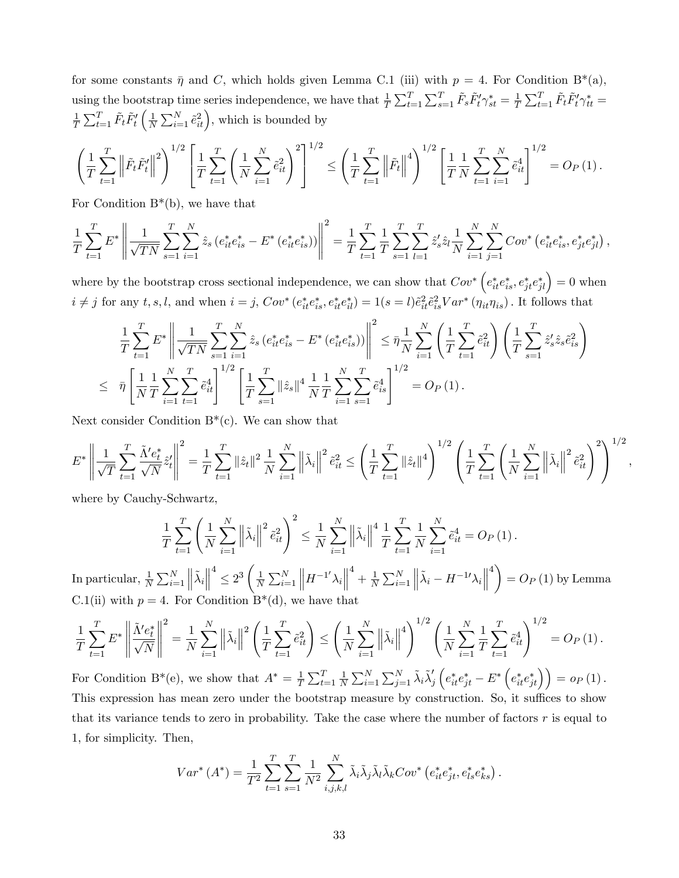for some constants  $\bar{\eta}$  and C, which holds given Lemma C.1 (iii) with  $p = 4$ . For Condition B<sup>\*</sup>(a), using the bootstrap time series independence, we have that  $\frac{1}{T} \sum_{t=1}^{T} \sum_{s=1}^{T} \tilde{F}_s \tilde{F}'_t \gamma_{st}^* = \frac{1}{T}$  $\frac{1}{T}\sum_{t=1}^T \tilde{F}_t \tilde{F}_t' \gamma_{tt}^* =$ 1  $\frac{1}{T}\sum_{t=1}^T \tilde{F}_t \tilde{F}_t'$  $\sqrt{1}$  $\frac{1}{N} \sum_{i=1}^{N} \tilde{e}_{it}^2$ , which is bounded by

$$
\left(\frac{1}{T}\sum_{t=1}^T \left\|\tilde{F}_t\tilde{F}_t'\right\|^2\right)^{1/2} \left[\frac{1}{T}\sum_{t=1}^T \left(\frac{1}{N}\sum_{i=1}^N \tilde{e}_{it}^2\right)^2\right]^{1/2} \le \left(\frac{1}{T}\sum_{t=1}^T \left\|\tilde{F}_t\right\|^4\right)^{1/2} \left[\frac{1}{T}\frac{1}{N}\sum_{t=1}^T \sum_{i=1}^N \tilde{e}_{it}^4\right]^{1/2} = O_P\left(1\right).
$$

For Condition  $B^*(b)$ , we have that

$$
\frac{1}{T} \sum_{t=1}^{T} E^* \left\| \frac{1}{\sqrt{TN}} \sum_{s=1}^{T} \sum_{i=1}^{N} \hat{z}_s \left( e_{it}^* e_{is}^* - E^* \left( e_{it}^* e_{is}^* \right) \right) \right\|^2 = \frac{1}{T} \sum_{t=1}^{T} \frac{1}{T} \sum_{s=1}^{T} \sum_{l=1}^{T} \hat{z}_s' \hat{z}_l \frac{1}{N} \sum_{i=1}^{N} \sum_{j=1}^{N} Cov^* \left( e_{it}^* e_{is}^*, e_{jt}^* e_{jl}^* \right),
$$

where by the bootstrap cross sectional independence, we can show that  $Cov^* \left(e_{it}^* e_{is}^*, e_{jt}^* e_{jl}^*\right) = 0$  when  $i \neq j$  for any  $t, s, l$ , and when  $i = j$ ,  $Cov^*(e_{it}^* e_{is}^*, e_{it}^* e_{il}^*) = 1(s = l)\tilde{e}_{it}^2 \tilde{e}_{is}^2 Var^*(\eta_{it}\eta_{is})$ . It follows that

$$
\frac{1}{T} \sum_{t=1}^{T} E^* \left\| \frac{1}{\sqrt{TN}} \sum_{s=1}^{T} \sum_{i=1}^{N} \hat{z}_s (e_{it}^* e_{is}^* - E^* (e_{it}^* e_{is}^*)) \right\|^2 \leq \bar{\eta} \frac{1}{N} \sum_{i=1}^{N} \left( \frac{1}{T} \sum_{t=1}^{T} \tilde{e}_{it}^2 \right) \left( \frac{1}{T} \sum_{s=1}^{T} \hat{z}_s' \hat{z}_s \tilde{e}_{is}^2 \right)
$$
\n
$$
\leq \bar{\eta} \left[ \frac{1}{N} \frac{1}{T} \sum_{i=1}^{N} \sum_{t=1}^{T} \tilde{e}_{it}^4 \right]^{1/2} \left[ \frac{1}{T} \sum_{s=1}^{T} \|\hat{z}_s\|^4 \frac{1}{N} \frac{1}{T} \sum_{i=1}^{N} \sum_{s=1}^{T} \tilde{e}_{is}^4 \right]^{1/2} = O_P\left( 1 \right).
$$

Next consider Condition  $B^*(c)$ . We can show that

$$
E^* \left\| \frac{1}{\sqrt{T}} \sum_{t=1}^T \frac{\tilde{\Lambda}' e_t^*}{\sqrt{N}} \hat{z}'_t \right\|^2 = \frac{1}{T} \sum_{t=1}^T \|\hat{z}_t\|^2 \frac{1}{N} \sum_{i=1}^N \left\|\tilde{\lambda}_i\right\|^2 \tilde{e}_{it}^2 \le \left(\frac{1}{T} \sum_{t=1}^T \|\hat{z}_t\|^4\right)^{1/2} \left(\frac{1}{T} \sum_{t=1}^T \left(\frac{1}{N} \sum_{i=1}^N \left\|\tilde{\lambda}_i\right\|^2 \tilde{e}_{it}^2\right)^2\right)^{1/2}
$$

;

where by Cauchy-Schwartz,

$$
\frac{1}{T} \sum_{t=1}^{T} \left( \frac{1}{N} \sum_{i=1}^{N} \left\| \tilde{\lambda}_{i} \right\|^{2} \tilde{e}_{it}^{2} \right)^{2} \leq \frac{1}{N} \sum_{i=1}^{N} \left\| \tilde{\lambda}_{i} \right\|^{4} \frac{1}{T} \sum_{t=1}^{T} \frac{1}{N} \sum_{i=1}^{N} \tilde{e}_{it}^{4} = O_{P}(1).
$$

In particular,  $\frac{1}{N} \sum_{i=1}^{N}$  $\left\Vert \tilde{\lambda}_{i}\right\Vert$  $4 \leq 2^3 \left(\frac{1}{N}\right)$  $\frac{1}{N} \sum_{i=1}^{N}$  $\left\| H^{-1'} \lambda_i \right\|$  $+\frac{1}{\lambda}$  $\frac{1}{N} \sum_{i=1}^{N}$  $\left\Vert \tilde{\lambda}_{i}-H^{-1{\prime}}{\lambda}_{i}\right\Vert$  $4\lambda$  $= O_P(1)$  by Lemma C.1(ii) with  $p = 4$ . For Condition B<sup>\*</sup>(d), we have that

$$
\frac{1}{T} \sum_{t=1}^{T} E^* \left\| \frac{\tilde{\Lambda}' e_t^*}{\sqrt{N}} \right\|^2 = \frac{1}{N} \sum_{i=1}^{N} \left\| \tilde{\lambda}_i \right\|^2 \left( \frac{1}{T} \sum_{t=1}^{T} \tilde{e}_{it}^2 \right) \le \left( \frac{1}{N} \sum_{i=1}^{N} \left\| \tilde{\lambda}_i \right\|^4 \right)^{1/2} \left( \frac{1}{N} \sum_{i=1}^{N} \frac{1}{T} \sum_{t=1}^{T} \tilde{e}_{it}^4 \right)^{1/2} = O_P(1).
$$

For Condition B<sup>\*</sup>(e), we show that  $A^* = \frac{1}{7}$  $\frac{1}{T}\sum_{t=1}^T \frac{1}{N}$  $\frac{1}{N}\sum_{i=1}^N\sum_{j=1}^N \tilde{\lambda}_i \tilde{\lambda}_j'$  $\left(e_{it}^* e_{jt}^* - E^* \left(e_{it}^* e_{jt}^* \right)\right) = o_P(1)$ . This expression has mean zero under the bootstrap measure by construction. So, it suffices to show that its variance tends to zero in probability. Take the case where the number of factors  $r$  is equal to 1, for simplicity. Then,

$$
Var^*(A^*) = \frac{1}{T^2} \sum_{t=1}^T \sum_{s=1}^T \frac{1}{N^2} \sum_{i,j,k,l}^N \tilde{\lambda}_i \tilde{\lambda}_j \tilde{\lambda}_l \tilde{\lambda}_k Cov^* (e_{it}^* e_{jt}^*, e_{ls}^* e_{ks}^*).
$$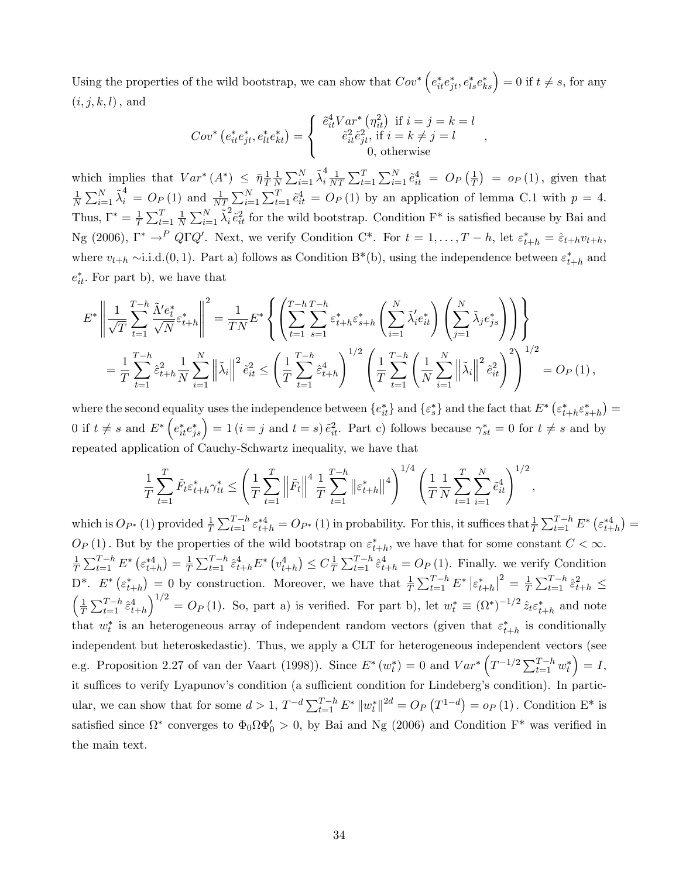Using the properties of the wild bootstrap, we can show that  $Cov^*$   $(e_{it}^*e_{jt}^*, e_{ls}^*e_{ks}^*) = 0$  if  $t \neq s$ , for any  $(i, j, k, l)$ , and

$$
Cov^* (e_{it}^* e_{jt}^*, e_{lt}^* e_{kt}^*) = \begin{cases} \tilde{e}_{it}^4 Var^* (\eta_{it}^2) & \text{if } i = j = k = l \\ \tilde{e}_{it}^2 \tilde{e}_{jt}^2, & \text{if } i = k \neq j = l \\ 0, & \text{otherwise} \end{cases},
$$

which implies that  $Var^*(A^*) \leq \bar{\eta} \frac{1}{T}$ T 1  $\frac{1}{N} \sum_{i=1}^{N} \tilde{\lambda}_i^4$  $\frac{4}{i} \frac{1}{N'}$  $\frac{1}{NT} \sum_{t=1}^{T} \sum_{i=1}^{N} \tilde{e}_{it}^4 = O_P\left(\frac{1}{T}\right)$  $\frac{1}{T}$ ) =  $o_P(1)$ , given that 1  $\frac{1}{N}\sum_{i=1}^{N}\tilde{\lambda}_{i}^{4} = O_{P}(1)$  and  $\frac{1}{NT}\sum_{i=1}^{N}\sum_{t=1}^{T}\tilde{e}_{it}^{4} = O_{P}(1)$  by an application of lemma C.1 with  $p = 4$ . Thus,  $\Gamma^* = \frac{1}{7}$  $\frac{1}{T}\sum_{t=1}^T \frac{1}{N}$  $\frac{1}{N} \sum_{i=1}^{N} \tilde{\lambda}_i^2$  $\epsilon_i^2 \hat{e}_{it}^2$  for the wild bootstrap. Condition  $F^*$  is satisfied because by Bai and Ng (2006),  $\Gamma^* \to^P Q\Gamma Q'$ . Next, we verify Condition C<sup>\*</sup>. For  $t = 1, \ldots, T-h$ , let  $\varepsilon_{t+h}^* = \hat{\varepsilon}_{t+h}v_{t+h}$ , where  $v_{t+h} \sim i.i.d.$  (0, 1). Part a) follows as Condition B<sup>\*</sup>(b), using the independence between  $\varepsilon_{t+h}^*$  and  $e_{it}^*$ . For part b), we have that

$$
E^* \left\| \frac{1}{\sqrt{T}} \sum_{t=1}^{T-h} \frac{\tilde{\Lambda}' e_t^*}{\sqrt{N}} \varepsilon_{t+h}^* \right\|^2 = \frac{1}{TN} E^* \left\{ \left( \sum_{t=1}^{T-h} \sum_{s=1}^{T-h} \varepsilon_{t+h}^* \varepsilon_{s+h}^* \left( \sum_{i=1}^N \tilde{\lambda}'_i e_{it}^* \right) \left( \sum_{j=1}^N \tilde{\lambda}_j e_{js}^* \right) \right) \right\}
$$
  

$$
= \frac{1}{T} \sum_{t=1}^{T-h} \hat{\varepsilon}_{t+h}^2 \frac{1}{N} \sum_{i=1}^N \left\| \tilde{\lambda}_i \right\|^2 \tilde{e}_{it}^2 \le \left( \frac{1}{T} \sum_{t=1}^{T-h} \hat{\varepsilon}_{t+h}^4 \right)^{1/2} \left( \frac{1}{T} \sum_{t=1}^{T-h} \left( \frac{1}{N} \sum_{i=1}^N \left\| \tilde{\lambda}_i \right\|^2 \tilde{e}_{it}^2 \right)^2 \right)^{1/2} = O_P(1),
$$

where the second equality uses the independence between  $\{e_{it}^*\}$  and  $\{\varepsilon_s^*\}$  and the fact that  $E^*\left(\varepsilon_{t+h}^*\varepsilon_{s+h}^*\right)$ 0 if  $t \neq s$  and  $E^* \left( e_{it}^* e_{js}^* \right) = 1$   $(i = j$  and  $t = s$ )  $\tilde{e}_{it}^2$ . Part c) follows because  $\gamma_{st}^* = 0$  for  $t \neq s$  and by repeated application of Cauchy-Schwartz inequality, we have that

$$
\frac{1}{T} \sum_{t=1}^{T} \tilde{F}_t \varepsilon_{t+h}^* \gamma_{tt}^* \le \left( \frac{1}{T} \sum_{t=1}^{T} \left\| \tilde{F}_t \right\|^4 \frac{1}{T} \sum_{t=1}^{T-h} \left\| \varepsilon_{t+h}^* \right\|^4 \right)^{1/4} \left( \frac{1}{T} \sum_{t=1}^{T} \sum_{i=1}^{N} \tilde{e}_{it}^4 \right)^{1/2},
$$

which is  $O_{P^*}(1)$  provided  $\frac{1}{T} \sum_{t=1}^{T-h} \varepsilon_{t+h}^{*4} = O_{P^*}(1)$  in probability. For this, it suffices that  $\frac{1}{T} \sum_{t=1}^{T-h} E^* \left( \varepsilon_{t+h}^{*4} \right) =$  $O_P(1)$ . But by the properties of the wild bootstrap on  $\varepsilon_{t+h}^*$ , we have that for some constant  $C < \infty$ . 1  $\frac{1}{T}\sum_{t=1}^{T-h} E^* \left(\varepsilon_{t+h}^{*4}\right) = \frac{1}{T}$  $\frac{1}{T} \sum_{t=1}^{T-h} \hat{\varepsilon}_{t+h}^4 E^* \left( v_{t+h}^4 \right) \leq C_{\overline{T}}^{\frac{1}{2}}$  $\frac{1}{T} \sum_{t=1}^{T-h} \hat{\epsilon}_{t+h}^4 = O_P (1)$ . Finally. we verify Condition D<sup>\*</sup>.  $E^*$   $(\varepsilon_{t+h}^*) = 0$  by construction. Moreover, we have that  $\frac{1}{T} \sum_{t=1}^{T-h} E^* | \varepsilon_{t+h}^* |^2 = \frac{1}{T}$  $\frac{1}{T}\sum_{t=1}^{T-h} \hat{\varepsilon}_{t+h}^2 \leq$  $\sqrt{1}$  $\frac{1}{T}\sum_{t=1}^{T-h} \hat{\varepsilon}^4_{t+h}$  $\int_0^{1/2} = O_P(1)$ . So, part a) is verified. For part b), let  $w_t^* \equiv (\Omega^*)^{-1/2} \hat{z}_t \varepsilon_{t+h}^*$  and note that  $w_t^*$  is an heterogeneous array of independent random vectors (given that  $\varepsilon_{t+h}^*$  is conditionally independent but heteroskedastic). Thus, we apply a CLT for heterogeneous independent vectors (see e.g. Proposition 2.27 of van der Vaart (1998)). Since  $E^*(w_t^*)=0$  and  $Var^*\left(T^{-1/2}\sum_{t=1}^{T-h}w_t^*\right)$  $= I$ it suffices to verify Lyapunov's condition (a sufficient condition for Lindeberg's condition). In particular, we can show that for some  $d > 1$ ,  $T^{-d} \sum_{t=1}^{T-h} E^* ||w_t^*||^{2d} = O_P(T^{1-d}) = o_P(1)$ . Condition  $E^*$  is satisfied since  $\Omega^*$  converges to  $\Phi_0 \Omega \Phi'_0 > 0$ , by Bai and Ng (2006) and Condition F<sup>\*</sup> was verified in the main text.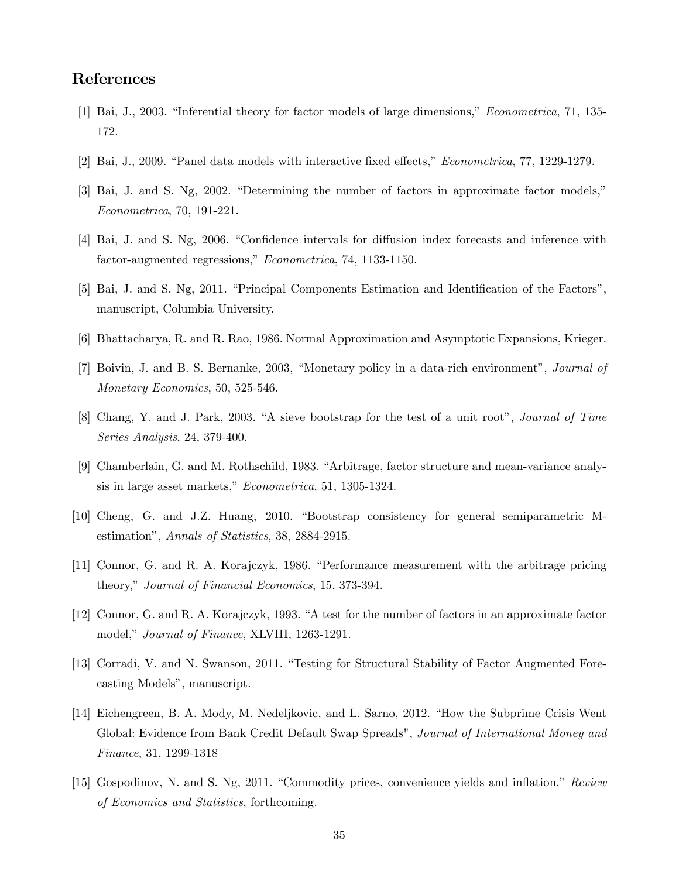## References

- [1] Bai, J., 2003. "Inferential theory for factor models of large dimensions," *Econometrica*, 71, 135-172.
- [2] Bai, J., 2009. "Panel data models with interactive fixed effects," *Econometrica*, 77, 1229-1279.
- $[3]$  Bai, J. and S. Ng, 2002. "Determining the number of factors in approximate factor models," Econometrica, 70, 191-221.
- [4] Bai, J. and S. Ng, 2006. "Confidence intervals for diffusion index forecasts and inference with factor-augmented regressions," Econometrica, 74, 1133-1150.
- [5] Bai, J. and S. Ng, 2011. "Principal Components Estimation and Identification of the Factors", manuscript, Columbia University.
- [6] Bhattacharya, R. and R. Rao, 1986. Normal Approximation and Asymptotic Expansions, Krieger.
- [7] Boivin, J. and B. S. Bernanke, 2003, "Monetary policy in a data-rich environment", Journal of Monetary Economics, 50, 525-546.
- [8] Chang, Y. and J. Park, 2003. "A sieve bootstrap for the test of a unit root", *Journal of Time* Series Analysis, 24, 379-400.
- [9] Chamberlain, G. and M. Rothschild, 1983. "Arbitrage, factor structure and mean-variance analysis in large asset markets," Econometrica, 51, 1305-1324.
- [10] Cheng, G. and J.Z. Huang, 2010. "Bootstrap consistency for general semiparametric Mestimationî, Annals of Statistics, 38, 2884-2915.
- [11] Connor, G. and R. A. Korajczyk, 1986. "Performance measurement with the arbitrage pricing theory," Journal of Financial Economics, 15, 373-394.
- [12] Connor, G. and R. A. Korajczyk, 1993. "A test for the number of factors in an approximate factor model," Journal of Finance, XLVIII, 1263-1291.
- [13] Corradi, V. and N. Swanson, 2011. "Testing for Structural Stability of Factor Augmented Forecasting Models", manuscript.
- [14] Eichengreen, B. A. Mody, M. Nedeljkovic, and L. Sarno, 2012. "How the Subprime Crisis Went" Global: Evidence from Bank Credit Default Swap Spreads", Journal of International Money and Finance, 31, 1299-1318
- [15] Gospodinov, N. and S. Ng, 2011. "Commodity prices, convenience yields and inflation," Review of Economics and Statistics, forthcoming.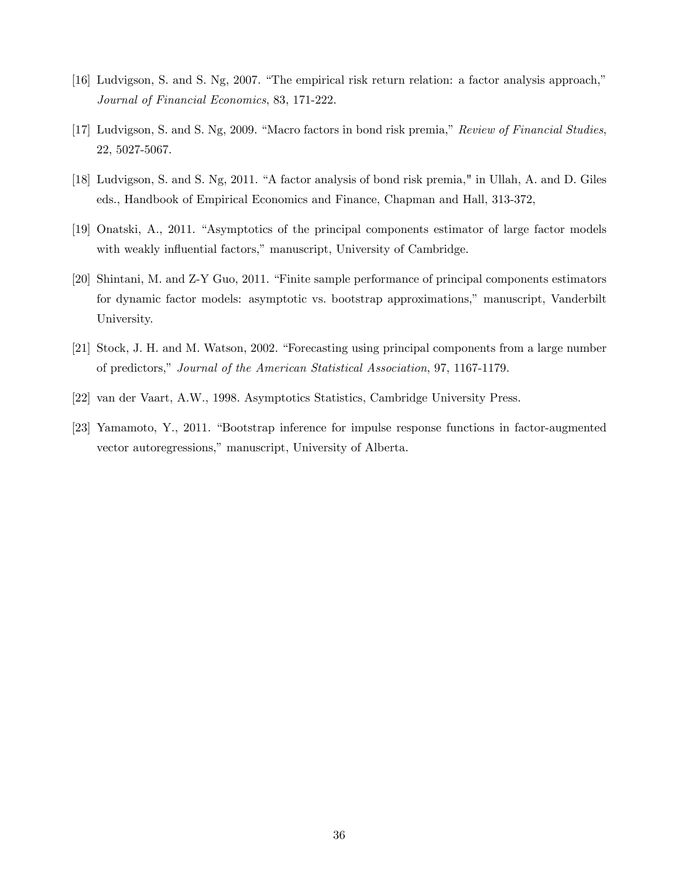- [16] Ludvigson, S. and S. Ng, 2007. "The empirical risk return relation: a factor analysis approach," Journal of Financial Economics, 83, 171-222.
- [17] Ludvigson, S. and S. Ng, 2009. "Macro factors in bond risk premia," Review of Financial Studies, 22, 5027-5067.
- [18] Ludvigson, S. and S. Ng, 2011. "A factor analysis of bond risk premia," in Ullah, A. and D. Giles eds., Handbook of Empirical Economics and Finance, Chapman and Hall, 313-372,
- [19] Onatski, A., 2011. "Asymptotics of the principal components estimator of large factor models with weakly influential factors," manuscript, University of Cambridge.
- [20] Shintani, M. and Z-Y Guo, 2011. "Finite sample performance of principal components estimators for dynamic factor models: asymptotic vs. bootstrap approximations," manuscript, Vanderbilt University.
- [21] Stock, J. H. and M. Watson, 2002. "Forecasting using principal components from a large number of predictors," Journal of the American Statistical Association, 97, 1167-1179.
- [22] van der Vaart, A.W., 1998. Asymptotics Statistics, Cambridge University Press.
- [23] Yamamoto, Y., 2011. "Bootstrap inference for impulse response functions in factor-augmented vector autoregressions," manuscript, University of Alberta.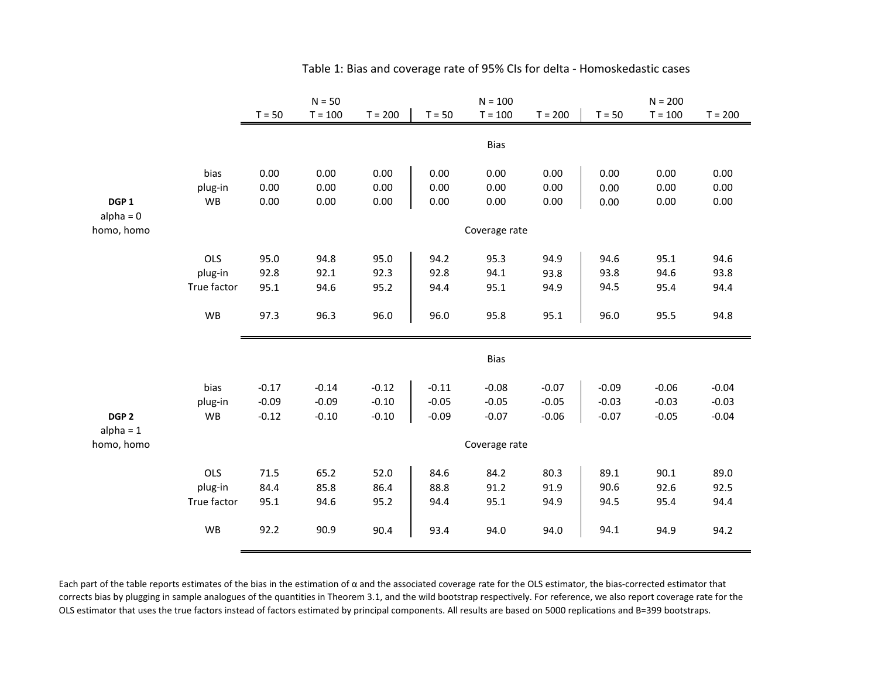|                  |                        | $N = 50$     |           |              | $N = 100$    |               |           | $N = 200$    |           |              |
|------------------|------------------------|--------------|-----------|--------------|--------------|---------------|-----------|--------------|-----------|--------------|
|                  |                        | $T = 50$     | $T = 100$ | $T = 200$    | $T = 50$     | $T = 100$     | $T = 200$ | $T = 50$     | $T = 100$ | $T = 200$    |
|                  |                        |              |           |              |              |               |           |              |           |              |
|                  |                        |              |           |              |              | <b>Bias</b>   |           |              |           |              |
|                  |                        |              |           |              |              |               |           |              |           |              |
|                  | bias                   | 0.00         | 0.00      | 0.00         | 0.00         | 0.00          | 0.00      | 0.00         | 0.00      | 0.00         |
|                  | plug-in                | 0.00         | 0.00      | 0.00         | 0.00         | 0.00          | 0.00      | 0.00         | 0.00      | 0.00         |
| DGP <sub>1</sub> | <b>WB</b>              | 0.00         | 0.00      | 0.00         | 0.00         | 0.00          | 0.00      | 0.00         | 0.00      | 0.00         |
| $alpha = 0$      |                        |              |           |              |              |               |           |              |           |              |
| homo, homo       |                        |              |           |              |              | Coverage rate |           |              |           |              |
|                  | OLS                    | 95.0         | 94.8      | 95.0         | 94.2         | 95.3          | 94.9      | 94.6         | 95.1      | 94.6         |
|                  | plug-in                | 92.8         | 92.1      | 92.3         | 92.8         | 94.1          | 93.8      | 93.8         | 94.6      | 93.8         |
|                  | True factor            | 95.1         | 94.6      | 95.2         | 94.4         | 95.1          | 94.9      | 94.5         | 95.4      | 94.4         |
|                  |                        |              |           |              |              |               |           |              |           |              |
|                  | <b>WB</b>              | 97.3         | 96.3      | 96.0         | 96.0         | 95.8          | 95.1      | 96.0         | 95.5      | 94.8         |
|                  |                        |              |           |              |              |               |           |              |           |              |
|                  |                        |              |           |              |              |               |           |              |           |              |
|                  |                        |              |           |              |              | <b>Bias</b>   |           |              |           |              |
|                  | bias                   | $-0.17$      | $-0.14$   | $-0.12$      | $-0.11$      | $-0.08$       | $-0.07$   | $-0.09$      | $-0.06$   | $-0.04$      |
|                  | plug-in                | $-0.09$      | $-0.09$   | $-0.10$      | $-0.05$      | $-0.05$       | $-0.05$   | $-0.03$      | $-0.03$   | $-0.03$      |
| DGP <sub>2</sub> | WB                     | $-0.12$      | $-0.10$   | $-0.10$      | $-0.09$      | $-0.07$       | $-0.06$   | $-0.07$      | $-0.05$   | $-0.04$      |
| $alpha = 1$      |                        |              |           |              |              |               |           |              |           |              |
| homo, homo       |                        |              |           |              |              | Coverage rate |           |              |           |              |
|                  | OLS                    | 71.5         |           |              |              |               |           |              | 90.1      |              |
|                  |                        |              | 65.2      | 52.0<br>86.4 | 84.6<br>88.8 | 84.2<br>91.2  | 80.3      | 89.1<br>90.6 | 92.6      | 89.0<br>92.5 |
|                  | plug-in<br>True factor | 84.4<br>95.1 | 85.8      |              |              |               | 91.9      |              |           |              |
|                  |                        |              | 94.6      | 95.2         | 94.4         | 95.1          | 94.9      | 94.5         | 95.4      | 94.4         |
|                  | WB                     | 92.2         | 90.9      | 90.4         | 93.4         | 94.0          | 94.0      | 94.1         | 94.9      | 94.2         |
|                  |                        |              |           |              |              |               |           |              |           |              |

## Table 1: Bias and coverage rate of 95% CIs for delta - Homoskedastic cases

Each part of the table reports estimates of the bias in the estimation of  $\alpha$  and the associated coverage rate for the OLS estimator, the bias-corrected estimator that corrects bias by plugging in sample analogues of the quantities in Theorem 3.1, and the wild bootstrap respectively. For reference, we also report coverage rate for the OLS estimator that uses the true factors instead of factors estimated by principal components. All results are based on 5000 replications and B=399 bootstraps.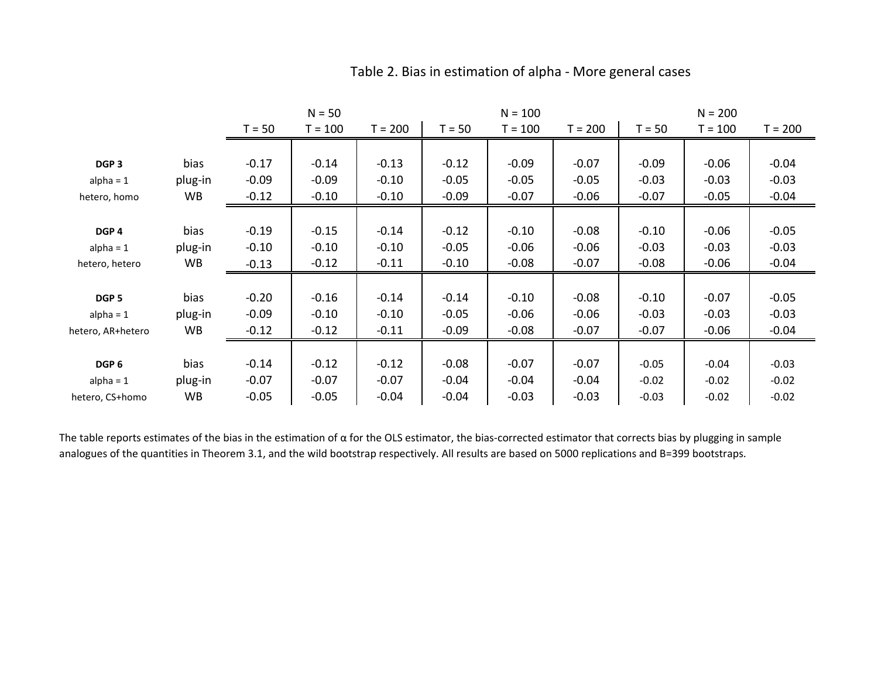|                   |           |          | $N = 50$  |           | $N = 100$ |           |           | $N = 200$ |           |           |
|-------------------|-----------|----------|-----------|-----------|-----------|-----------|-----------|-----------|-----------|-----------|
|                   |           | $T = 50$ | $T = 100$ | $T = 200$ | $T = 50$  | $T = 100$ | $T = 200$ | $T = 50$  | $T = 100$ | $T = 200$ |
|                   |           |          |           |           |           |           |           |           |           |           |
| DGP <sub>3</sub>  | bias      | $-0.17$  | $-0.14$   | $-0.13$   | $-0.12$   | $-0.09$   | $-0.07$   | $-0.09$   | $-0.06$   | $-0.04$   |
| $alpha = 1$       | plug-in   | $-0.09$  | $-0.09$   | $-0.10$   | $-0.05$   | $-0.05$   | $-0.05$   | $-0.03$   | $-0.03$   | $-0.03$   |
| hetero, homo      | WB        | $-0.12$  | $-0.10$   | $-0.10$   | $-0.09$   | $-0.07$   | $-0.06$   | $-0.07$   | $-0.05$   | $-0.04$   |
|                   |           |          |           |           |           |           |           |           |           |           |
| DGP <sub>4</sub>  | bias      | $-0.19$  | $-0.15$   | $-0.14$   | $-0.12$   | $-0.10$   | $-0.08$   | $-0.10$   | $-0.06$   | $-0.05$   |
| alpha = $1$       | plug-in   | $-0.10$  | $-0.10$   | $-0.10$   | $-0.05$   | $-0.06$   | $-0.06$   | $-0.03$   | $-0.03$   | $-0.03$   |
| hetero, hetero    | WB        | $-0.13$  | $-0.12$   | $-0.11$   | $-0.10$   | $-0.08$   | $-0.07$   | $-0.08$   | $-0.06$   | $-0.04$   |
|                   |           |          |           |           |           |           |           |           |           |           |
| DGP <sub>5</sub>  | bias      | $-0.20$  | $-0.16$   | $-0.14$   | $-0.14$   | $-0.10$   | $-0.08$   | $-0.10$   | $-0.07$   | $-0.05$   |
| $alpha = 1$       | plug-in   | $-0.09$  | $-0.10$   | $-0.10$   | $-0.05$   | $-0.06$   | $-0.06$   | $-0.03$   | $-0.03$   | $-0.03$   |
| hetero, AR+hetero | <b>WB</b> | $-0.12$  | $-0.12$   | $-0.11$   | $-0.09$   | $-0.08$   | $-0.07$   | $-0.07$   | $-0.06$   | $-0.04$   |
|                   |           |          |           |           |           |           |           |           |           |           |
| DGP <sub>6</sub>  | bias      | $-0.14$  | $-0.12$   | $-0.12$   | $-0.08$   | $-0.07$   | $-0.07$   | $-0.05$   | $-0.04$   | $-0.03$   |
| alpha = $1$       | plug-in   | $-0.07$  | $-0.07$   | $-0.07$   | $-0.04$   | $-0.04$   | $-0.04$   | $-0.02$   | $-0.02$   | $-0.02$   |
| hetero, CS+homo   | <b>WB</b> | $-0.05$  | $-0.05$   | $-0.04$   | $-0.04$   | $-0.03$   | $-0.03$   | $-0.03$   | $-0.02$   | $-0.02$   |

## Table 2. Bias in estimation of alpha - More general cases

The table reports estimates of the bias in the estimation of  $\alpha$  for the OLS estimator, the bias-corrected estimator that corrects bias by plugging in sample analogues of the quantities in Theorem 3.1, and the wild bootstrap respectively. All results are based on 5000 replications and B=399 bootstraps.